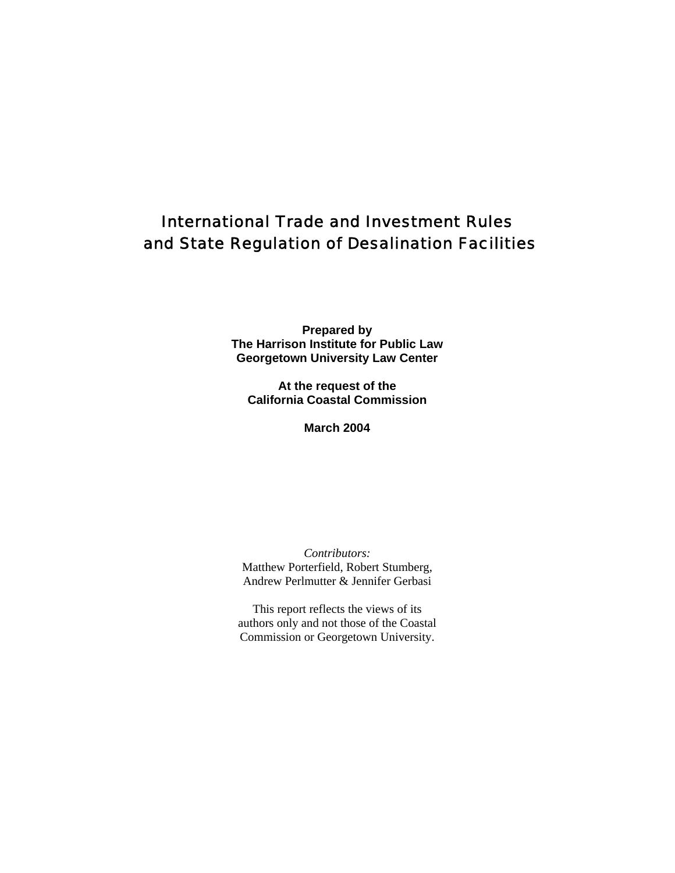# International Trade and Investment Rules and State Regulation of Desalination Facilities

**Prepared by The Harrison Institute for Public Law Georgetown University Law Center** 

**At the request of the California Coastal Commission** 

**March 2004** 

*Contributors:* Matthew Porterfield, Robert Stumberg, Andrew Perlmutter & Jennifer Gerbasi

This report reflects the views of its authors only and not those of the Coastal Commission or Georgetown University.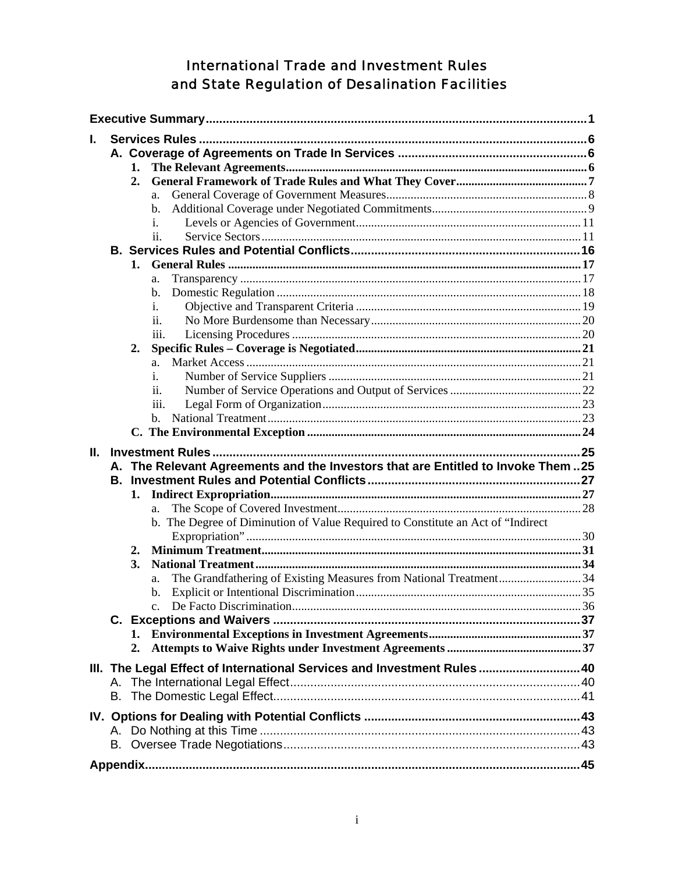# **International Trade and Investment Rules** and State Regulation of Desalination Facilities

| L. |          |                  |                                                                                 |  |  |  |  |
|----|----------|------------------|---------------------------------------------------------------------------------|--|--|--|--|
|    |          |                  |                                                                                 |  |  |  |  |
|    |          | 1.               |                                                                                 |  |  |  |  |
|    |          | $\overline{2}$ . |                                                                                 |  |  |  |  |
|    |          |                  | a.                                                                              |  |  |  |  |
|    |          |                  | b.                                                                              |  |  |  |  |
|    |          |                  | i.                                                                              |  |  |  |  |
|    |          |                  | ii.                                                                             |  |  |  |  |
|    |          |                  |                                                                                 |  |  |  |  |
|    |          | 1.               |                                                                                 |  |  |  |  |
|    |          |                  | a.                                                                              |  |  |  |  |
|    |          |                  | b.                                                                              |  |  |  |  |
|    |          |                  | i.                                                                              |  |  |  |  |
|    |          |                  | ii.                                                                             |  |  |  |  |
|    |          |                  | iii.                                                                            |  |  |  |  |
|    |          | 2.               |                                                                                 |  |  |  |  |
|    |          |                  | a.                                                                              |  |  |  |  |
|    |          |                  | i.                                                                              |  |  |  |  |
|    |          |                  | 11.                                                                             |  |  |  |  |
|    |          |                  | iii.                                                                            |  |  |  |  |
|    |          |                  | b.                                                                              |  |  |  |  |
|    |          |                  |                                                                                 |  |  |  |  |
|    |          |                  |                                                                                 |  |  |  |  |
|    |          |                  |                                                                                 |  |  |  |  |
| Ш. |          |                  |                                                                                 |  |  |  |  |
|    | А.<br>В. |                  | The Relevant Agreements and the Investors that are Entitled to Invoke Them  25  |  |  |  |  |
|    |          |                  |                                                                                 |  |  |  |  |
|    |          | 1.               |                                                                                 |  |  |  |  |
|    |          |                  | a.                                                                              |  |  |  |  |
|    |          |                  | b. The Degree of Diminution of Value Required to Constitute an Act of "Indirect |  |  |  |  |
|    |          | 2.               |                                                                                 |  |  |  |  |
|    |          | 3.               |                                                                                 |  |  |  |  |
|    |          |                  | a.                                                                              |  |  |  |  |
|    |          |                  | The Grandfathering of Existing Measures from National Treatment34<br>b.         |  |  |  |  |
|    |          |                  | $\mathbf{C}$ .                                                                  |  |  |  |  |
|    |          |                  |                                                                                 |  |  |  |  |
|    |          |                  |                                                                                 |  |  |  |  |
|    |          | 2.               |                                                                                 |  |  |  |  |
|    |          |                  |                                                                                 |  |  |  |  |
|    |          |                  | III. The Legal Effect of International Services and Investment Rules40          |  |  |  |  |
|    | А.       |                  |                                                                                 |  |  |  |  |
|    | В.       |                  |                                                                                 |  |  |  |  |
|    |          |                  |                                                                                 |  |  |  |  |
|    | Α.       |                  |                                                                                 |  |  |  |  |
|    |          |                  |                                                                                 |  |  |  |  |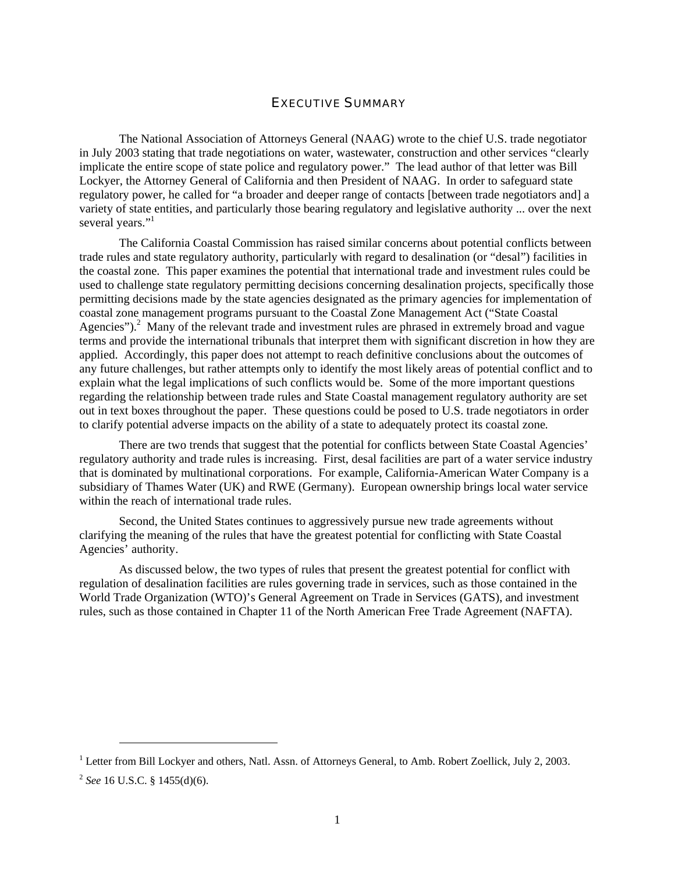# EXECUTIVE SUMMARY

<span id="page-2-0"></span>The National Association of Attorneys General (NAAG) wrote to the chief U.S. trade negotiator in July 2003 stating that trade negotiations on water, wastewater, construction and other services "clearly implicate the entire scope of state police and regulatory power." The lead author of that letter was Bill Lockyer, the Attorney General of California and then President of NAAG. In order to safeguard state regulatory power, he called for "a broader and deeper range of contacts [between trade negotiators and] a variety of state entities, and particularly those bearing regulatory and legislative authority ... over the next several years."<sup>[1](#page-2-1)</sup>

The California Coastal Commission has raised similar concerns about potential conflicts between trade rules and state regulatory authority, particularly with regard to desalination (or "desal") facilities in the coastal zone. This paper examines the potential that international trade and investment rules could be used to challenge state regulatory permitting decisions concerning desalination projects, specifically those permitting decisions made by the state agencies designated as the primary agencies for implementation of coastal zone management programs pursuant to the Coastal Zone Management Act ("State Coastal Agencies").<sup>[2](#page-2-2)</sup> Many of the relevant trade and investment rules are phrased in extremely broad and vague terms and provide the international tribunals that interpret them with significant discretion in how they are applied. Accordingly, this paper does not attempt to reach definitive conclusions about the outcomes of any future challenges, but rather attempts only to identify the most likely areas of potential conflict and to explain what the legal implications of such conflicts would be. Some of the more important questions regarding the relationship between trade rules and State Coastal management regulatory authority are set out in text boxes throughout the paper. These questions could be posed to U.S. trade negotiators in order to clarify potential adverse impacts on the ability of a state to adequately protect its coastal zone*.* 

There are two trends that suggest that the potential for conflicts between State Coastal Agencies' regulatory authority and trade rules is increasing. First, desal facilities are part of a water service industry that is dominated by multinational corporations. For example, California-American Water Company is a subsidiary of Thames Water (UK) and RWE (Germany). European ownership brings local water service within the reach of international trade rules.

Second, the United States continues to aggressively pursue new trade agreements without clarifying the meaning of the rules that have the greatest potential for conflicting with State Coastal Agencies' authority.

As discussed below, the two types of rules that present the greatest potential for conflict with regulation of desalination facilities are rules governing trade in services, such as those contained in the World Trade Organization (WTO)'s General Agreement on Trade in Services (GATS), and investment rules, such as those contained in Chapter 11 of the North American Free Trade Agreement (NAFTA).

<span id="page-2-1"></span><sup>&</sup>lt;sup>1</sup> Letter from Bill Lockyer and others, Natl. Assn. of Attorneys General, to Amb. Robert Zoellick, July 2, 2003.

<span id="page-2-2"></span><sup>2</sup> *See* 16 U.S.C. § 1455(d)(6).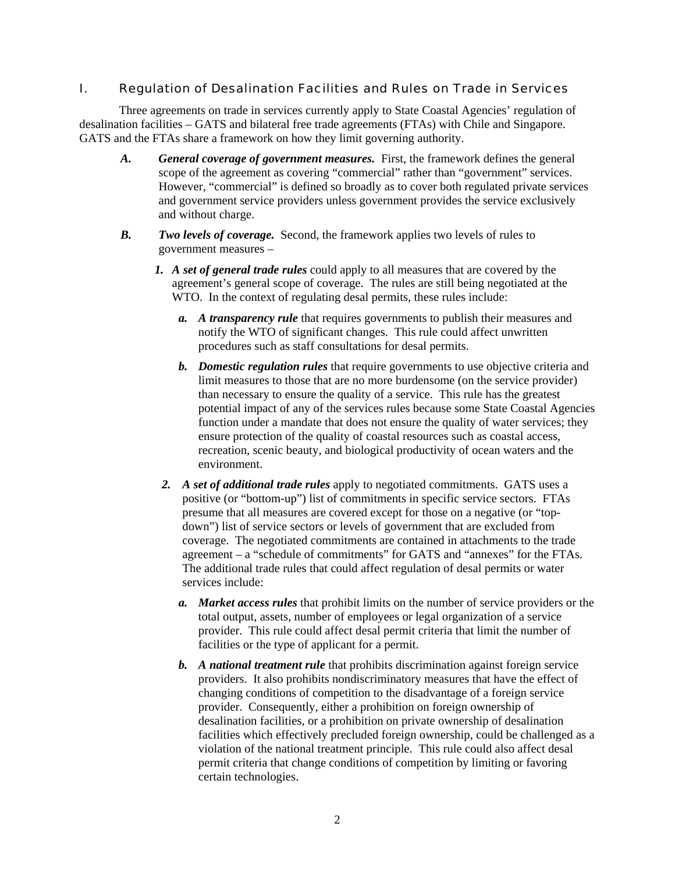# I. Regulation of Desalination Facilities and Rules on Trade in Services

Three agreements on trade in services currently apply to State Coastal Agencies' regulation of desalination facilities – GATS and bilateral free trade agreements (FTAs) with Chile and Singapore. GATS and the FTAs share a framework on how they limit governing authority.

- *A. General coverage of government measures.* First, the framework defines the general scope of the agreement as covering "commercial" rather than "government" services. However, "commercial" is defined so broadly as to cover both regulated private services and government service providers unless government provides the service exclusively and without charge.
- *B. Two levels of coverage.* Second, the framework applies two levels of rules to government measures –
	- *1. A set of general trade rules* could apply to all measures that are covered by the agreement's general scope of coverage. The rules are still being negotiated at the WTO. In the context of regulating desal permits, these rules include:
		- *a. A transparency rule* that requires governments to publish their measures and notify the WTO of significant changes. This rule could affect unwritten procedures such as staff consultations for desal permits.
		- *b. Domestic regulation rules* that require governments to use objective criteria and limit measures to those that are no more burdensome (on the service provider) than necessary to ensure the quality of a service. This rule has the greatest potential impact of any of the services rules because some State Coastal Agencies function under a mandate that does not ensure the quality of water services; they ensure protection of the quality of coastal resources such as coastal access, recreation, scenic beauty, and biological productivity of ocean waters and the environment.
		- *2. A set of additional trade rules* apply to negotiated commitments. GATS uses a positive (or "bottom-up") list of commitments in specific service sectors. FTAs presume that all measures are covered except for those on a negative (or "topdown") list of service sectors or levels of government that are excluded from coverage. The negotiated commitments are contained in attachments to the trade agreement – a "schedule of commitments" for GATS and "annexes" for the FTAs. The additional trade rules that could affect regulation of desal permits or water services include:
			- *a. Market access rules* that prohibit limits on the number of service providers or the total output, assets, number of employees or legal organization of a service provider. This rule could affect desal permit criteria that limit the number of facilities or the type of applicant for a permit.
			- *b. A national treatment rule* that prohibits discrimination against foreign service providers. It also prohibits nondiscriminatory measures that have the effect of changing conditions of competition to the disadvantage of a foreign service provider. Consequently, either a prohibition on foreign ownership of desalination facilities, or a prohibition on private ownership of desalination facilities which effectively precluded foreign ownership, could be challenged as a violation of the national treatment principle. This rule could also affect desal permit criteria that change conditions of competition by limiting or favoring certain technologies.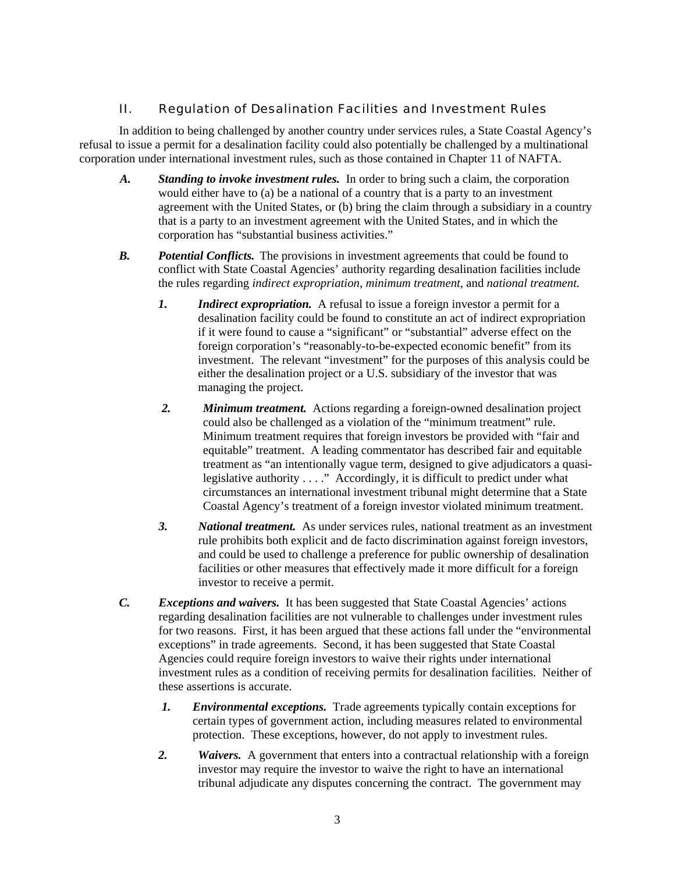# II. Regulation of Desalination Facilities and Investment Rules

In addition to being challenged by another country under services rules, a State Coastal Agency's refusal to issue a permit for a desalination facility could also potentially be challenged by a multinational corporation under international investment rules, such as those contained in Chapter 11 of NAFTA.

- *A. Standing to invoke investment rules.* In order to bring such a claim, the corporation would either have to (a) be a national of a country that is a party to an investment agreement with the United States, or (b) bring the claim through a subsidiary in a country that is a party to an investment agreement with the United States, and in which the corporation has "substantial business activities."
- *B. Potential Conflicts.* The provisions in investment agreements that could be found to conflict with State Coastal Agencies' authority regarding desalination facilities include the rules regarding *indirect expropriation, minimum treatment*, and *national treatment.*
	- *1. Indirect expropriation.* A refusal to issue a foreign investor a permit for a desalination facility could be found to constitute an act of indirect expropriation if it were found to cause a "significant" or "substantial" adverse effect on the foreign corporation's "reasonably-to-be-expected economic benefit" from its investment. The relevant "investment" for the purposes of this analysis could be either the desalination project or a U.S. subsidiary of the investor that was managing the project.
	- *2. Minimum treatment.* Actions regarding a foreign-owned desalination project could also be challenged as a violation of the "minimum treatment" rule. Minimum treatment requires that foreign investors be provided with "fair and equitable" treatment. A leading commentator has described fair and equitable treatment as "an intentionally vague term, designed to give adjudicators a quasilegislative authority . . . ." Accordingly, it is difficult to predict under what circumstances an international investment tribunal might determine that a State Coastal Agency's treatment of a foreign investor violated minimum treatment.
	- *3. National treatment.* As under services rules, national treatment as an investment rule prohibits both explicit and de facto discrimination against foreign investors, and could be used to challenge a preference for public ownership of desalination facilities or other measures that effectively made it more difficult for a foreign investor to receive a permit.
- *C. Exceptions and waivers.*It has been suggested that State Coastal Agencies' actions regarding desalination facilities are not vulnerable to challenges under investment rules for two reasons. First, it has been argued that these actions fall under the "environmental exceptions" in trade agreements. Second, it has been suggested that State Coastal Agencies could require foreign investors to waive their rights under international investment rules as a condition of receiving permits for desalination facilities. Neither of these assertions is accurate.
	- *1. Environmental exceptions.* Trade agreements typically contain exceptions for certain types of government action, including measures related to environmental protection. These exceptions, however, do not apply to investment rules.
	- *2. Waivers.* A government that enters into a contractual relationship with a foreign investor may require the investor to waive the right to have an international tribunal adjudicate any disputes concerning the contract. The government may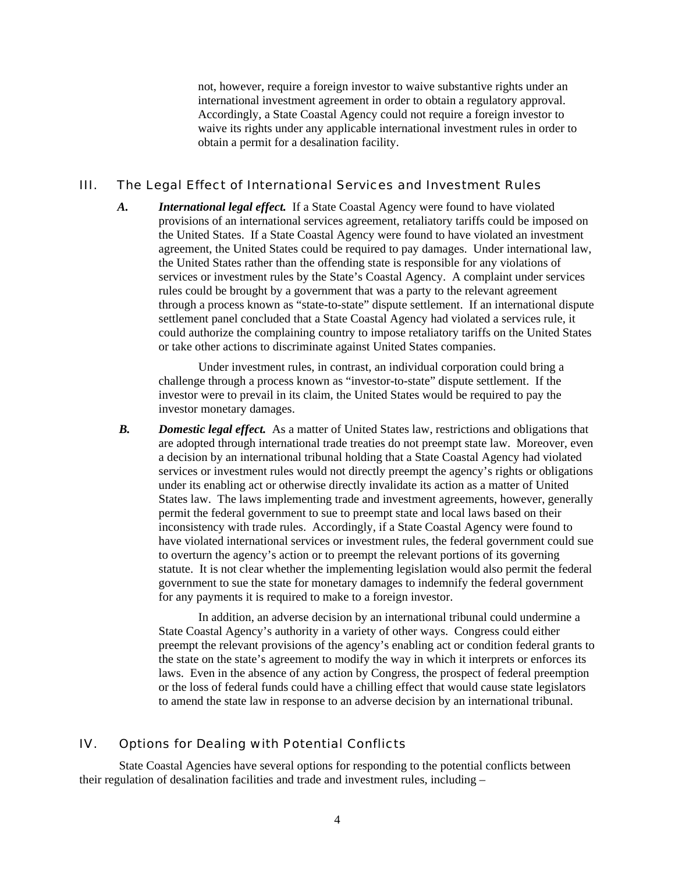not, however, require a foreign investor to waive substantive rights under an international investment agreement in order to obtain a regulatory approval. Accordingly, a State Coastal Agency could not require a foreign investor to waive its rights under any applicable international investment rules in order to obtain a permit for a desalination facility.

#### III. The Legal Effect of International Services and Investment Rules

*A. International legal effect.* If a State Coastal Agency were found to have violated provisions of an international services agreement, retaliatory tariffs could be imposed on the United States. If a State Coastal Agency were found to have violated an investment agreement, the United States could be required to pay damages. Under international law, the United States rather than the offending state is responsible for any violations of services or investment rules by the State's Coastal Agency. A complaint under services rules could be brought by a government that was a party to the relevant agreement through a process known as "state-to-state" dispute settlement. If an international dispute settlement panel concluded that a State Coastal Agency had violated a services rule, it could authorize the complaining country to impose retaliatory tariffs on the United States or take other actions to discriminate against United States companies.

Under investment rules, in contrast, an individual corporation could bring a challenge through a process known as "investor-to-state" dispute settlement. If the investor were to prevail in its claim, the United States would be required to pay the investor monetary damages.

*B. Domestic legal effect.* As a matter of United States law, restrictions and obligations that are adopted through international trade treaties do not preempt state law. Moreover, even a decision by an international tribunal holding that a State Coastal Agency had violated services or investment rules would not directly preempt the agency's rights or obligations under its enabling act or otherwise directly invalidate its action as a matter of United States law. The laws implementing trade and investment agreements, however, generally permit the federal government to sue to preempt state and local laws based on their inconsistency with trade rules. Accordingly, if a State Coastal Agency were found to have violated international services or investment rules, the federal government could sue to overturn the agency's action or to preempt the relevant portions of its governing statute. It is not clear whether the implementing legislation would also permit the federal government to sue the state for monetary damages to indemnify the federal government for any payments it is required to make to a foreign investor.

In addition, an adverse decision by an international tribunal could undermine a State Coastal Agency's authority in a variety of other ways. Congress could either preempt the relevant provisions of the agency's enabling act or condition federal grants to the state on the state's agreement to modify the way in which it interprets or enforces its laws. Even in the absence of any action by Congress, the prospect of federal preemption or the loss of federal funds could have a chilling effect that would cause state legislators to amend the state law in response to an adverse decision by an international tribunal.

# IV. Options for Dealing with Potential Conflicts

State Coastal Agencies have several options for responding to the potential conflicts between their regulation of desalination facilities and trade and investment rules, including –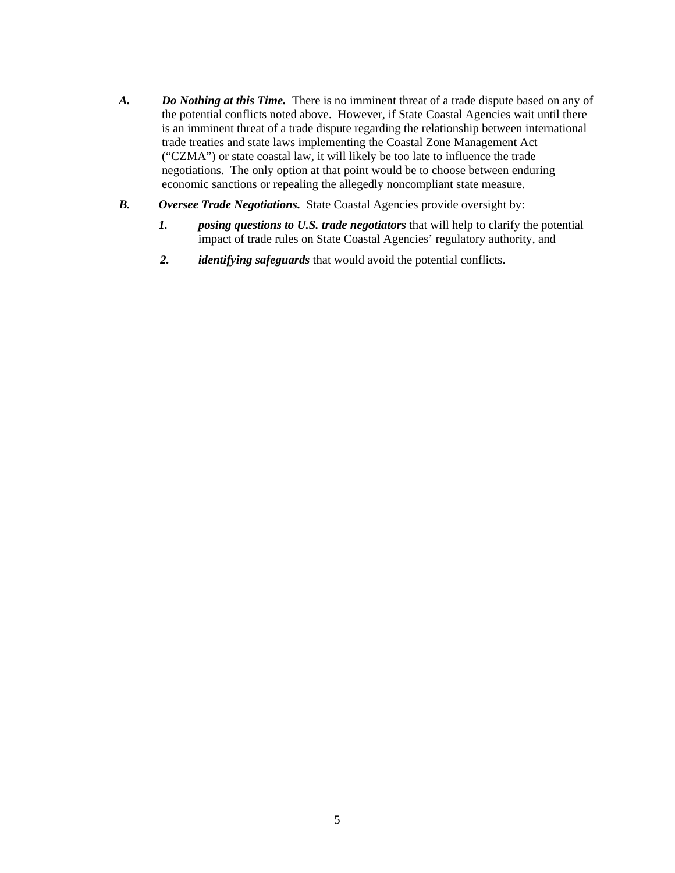- A. Do Nothing at this Time. There is no imminent threat of a trade dispute based on any of the potential conflicts noted above. However, if State Coastal Agencies wait until there is an imminent threat of a trade dispute regarding the relationship between international trade treaties and state laws implementing the Coastal Zone Management Act ("CZMA") or state coastal law, it will likely be too late to influence the trade negotiations. The only option at that point would be to choose between enduring economic sanctions or repealing the allegedly noncompliant state measure.
- *B. Oversee Trade Negotiations.* State Coastal Agencies provide oversight by:
	- *1. posing questions to U.S. trade negotiators* that will help to clarify the potential impact of trade rules on State Coastal Agencies' regulatory authority, and
	- *2. identifying safeguards* that would avoid the potential conflicts.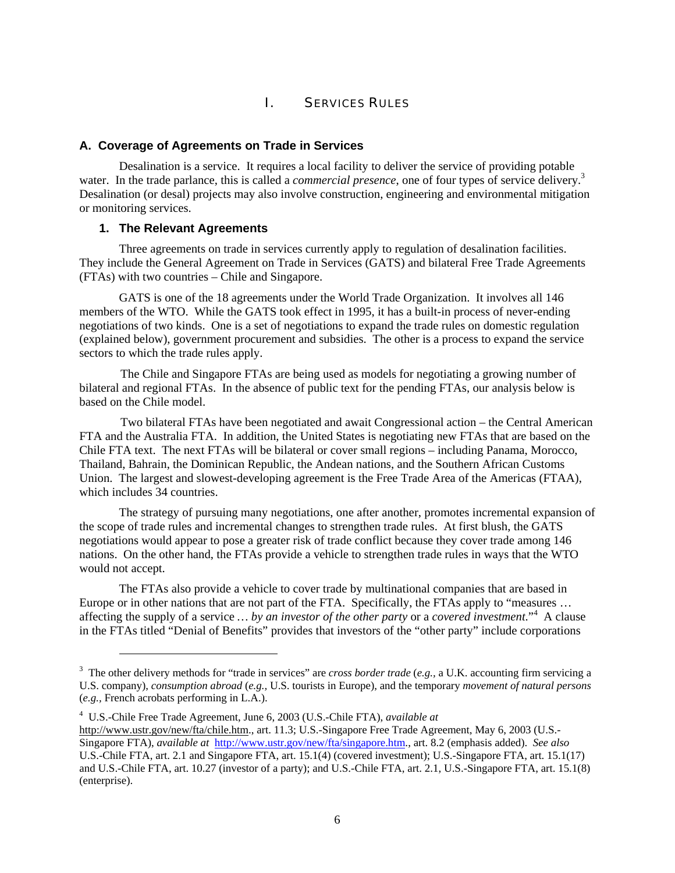# I. SERVICES RULES

#### <span id="page-7-0"></span>**A. Coverage of Agreements on Trade in Services**

Desalination is a service. It requires a local facility to deliver the service of providing potable water. In the trade parlance, this is called a *commercial presence*, one of four types of service delivery.<sup>3</sup> Desalination (or desal) projects may also involve construction, engineering and environmental mitigation or monitoring services.

#### **1. The Relevant Agreements**

l

Three agreements on trade in services currently apply to regulation of desalination facilities. They include the General Agreement on Trade in Services (GATS) and bilateral Free Trade Agreements (FTAs) with two countries – Chile and Singapore.

GATS is one of the 18 agreements under the World Trade Organization. It involves all 146 members of the WTO. While the GATS took effect in 1995, it has a built-in process of never-ending negotiations of two kinds. One is a set of negotiations to expand the trade rules on domestic regulation (explained below), government procurement and subsidies. The other is a process to expand the service sectors to which the trade rules apply.

The Chile and Singapore FTAs are being used as models for negotiating a growing number of bilateral and regional FTAs. In the absence of public text for the pending FTAs, our analysis below is based on the Chile model.

Two bilateral FTAs have been negotiated and await Congressional action – the Central American FTA and the Australia FTA. In addition, the United States is negotiating new FTAs that are based on the Chile FTA text. The next FTAs will be bilateral or cover small regions – including Panama, Morocco, Thailand, Bahrain, the Dominican Republic, the Andean nations, and the Southern African Customs Union. The largest and slowest-developing agreement is the Free Trade Area of the Americas (FTAA), which includes 34 countries.

The strategy of pursuing many negotiations, one after another, promotes incremental expansion of the scope of trade rules and incremental changes to strengthen trade rules. At first blush, the GATS negotiations would appear to pose a greater risk of trade conflict because they cover trade among 146 nations. On the other hand, the FTAs provide a vehicle to strengthen trade rules in ways that the WTO would not accept.

The FTAs also provide a vehicle to cover trade by multinational companies that are based in Europe or in other nations that are not part of the FTA. Specifically, the FTAs apply to "measures ... affecting the supply of a service *… by an investor of the other party* or a *covered investment*."[4](#page-7-2) A clause in the FTAs titled "Denial of Benefits" provides that investors of the "other party" include corporations

<span id="page-7-1"></span><sup>3</sup> The other delivery methods for "trade in services" are *cross border trade* (*e.g.,* a U.K. accounting firm servicing a U.S. company), *consumption abroad* (*e.g.,* U.S. tourists in Europe), and the temporary *movement of natural persons* (*e.g.,* French acrobats performing in L.A.).

<span id="page-7-2"></span><sup>4</sup> U.S.-Chile Free Trade Agreement, June 6, 2003 (U.S.-Chile FTA), *available at* [http://www.ustr.gov/new/fta/chile.htm.](http://www.ustr.gov/new/fta/chile.htm), art. 11.3; U.S.-Singapore Free Trade Agreement, May 6, 2003 (U.S.- Singapore FTA), *available at* [http://www.ustr.gov/new/fta/singapore.htm.](http://www.ustr.gov/new/fta/singapore.htm), art. 8.2 (emphasis added). *See also* U.S.-Chile FTA, art. 2.1 and Singapore FTA, art. 15.1(4) (covered investment); U.S.-Singapore FTA, art. 15.1(17) and U.S.-Chile FTA, art. 10.27 (investor of a party); and U.S.-Chile FTA, art. 2.1, U.S.-Singapore FTA, art. 15.1(8) (enterprise).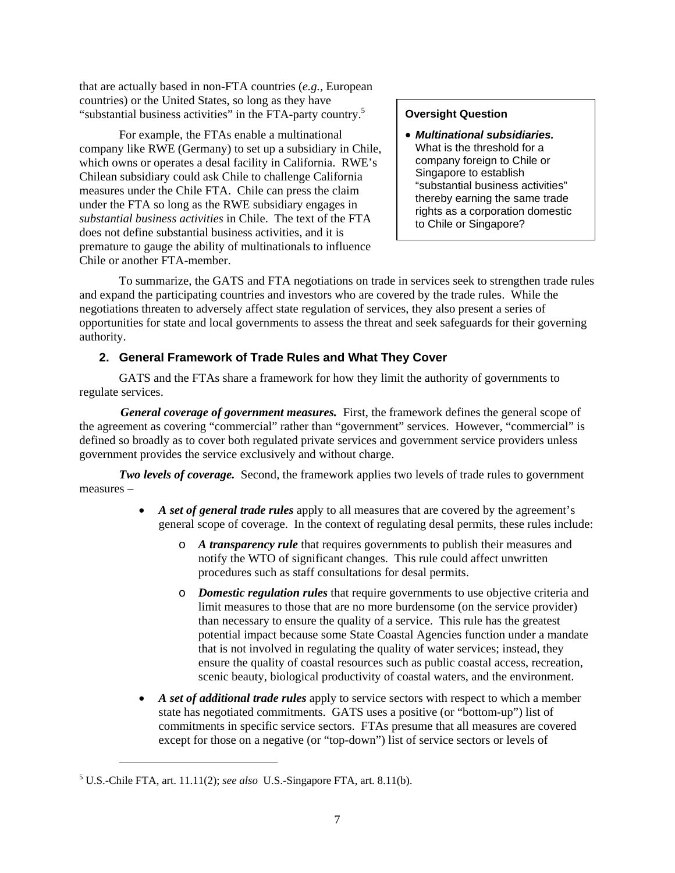<span id="page-8-0"></span>that are actually based in non-FTA countries (*e.g.,* European countries) or the United States, so long as they have "substantial business activities" in the FTA-party country.<sup>5</sup>

For example, the FTAs enable a multinational company like RWE (Germany) to set up a subsidiary in Chile, which owns or operates a desal facility in California. RWE's Chilean subsidiary could ask Chile to challenge California measures under the Chile FTA. Chile can press the claim under the FTA so long as the RWE subsidiary engages in *substantial business activities* in Chile. The text of the FTA does not define substantial business activities, and it is premature to gauge the ability of multinationals to influence Chile or another FTA-member.

#### **Oversight Question**

• *Multinational subsidiaries.* What is the threshold for a company foreign to Chile or Singapore to establish "substantial business activities" thereby earning the same trade rights as a corporation domestic to Chile or Singapore?

To summarize, the GATS and FTA negotiations on trade in services seek to strengthen trade rules and expand the participating countries and investors who are covered by the trade rules. While the negotiations threaten to adversely affect state regulation of services, they also present a series of opportunities for state and local governments to assess the threat and seek safeguards for their governing authority.

# **2. General Framework of Trade Rules and What They Cover**

GATS and the FTAs share a framework for how they limit the authority of governments to regulate services.

*General coverage of government measures.* First, the framework defines the general scope of the agreement as covering "commercial" rather than "government" services. However, "commercial" is defined so broadly as to cover both regulated private services and government service providers unless government provides the service exclusively and without charge.

*Two levels of coverage.* Second, the framework applies two levels of trade rules to government measures –

- *A set of general trade rules* apply to all measures that are covered by the agreement's general scope of coverage. In the context of regulating desal permits, these rules include:
	- o *A transparency rule* that requires governments to publish their measures and notify the WTO of significant changes. This rule could affect unwritten procedures such as staff consultations for desal permits.
	- o *Domestic regulation rules* that require governments to use objective criteria and limit measures to those that are no more burdensome (on the service provider) than necessary to ensure the quality of a service. This rule has the greatest potential impact because some State Coastal Agencies function under a mandate that is not involved in regulating the quality of water services; instead, they ensure the quality of coastal resources such as public coastal access, recreation, scenic beauty, biological productivity of coastal waters, and the environment.
- A *set of additional trade rules* apply to service sectors with respect to which a member state has negotiated commitments. GATS uses a positive (or "bottom-up") list of commitments in specific service sectors. FTAs presume that all measures are covered except for those on a negative (or "top-down") list of service sectors or levels of

1

<span id="page-8-1"></span> $<sup>5</sup>$  U.S.-Chile FTA, art. 11.11(2); *see also* U.S.-Singapore FTA, art. 8.11(b).</sup>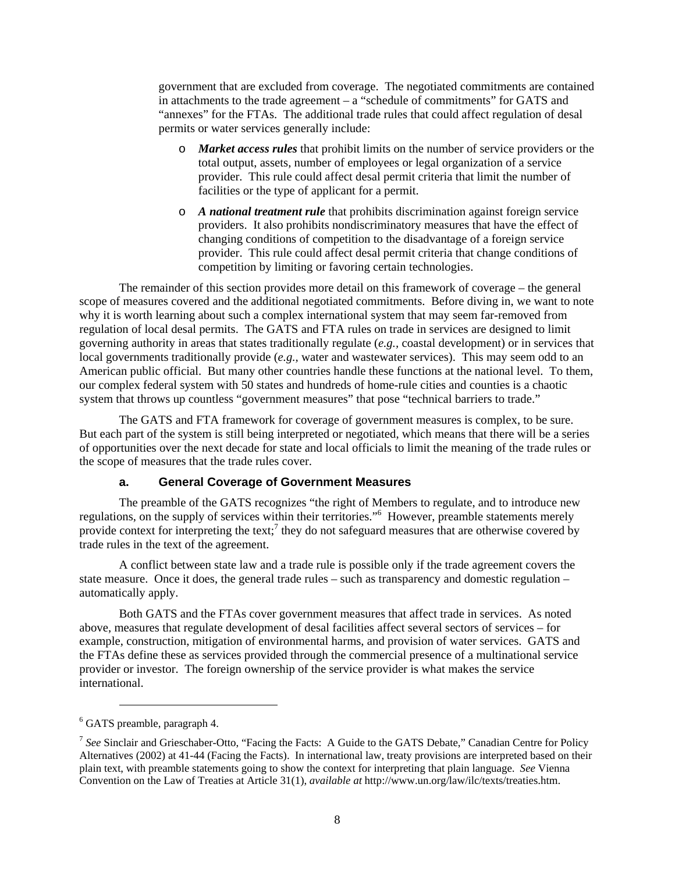<span id="page-9-0"></span>government that are excluded from coverage. The negotiated commitments are contained in attachments to the trade agreement – a "schedule of commitments" for GATS and "annexes" for the FTAs. The additional trade rules that could affect regulation of desal permits or water services generally include:

- o *Market access rules* that prohibit limits on the number of service providers or the total output, assets, number of employees or legal organization of a service provider. This rule could affect desal permit criteria that limit the number of facilities or the type of applicant for a permit.
- o *A national treatment rule* that prohibits discrimination against foreign service providers. It also prohibits nondiscriminatory measures that have the effect of changing conditions of competition to the disadvantage of a foreign service provider. This rule could affect desal permit criteria that change conditions of competition by limiting or favoring certain technologies.

The remainder of this section provides more detail on this framework of coverage – the general scope of measures covered and the additional negotiated commitments. Before diving in, we want to note why it is worth learning about such a complex international system that may seem far-removed from regulation of local desal permits. The GATS and FTA rules on trade in services are designed to limit governing authority in areas that states traditionally regulate (*e.g.,* coastal development) or in services that local governments traditionally provide (*e.g.,* water and wastewater services). This may seem odd to an American public official. But many other countries handle these functions at the national level. To them, our complex federal system with 50 states and hundreds of home-rule cities and counties is a chaotic system that throws up countless "government measures" that pose "technical barriers to trade."

The GATS and FTA framework for coverage of government measures is complex, to be sure. But each part of the system is still being interpreted or negotiated, which means that there will be a series of opportunities over the next decade for state and local officials to limit the meaning of the trade rules or the scope of measures that the trade rules cover.

#### **a. General Coverage of Government Measures**

The preamble of the GATS recognizes "the right of Members to regulate, and to introduce new regulations, on the supply of services within their territories."<sup>[6](#page-9-1)</sup> However, preamble statements merely provide context for interpreting the text;<sup>[7](#page-9-2)</sup> they do not safeguard measures that are otherwise covered by trade rules in the text of the agreement.

A conflict between state law and a trade rule is possible only if the trade agreement covers the state measure. Once it does, the general trade rules – such as transparency and domestic regulation – automatically apply.

Both GATS and the FTAs cover government measures that affect trade in services. As noted above, measures that regulate development of desal facilities affect several sectors of services – for example, construction, mitigation of environmental harms, and provision of water services. GATS and the FTAs define these as services provided through the commercial presence of a multinational service provider or investor. The foreign ownership of the service provider is what makes the service international.

<span id="page-9-1"></span><sup>6</sup> GATS preamble, paragraph 4.

<span id="page-9-2"></span><sup>7</sup> *See* Sinclair and Grieschaber-Otto, "Facing the Facts: A Guide to the GATS Debate," Canadian Centre for Policy Alternatives (2002) at 41-44 (Facing the Facts). In international law, treaty provisions are interpreted based on their plain text, with preamble statements going to show the context for interpreting that plain language. *See* Vienna Convention on the Law of Treaties at Article 31(1), *available at* http://www.un.org/law/ilc/texts/treaties.htm.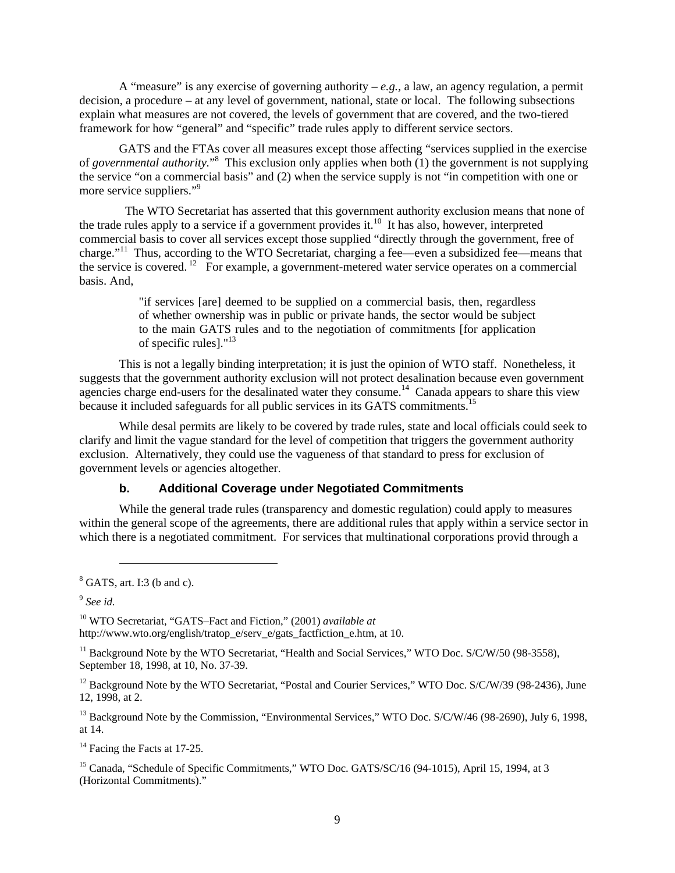<span id="page-10-0"></span>A "measure" is any exercise of governing authority  $-e, g, a$  law, an agency regulation, a permit decision, a procedure – at any level of government, national, state or local. The following subsections explain what measures are not covered, the levels of government that are covered, and the two-tiered framework for how "general" and "specific" trade rules apply to different service sectors.

GATS and the FTAs cover all measures except those affecting "services supplied in the exercise of *governmental authority.*" [8](#page-10-1) This exclusion only applies when both (1) the government is not supplying the service "on a commercial basis" and (2) when the service supply is not "in competition with one or more service suppliers."<sup>[9](#page-10-2)</sup>

 The WTO Secretariat has asserted that this government authority exclusion means that none of the trade rules apply to a service if a government provides it.<sup>10</sup> It has also, however, interpreted commercial basis to cover all services except those supplied "directly through the government, free of charge."<sup>11</sup> Thus, according to the WTO Secretariat, charging a fee—even a subsidized fee—means that the service is covered.  $12$  For example, a government-metered water service operates on a commercial basis. And,

> "if services [are] deemed to be supplied on a commercial basis, then, regardless of whether ownership was in public or private hands, the sector would be subject to the main GATS rules and to the negotiation of commitments [for application of specific rules]."[13](#page-10-6)

This is not a legally binding interpretation; it is just the opinion of WTO staff. Nonetheless, it suggests that the government authority exclusion will not protect desalination because even government agencies charge end-users for the desalinated water they consume.<sup>14</sup> Canada appears to share this view because it included safeguards for all public services in its GATS commitments.<sup>15</sup>

While desal permits are likely to be covered by trade rules, state and local officials could seek to clarify and limit the vague standard for the level of competition that triggers the government authority exclusion. Alternatively, they could use the vagueness of that standard to press for exclusion of government levels or agencies altogether.

#### **b. Additional Coverage under Negotiated Commitments**

While the general trade rules (transparency and domestic regulation) could apply to measures within the general scope of the agreements, there are additional rules that apply within a service sector in which there is a negotiated commitment. For services that multinational corporations provid through a

l

<span id="page-10-2"></span><sup>9</sup> *See id.*

<span id="page-10-3"></span>10 WTO Secretariat, "GATS–Fact and Fiction," (2001) *available at* [http://www.](http://www/)wto.org/english/tratop\_e/serv\_e/gats\_factfiction\_e.htm, at 10.

<span id="page-10-4"></span><sup>11</sup> Background Note by the WTO Secretariat, "Health and Social Services," WTO Doc. S/C/W/50 (98-3558), September 18, 1998, at 10, No. 37-39.

<span id="page-10-5"></span><sup>12</sup> Background Note by the WTO Secretariat, "Postal and Courier Services," WTO Doc. S/C/W/39 (98-2436), June 12, 1998, at 2.

<span id="page-10-6"></span><sup>13</sup> Background Note by the Commission, "Environmental Services," WTO Doc. S/C/W/46 (98-2690), July 6, 1998, at 14.

<span id="page-10-7"></span><sup>14</sup> Facing the Facts at 17-25.

<span id="page-10-8"></span><sup>15</sup> Canada, "Schedule of Specific Commitments," WTO Doc. GATS/SC/16 (94-1015), April 15, 1994, at 3 (Horizontal Commitments)."

<span id="page-10-1"></span><sup>8</sup> GATS, art. I:3 (b and c).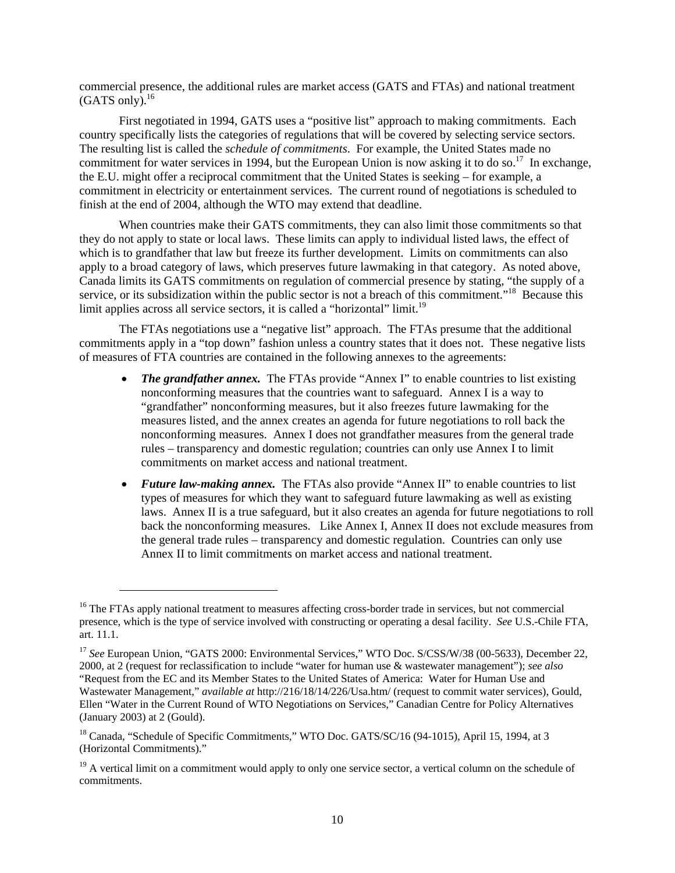commercial presence, the additional rules are market access (GATS and FTAs) and national treatment  $(GATS \text{ only})$ .<sup>[16](#page-11-0)</sup>

First negotiated in 1994, GATS uses a "positive list" approach to making commitments. Each country specifically lists the categories of regulations that will be covered by selecting service sectors. The resulting list is called the *schedule of commitments*. For example, the United States made no commitment for water services in 1994, but the European Union is now asking it to do so.<sup>17</sup> In exchange, the E.U. might offer a reciprocal commitment that the United States is seeking – for example, a commitment in electricity or entertainment services. The current round of negotiations is scheduled to finish at the end of 2004, although the WTO may extend that deadline.

When countries make their GATS commitments, they can also limit those commitments so that they do not apply to state or local laws. These limits can apply to individual listed laws, the effect of which is to grandfather that law but freeze its further development. Limits on commitments can also apply to a broad category of laws, which preserves future lawmaking in that category. As noted above, Canada limits its GATS commitments on regulation of commercial presence by stating, "the supply of a service, or its subsidization within the public sector is not a breach of this commitment."<sup>18</sup> Because this limit applies across all service sectors, it is called a "horizontal" limit.<sup>[19](#page-11-3)</sup>

The FTAs negotiations use a "negative list" approach. The FTAs presume that the additional commitments apply in a "top down" fashion unless a country states that it does not. These negative lists of measures of FTA countries are contained in the following annexes to the agreements:

- *The grandfather annex.* The FTAs provide "Annex I" to enable countries to list existing nonconforming measures that the countries want to safeguard. Annex I is a way to "grandfather" nonconforming measures, but it also freezes future lawmaking for the measures listed, and the annex creates an agenda for future negotiations to roll back the nonconforming measures. Annex I does not grandfather measures from the general trade rules – transparency and domestic regulation; countries can only use Annex I to limit commitments on market access and national treatment.
- *Future law-making annex.* The FTAs also provide "Annex II" to enable countries to list types of measures for which they want to safeguard future lawmaking as well as existing laws. Annex II is a true safeguard, but it also creates an agenda for future negotiations to roll back the nonconforming measures. Like Annex I, Annex II does not exclude measures from the general trade rules – transparency and domestic regulation. Countries can only use Annex II to limit commitments on market access and national treatment.

1

<span id="page-11-0"></span><sup>&</sup>lt;sup>16</sup> The FTAs apply national treatment to measures affecting cross-border trade in services, but not commercial presence, which is the type of service involved with constructing or operating a desal facility. *See* U.S.-Chile FTA, art. 11.1.

<span id="page-11-1"></span><sup>&</sup>lt;sup>17</sup> See European Union, "GATS 2000: Environmental Services," WTO Doc. S/CSS/W/38 (00-5633), December 22, 2000, at 2 (request for reclassification to include "water for human use & wastewater management"); *see also* "Request from the EC and its Member States to the United States of America: Water for Human Use and Wastewater Management," *available at* http://216/18/14/226/Usa.htm/ (request to commit water services), Gould, Ellen "Water in the Current Round of WTO Negotiations on Services," Canadian Centre for Policy Alternatives (January 2003) at 2 (Gould).

<span id="page-11-2"></span><sup>&</sup>lt;sup>18</sup> Canada, "Schedule of Specific Commitments," WTO Doc. GATS/SC/16 (94-1015), April 15, 1994, at 3 (Horizontal Commitments)."

<span id="page-11-3"></span> $19$  A vertical limit on a commitment would apply to only one service sector, a vertical column on the schedule of commitments.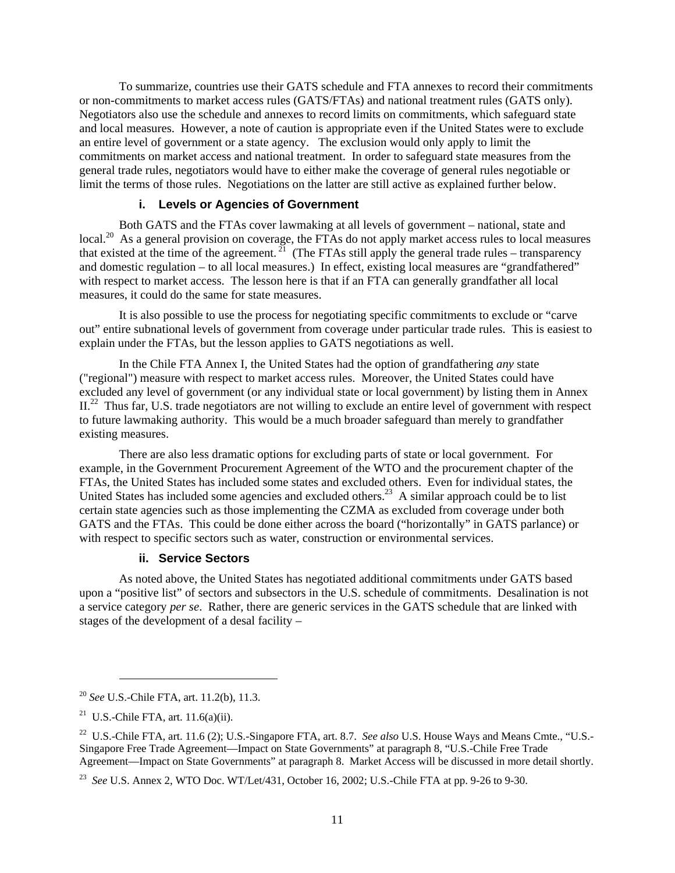<span id="page-12-0"></span>To summarize, countries use their GATS schedule and FTA annexes to record their commitments or non-commitments to market access rules (GATS/FTAs) and national treatment rules (GATS only). Negotiators also use the schedule and annexes to record limits on commitments, which safeguard state and local measures. However, a note of caution is appropriate even if the United States were to exclude an entire level of government or a state agency. The exclusion would only apply to limit the commitments on market access and national treatment. In order to safeguard state measures from the general trade rules, negotiators would have to either make the coverage of general rules negotiable or limit the terms of those rules. Negotiations on the latter are still active as explained further below.

#### **i. Levels or Agencies of Government**

Both GATS and the FTAs cover lawmaking at all levels of government – national, state and local.<sup>20</sup> As a general provision on coverage, the FTAs do not apply market access rules to local measures that existed at the time of the agreement.  $^{21}$  (The FTAs still apply the general trade rules – transparency and domestic regulation – to all local measures.) In effect, existing local measures are "grandfathered" with respect to market access. The lesson here is that if an FTA can generally grandfather all local measures, it could do the same for state measures.

It is also possible to use the process for negotiating specific commitments to exclude or "carve out" entire subnational levels of government from coverage under particular trade rules. This is easiest to explain under the FTAs, but the lesson applies to GATS negotiations as well.

In the Chile FTA Annex I, the United States had the option of grandfathering *any* state ("regional") measure with respect to market access rules. Moreover, the United States could have excluded any level of government (or any individual state or local government) by listing them in Annex  $II<sup>22</sup>$  Thus far, U.S. trade negotiators are not willing to exclude an entire level of government with respect to future lawmaking authority. This would be a much broader safeguard than merely to grandfather existing measures.

There are also less dramatic options for excluding parts of state or local government. For example, in the Government Procurement Agreement of the WTO and the procurement chapter of the FTAs, the United States has included some states and excluded others. Even for individual states, the United States has included some agencies and excluded others.<sup>23</sup> A similar approach could be to list certain state agencies such as those implementing the CZMA as excluded from coverage under both GATS and the FTAs. This could be done either across the board ("horizontally" in GATS parlance) or with respect to specific sectors such as water, construction or environmental services.

#### **ii. Service Sectors**

As noted above, the United States has negotiated additional commitments under GATS based upon a "positive list" of sectors and subsectors in the U.S. schedule of commitments. Desalination is not a service category *per se*. Rather, there are generic services in the GATS schedule that are linked with stages of the development of a desal facility –

<span id="page-12-1"></span><sup>20</sup> *See* U.S.-Chile FTA, art. 11.2(b), 11.3.

<span id="page-12-2"></span><sup>&</sup>lt;sup>21</sup> U.S.-Chile FTA, art.  $11.6(a)(ii)$ .

<span id="page-12-3"></span><sup>&</sup>lt;sup>22</sup> U.S.-Chile FTA, art. 11.6 (2); U.S.-Singapore FTA, art. 8.7. *See also* U.S. House Ways and Means Cmte., "U.S.-Singapore Free Trade Agreement—Impact on State Governments" at paragraph 8, "U.S.-Chile Free Trade Agreement—Impact on State Governments" at paragraph 8. Market Access will be discussed in more detail shortly.

<span id="page-12-4"></span><sup>23</sup> *See* U.S. Annex 2, WTO Doc. WT/Let/431, October 16, 2002; U.S.-Chile FTA at pp. 9-26 to 9-30.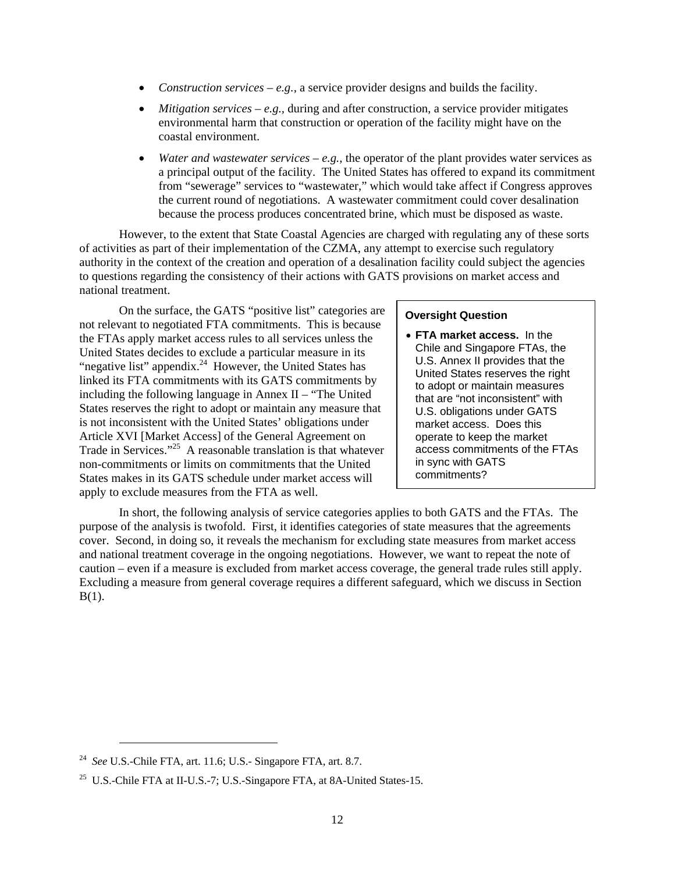- *Construction services e.g.,* a service provider designs and builds the facility.
- *Mitigation services e.g.*, during and after construction, a service provider mitigates environmental harm that construction or operation of the facility might have on the coastal environment.
- *Water and wastewater services e.g.,* the operator of the plant provides water services as a principal output of the facility. The United States has offered to expand its commitment from "sewerage" services to "wastewater," which would take affect if Congress approves the current round of negotiations. A wastewater commitment could cover desalination because the process produces concentrated brine, which must be disposed as waste.

However, to the extent that State Coastal Agencies are charged with regulating any of these sorts of activities as part of their implementation of the CZMA, any attempt to exercise such regulatory authority in the context of the creation and operation of a desalination facility could subject the agencies to questions regarding the consistency of their actions with GATS provisions on market access and national treatment.

On the surface, the GATS "positive list" categories are not relevant to negotiated FTA commitments. This is because the FTAs apply market access rules to all services unless the United States decides to exclude a particular measure in its "negative list" appendix.<sup>24</sup> However, the United States has linked its FTA commitments with its GATS commitments by including the following language in Annex II – "The United States reserves the right to adopt or maintain any measure that is not inconsistent with the United States' obligations under Article XVI [Market Access] of the General Agreement on Trade in Services."<sup>25</sup> A reasonable translation is that whatever non-commitments or limits on commitments that the United States makes in its GATS schedule under market access will apply to exclude measures from the FTA as well.

# **Oversight Question**

• **FTA market access.** In the Chile and Singapore FTAs, the U.S. Annex II provides that the United States reserves the right to adopt or maintain measures that are "not inconsistent" with U.S. obligations under GATS market access. Does this operate to keep the market access commitments of the FTAs in sync with GATS commitments?

 In short, the following analysis of service categories applies to both GATS and the FTAs. The purpose of the analysis is twofold. First, it identifies categories of state measures that the agreements cover. Second, in doing so, it reveals the mechanism for excluding state measures from market access and national treatment coverage in the ongoing negotiations. However, we want to repeat the note of caution – even if a measure is excluded from market access coverage, the general trade rules still apply. Excluding a measure from general coverage requires a different safeguard, which we discuss in Section  $B(1)$ .

<span id="page-13-0"></span><sup>24</sup> *See* U.S.-Chile FTA, art. 11.6; U.S.- Singapore FTA, art. 8.7.

<span id="page-13-1"></span><sup>&</sup>lt;sup>25</sup> U.S.-Chile FTA at II-U.S.-7; U.S.-Singapore FTA, at 8A-United States-15.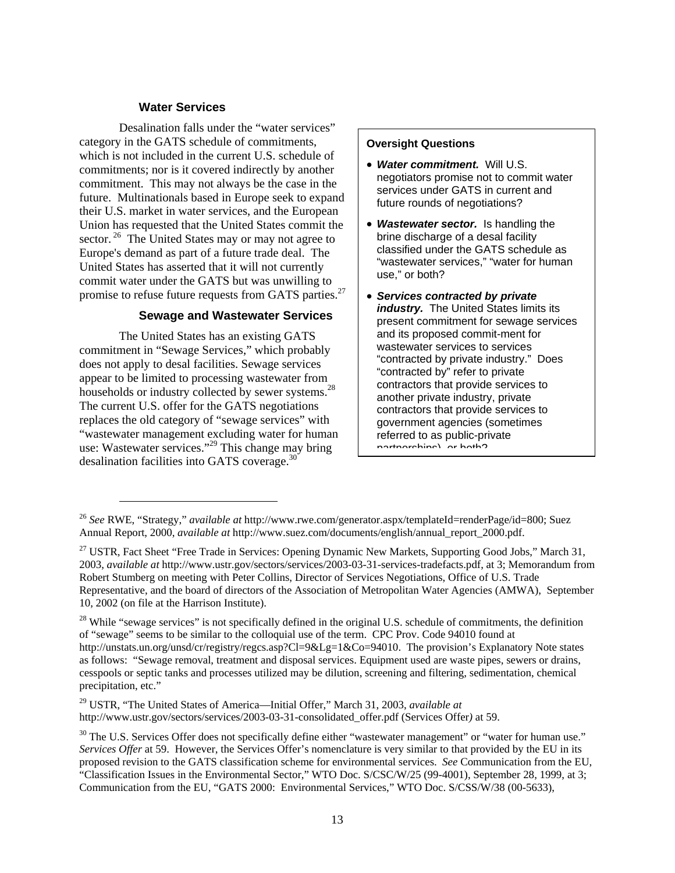#### **Water Services**

Desalination falls under the "water services" category in the GATS schedule of commitments, which is not included in the current U.S. schedule of commitments; nor is it covered indirectly by another commitment. This may not always be the case in the future. Multinationals based in Europe seek to expand their U.S. market in water services, and the European Union has requested that the United States commit the sector.<sup>26</sup> The United States may or may not agree to Europe's demand as part of a future trade deal. The United States has asserted that it will not currently commit water under the GATS but was unwilling to promise to refuse future requests from GATS parties.<sup>[27](#page-14-1)</sup>

# **Sewage and Wastewater Services**

The United States has an existing GATS commitment in "Sewage Services," which probably does not apply to desal facilities. Sewage services appear to be limited to processing wastewater from households or industry collected by sewer systems.<sup>28</sup> The current U.S. offer for the GATS negotiations replaces the old category of "sewage services" with "wastewater management excluding water for human use: Wastewater services."<sup>29</sup> This change may bring desalination facilities into GATS coverage[.30](#page-14-4) 

1

#### **Oversight Questions**

- *Water commitment.* Will U.S. negotiators promise not to commit water services under GATS in current and future rounds of negotiations?
- *Wastewater sector.* Is handling the brine discharge of a desal facility classified under the GATS schedule as "wastewater services," "water for human use," or both?
- *Services contracted by private industry.* The United States limits its present commitment for sewage services and its proposed commit-ment for wastewater services to services "contracted by private industry." Does "contracted by" refer to private contractors that provide services to another private industry, private contractors that provide services to government agencies (sometimes referred to as public-private partnerships) or both?

<span id="page-14-3"></span>29 USTR, "The United States of America—Initial Offer," March 31, 2003, *available at* http://www.ustr.gov/sectors/services/2003-03-31-consolidated\_offer.pdf (Services Offer*)* at 59.

<span id="page-14-0"></span><sup>26</sup> *See* RWE, "Strategy," *available at* [http://www](http://www/).rwe.com/generator.aspx/templateId=renderPage/id=800; Suez Annual Report, 2000, *available at* http://www.suez.com/documents/english/annual\_report\_2000.pdf.

<span id="page-14-1"></span><sup>&</sup>lt;sup>27</sup> USTR, Fact Sheet "Free Trade in Services: Opening Dynamic New Markets, Supporting Good Jobs," March 31, 2003, *available at* [http://www.](http://www/)ustr.gov/sectors/services/2003-03-31-services-tradefacts.pdf, at 3; Memorandum from Robert Stumberg on meeting with Peter Collins, Director of Services Negotiations, Office of U.S. Trade Representative, and the board of directors of the Association of Metropolitan Water Agencies (AMWA), September 10, 2002 (on file at the Harrison Institute).

<span id="page-14-2"></span><sup>&</sup>lt;sup>28</sup> While "sewage services" is not specifically defined in the original U.S. schedule of commitments, the definition of "sewage" seems to be similar to the colloquial use of the term. CPC Prov. Code 94010 found at [http://unstats.](http://unstats/)un.org/unsd/cr/registry/regcs.asp?Cl=9&Lg=1&Co=94010. The provision's Explanatory Note states as follows: "Sewage removal, treatment and disposal services. Equipment used are waste pipes, sewers or drains, cesspools or septic tanks and processes utilized may be dilution, screening and filtering, sedimentation, chemical precipitation, etc."

<span id="page-14-4"></span><sup>&</sup>lt;sup>30</sup> The U.S. Services Offer does not specifically define either "wastewater management" or "water for human use." *Services Offer* at 59. However, the Services Offer's nomenclature is very similar to that provided by the EU in its proposed revision to the GATS classification scheme for environmental services. *See* Communication from the EU, "Classification Issues in the Environmental Sector," WTO Doc. S/CSC/W/25 (99-4001), September 28, 1999, at 3; Communication from the EU, "GATS 2000: Environmental Services," WTO Doc. S/CSS/W/38 (00-5633),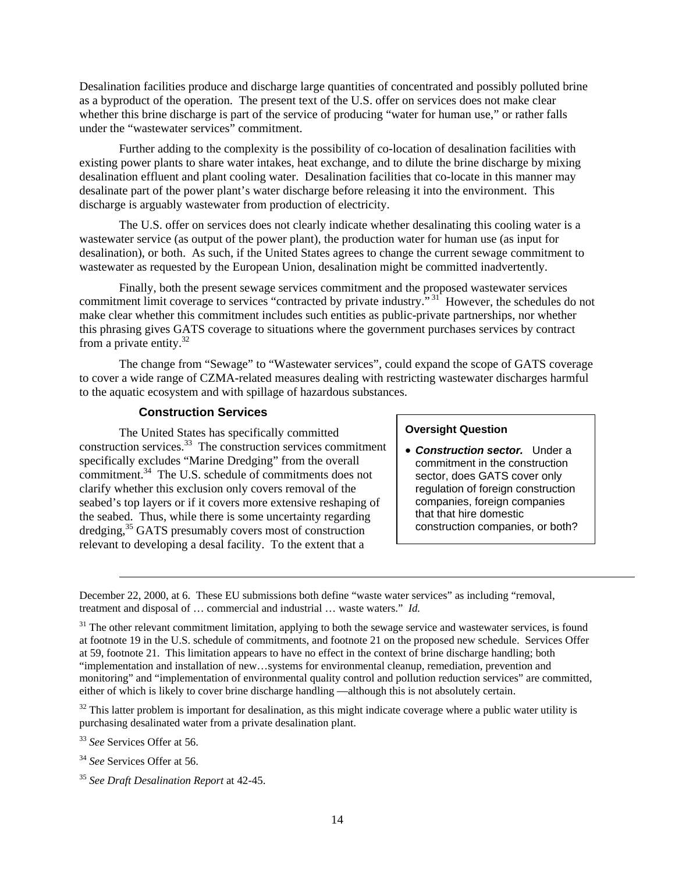Desalination facilities produce and discharge large quantities of concentrated and possibly polluted brine as a byproduct of the operation. The present text of the U.S. offer on services does not make clear whether this brine discharge is part of the service of producing "water for human use," or rather falls under the "wastewater services" commitment.

Further adding to the complexity is the possibility of co-location of desalination facilities with existing power plants to share water intakes, heat exchange, and to dilute the brine discharge by mixing desalination effluent and plant cooling water. Desalination facilities that co-locate in this manner may desalinate part of the power plant's water discharge before releasing it into the environment. This discharge is arguably wastewater from production of electricity.

The U.S. offer on services does not clearly indicate whether desalinating this cooling water is a wastewater service (as output of the power plant), the production water for human use (as input for desalination), or both. As such, if the United States agrees to change the current sewage commitment to wastewater as requested by the European Union, desalination might be committed inadvertently.

Finally, both the present sewage services commitment and the proposed wastewater services commitment limit coverage to services "contracted by private industry."<sup>31</sup> However, the schedules do not make clear whether this commitment includes such entities as public-private partnerships, nor whether this phrasing gives GATS coverage to situations where the government purchases services by contract from a private entity.<sup>32</sup>

The change from "Sewage" to "Wastewater services", could expand the scope of GATS coverage to cover a wide range of CZMA-related measures dealing with restricting wastewater discharges harmful to the aquatic ecosystem and with spillage of hazardous substances.

# **Construction Services**

The United States has specifically committed construction services.[33](#page-15-2) The construction services commitment specifically excludes "Marine Dredging" from the overall commitment.[34](#page-15-3) The U.S. schedule of commitments does not clarify whether this exclusion only covers removal of the seabed's top layers or if it covers more extensive reshaping of the seabed. Thus, while there is some uncertainty regarding dredging, [35 G](#page-15-4)ATS presumably covers most of construction relevant to developing a desal facility. To the extent that a

#### **Oversight Question**

• *Construction sector.* Under a commitment in the construction sector, does GATS cover only regulation of foreign construction companies, foreign companies that that hire domestic construction companies, or both?

<span id="page-15-1"></span> $32$  This latter problem is important for desalination, as this might indicate coverage where a public water utility is purchasing desalinated water from a private desalination plant.

<span id="page-15-2"></span><sup>33</sup> *See* Services Offer at 56.

1

<span id="page-15-3"></span><sup>34</sup> *See* Services Offer at 56.

December 22, 2000, at 6. These EU submissions both define "waste water services" as including "removal, treatment and disposal of … commercial and industrial … waste waters." *Id.*

<span id="page-15-0"></span> $31$  The other relevant commitment limitation, applying to both the sewage service and wastewater services, is found at footnote 19 in the U.S. schedule of commitments, and footnote 21 on the proposed new schedule. Services Offer at 59, footnote 21. This limitation appears to have no effect in the context of brine discharge handling; both "implementation and installation of new…systems for environmental cleanup, remediation, prevention and monitoring" and "implementation of environmental quality control and pollution reduction services" are committed, either of which is likely to cover brine discharge handling —although this is not absolutely certain.

<span id="page-15-4"></span><sup>35</sup> *See Draft Desalination Report* at 42-45.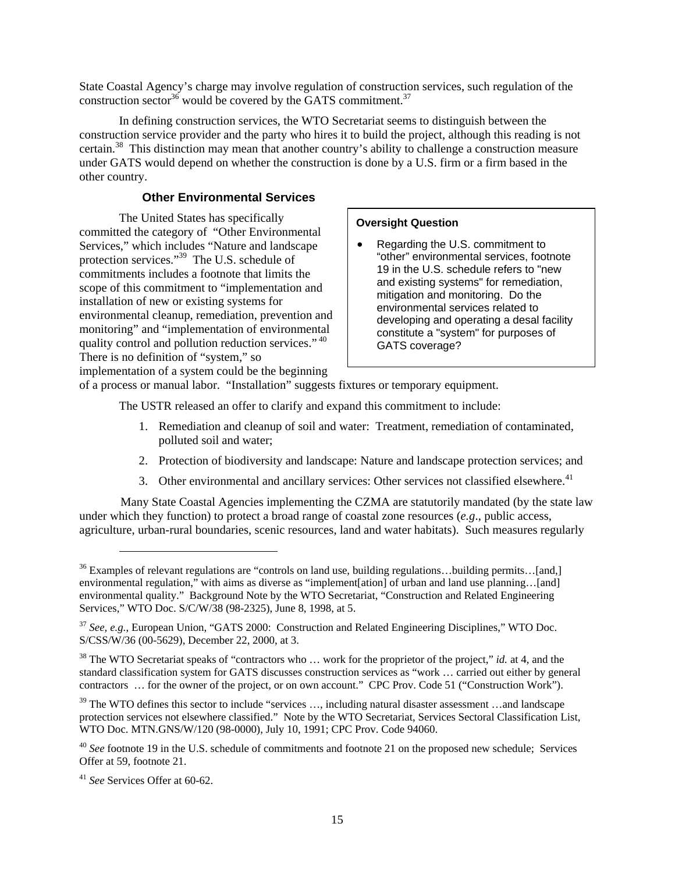State Coastal Agency's charge may involve regulation of construction services, such regulation of the construction sector<sup>36</sup> would be covered by the GATS commitment.<sup>37</sup>

In defining construction services, the WTO Secretariat seems to distinguish between the construction service provider and the party who hires it to build the project, although this reading is not certain.[38](#page-16-2) This distinction may mean that another country's ability to challenge a construction measure under GATS would depend on whether the construction is done by a U.S. firm or a firm based in the other country.

## **Other Environmental Services**

The United States has specifically committed the category of "Other Environmental Services," which includes "Nature and landscape protection services."[39](#page-16-3) The U.S. schedule of commitments includes a footnote that limits the scope of this commitment to "implementation and installation of new or existing systems for environmental cleanup, remediation, prevention and monitoring" and "implementation of environmental quality control and pollution reduction services." [40](#page-16-4)  There is no definition of "system," so implementation of a system could be the beginning

#### **Oversight Question**

• Regarding the U.S. commitment to "other" environmental services, footnote 19 in the U.S. schedule refers to "new and existing systems" for remediation, mitigation and monitoring. Do the environmental services related to developing and operating a desal facility constitute a "system" for purposes of GATS coverage?

of a process or manual labor. "Installation" suggests fixtures or temporary equipment.

The USTR released an offer to clarify and expand this commitment to include:

- 1. Remediation and cleanup of soil and water: Treatment, remediation of contaminated, polluted soil and water;
- 2. Protection of biodiversity and landscape: Nature and landscape protection services; and
- 3. Other environmental and ancillary services: Other services not classified elsewhere.<sup>41</sup>

Many State Coastal Agencies implementing the CZMA are statutorily mandated (by the state law under which they function) to protect a broad range of coastal zone resources (*e.g*., public access, agriculture, urban-rural boundaries, scenic resources, land and water habitats). Such measures regularly

1

<span id="page-16-0"></span><sup>&</sup>lt;sup>36</sup> Examples of relevant regulations are "controls on land use, building regulations...building permits...[and,] environmental regulation," with aims as diverse as "implement[ation] of urban and land use planning…[and] environmental quality." Background Note by the WTO Secretariat, "Construction and Related Engineering Services," WTO Doc. S/C/W/38 (98-2325), June 8, 1998, at 5.

<span id="page-16-1"></span><sup>37</sup> *See, e.g.*, European Union, "GATS 2000: Construction and Related Engineering Disciplines," WTO Doc. S/CSS/W/36 (00-5629), December 22, 2000, at 3.

<span id="page-16-2"></span><sup>&</sup>lt;sup>38</sup> The WTO Secretariat speaks of "contractors who ... work for the proprietor of the project," *id.* at 4, and the standard classification system for GATS discusses construction services as "work … carried out either by general contractors … for the owner of the project, or on own account." CPC Prov. Code 51 ("Construction Work").

<span id="page-16-3"></span><sup>&</sup>lt;sup>39</sup> The WTO defines this sector to include "services ..., including natural disaster assessment ...and landscape protection services not elsewhere classified." Note by the WTO Secretariat, Services Sectoral Classification List, WTO Doc. MTN.GNS/W/120 (98-0000), July 10, 1991; CPC Prov. Code 94060.

<span id="page-16-4"></span><sup>&</sup>lt;sup>40</sup> See footnote 19 in the U.S. schedule of commitments and footnote 21 on the proposed new schedule; Services Offer at 59, footnote 21.

<span id="page-16-5"></span><sup>41</sup> *See* Services Offer at 60-62.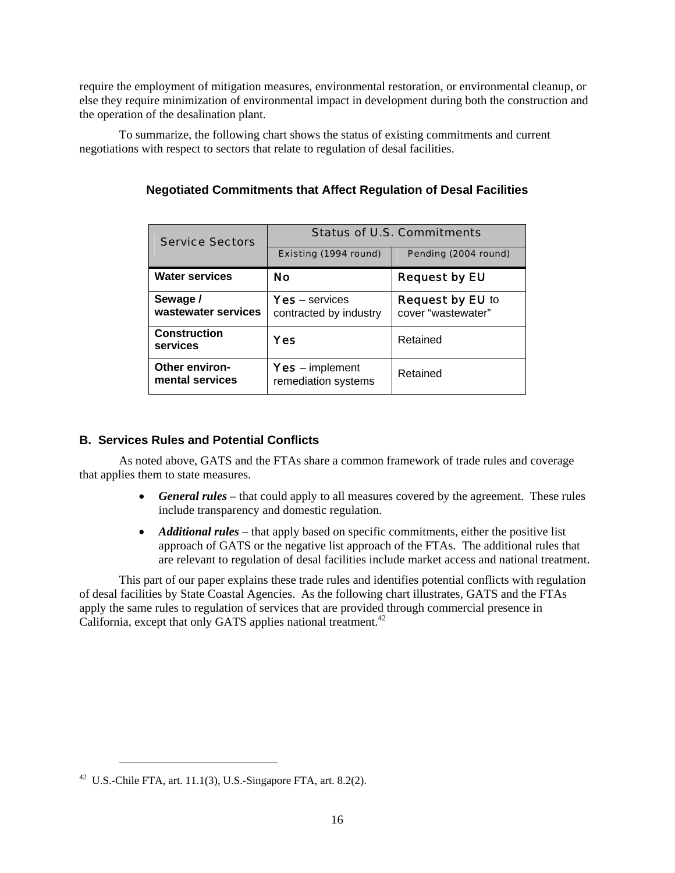<span id="page-17-0"></span>require the employment of mitigation measures, environmental restoration, or environmental cleanup, or else they require minimization of environmental impact in development during both the construction and the operation of the desalination plant.

To summarize, the following chart shows the status of existing commitments and current negotiations with respect to sectors that relate to regulation of desal facilities.

| <b>Service Sectors</b>                   | <b>Status of U.S. Commitments</b>             |                                               |  |
|------------------------------------------|-----------------------------------------------|-----------------------------------------------|--|
|                                          | Existing (1994 round)                         | Pending (2004 round)                          |  |
| <b>Water services</b>                    | <b>No</b>                                     | <b>Request by EU</b>                          |  |
| Sewage /<br>wastewater services          | $Yes - services$<br>contracted by industry    | <b>Request by EU to</b><br>cover "wastewater" |  |
| <b>Construction</b><br>services          | Yes                                           | Retained                                      |  |
| <b>Other environ-</b><br>mental services | <b>Yes</b> – implement<br>remediation systems | Retained                                      |  |

# **Negotiated Commitments that Affect Regulation of Desal Facilities**

# **B. Services Rules and Potential Conflicts**

As noted above, GATS and the FTAs share a common framework of trade rules and coverage that applies them to state measures.

- *General rules* that could apply to all measures covered by the agreement. These rules include transparency and domestic regulation.
- *Additional rules* that apply based on specific commitments, either the positive list approach of GATS or the negative list approach of the FTAs. The additional rules that are relevant to regulation of desal facilities include market access and national treatment.

This part of our paper explains these trade rules and identifies potential conflicts with regulation of desal facilities by State Coastal Agencies. As the following chart illustrates, GATS and the FTAs apply the same rules to regulation of services that are provided through commercial presence in California, except that only GATS applies national treatment.<sup>42</sup>

<span id="page-17-1"></span> $42$  U.S.-Chile FTA, art. 11.1(3), U.S.-Singapore FTA, art. 8.2(2).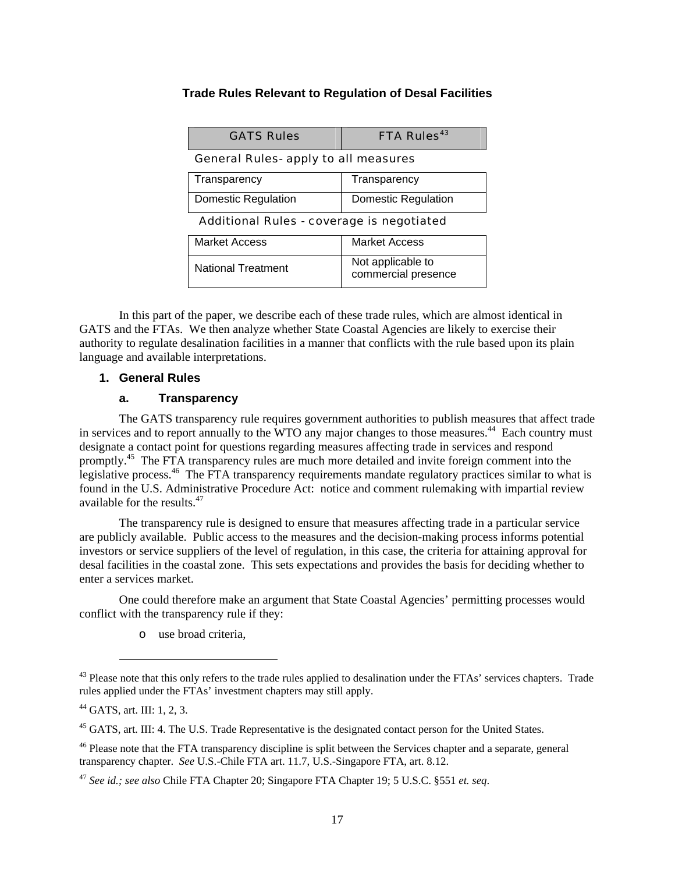# <span id="page-18-0"></span>**Trade Rules Relevant to Regulation of Desal Facilities**

| <b>GATS Rules</b>                           | <b>FTA Rules</b> <sup>43</sup>           |  |  |  |  |  |
|---------------------------------------------|------------------------------------------|--|--|--|--|--|
| <b>General Rules- apply to all measures</b> |                                          |  |  |  |  |  |
| Transparency                                | Transparency                             |  |  |  |  |  |
| Domestic Regulation                         | Domestic Regulation                      |  |  |  |  |  |
| Additional Rules - coverage is negotiated   |                                          |  |  |  |  |  |
| <b>Market Access</b>                        | <b>Market Access</b>                     |  |  |  |  |  |
| <b>National Treatment</b>                   | Not applicable to<br>commercial presence |  |  |  |  |  |

In this part of the paper, we describe each of these trade rules, which are almost identical in GATS and the FTAs. We then analyze whether State Coastal Agencies are likely to exercise their authority to regulate desalination facilities in a manner that conflicts with the rule based upon its plain language and available interpretations.

# **1. General Rules**

#### **a. Transparency**

The GATS transparency rule requires government authorities to publish measures that affect trade in services and to report annually to the WTO any major changes to those measures.<sup>44</sup> Each country must designate a contact point for questions regarding measures affecting trade in services and respond promptly.<sup>45</sup> The FTA transparency rules are much more detailed and invite foreign comment into the legislative process.[46](#page-18-4) The FTA transparency requirements mandate regulatory practices similar to what is found in the U.S. Administrative Procedure Act: notice and comment rulemaking with impartial review available for the results.[47](#page-18-5)

The transparency rule is designed to ensure that measures affecting trade in a particular service are publicly available. Public access to the measures and the decision-making process informs potential investors or service suppliers of the level of regulation, in this case, the criteria for attaining approval for desal facilities in the coastal zone. This sets expectations and provides the basis for deciding whether to enter a services market.

One could therefore make an argument that State Coastal Agencies' permitting processes would conflict with the transparency rule if they:

o use broad criteria,

<span id="page-18-1"></span> $43$  Please note that this only refers to the trade rules applied to desalination under the FTAs' services chapters. Trade rules applied under the FTAs' investment chapters may still apply.

<span id="page-18-2"></span><sup>44</sup> GATS, art. III: 1, 2, 3.

<span id="page-18-3"></span><sup>&</sup>lt;sup>45</sup> GATS, art. III: 4. The U.S. Trade Representative is the designated contact person for the United States.

<span id="page-18-4"></span><sup>&</sup>lt;sup>46</sup> Please note that the FTA transparency discipline is split between the Services chapter and a separate, general transparency chapter. *See* U.S.-Chile FTA art. 11.7, U.S.-Singapore FTA, art. 8.12.

<span id="page-18-5"></span><sup>47</sup> *See id.; see also* Chile FTA Chapter 20; Singapore FTA Chapter 19; 5 U.S.C. §551 *et. seq*.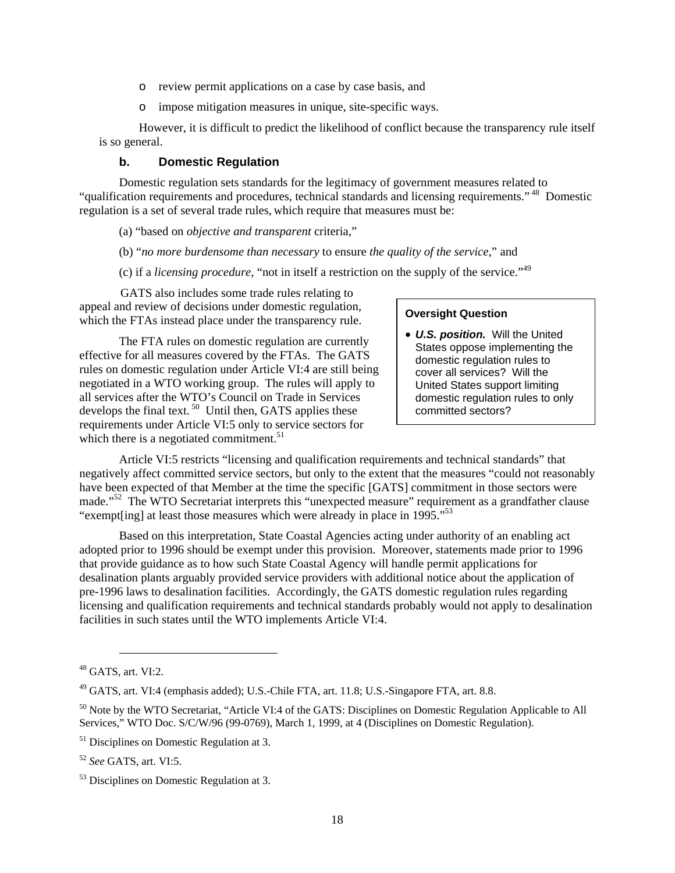- o review permit applications on a case by case basis, and
- o impose mitigation measures in unique, site-specific ways.

<span id="page-19-0"></span>However, it is difficult to predict the likelihood of conflict because the transparency rule itself is so general.

#### **b. Domestic Regulation**

Domestic regulation sets standards for the legitimacy of government measures related to "qualification requirements and procedures, technical standards and licensing requirements." [48](#page-19-1) Domestic regulation is a set of several trade rules, which require that measures must be:

(a) "based on *objective and transparent* criteria,"

(b) "*no more burdensome than necessary* to ensure *the quality of the service*," and

(c) if a *licensing procedure*, "not in itself a restriction on the supply of the service."[49](#page-19-2) 

GATS also includes some trade rules relating to appeal and review of decisions under domestic regulation, appear and review of decisions under domestic regulation,<br>which the FTAs instead place under the transparency rule.

The FTA rules on domestic regulation are currently effective for all measures covered by the FTAs. The GATS rules on domestic regulation under Article VI:4 are still being negotiated in a WTO working group. The rules will apply to all services after the WTO's Council on Trade in Services develops the final text.  $50$  Until then, GATS applies these requirements under Article VI:5 only to service sectors for which there is a negotiated commitment. $51$ 

• *U.S. position.* Will the United States oppose implementing the domestic regulation rules to cover all services? Will the United States support limiting domestic regulation rules to only committed sectors?

Article VI:5 restricts "licensing and qualification requirements and technical standards" that negatively affect committed service sectors, but only to the extent that the measures "could not reasonably have been expected of that Member at the time the specific [GATS] commitment in those sectors were made."<sup>52</sup> The WTO Secretariat interprets this "unexpected measure" requirement as a grandfather clause "exempt [ing] at least those measures which were already in place in 1995."<sup>53</sup>

Based on this interpretation, State Coastal Agencies acting under authority of an enabling act adopted prior to 1996 should be exempt under this provision. Moreover, statements made prior to 1996 that provide guidance as to how such State Coastal Agency will handle permit applications for desalination plants arguably provided service providers with additional notice about the application of pre-1996 laws to desalination facilities. Accordingly, the GATS domestic regulation rules regarding licensing and qualification requirements and technical standards probably would not apply to desalination facilities in such states until the WTO implements Article VI:4.

<span id="page-19-1"></span>l  $48$  GATS, art. VI:2.

<span id="page-19-2"></span><sup>49</sup> GATS, art. VI:4 (emphasis added); U.S.-Chile FTA, art. 11.8; U.S.-Singapore FTA, art. 8.8.

<span id="page-19-3"></span><sup>&</sup>lt;sup>50</sup> Note by the WTO Secretariat, "Article VI:4 of the GATS: Disciplines on Domestic Regulation Applicable to All Services," WTO Doc. S/C/W/96 (99-0769), March 1, 1999, at 4 (Disciplines on Domestic Regulation).

<span id="page-19-4"></span><sup>&</sup>lt;sup>51</sup> Disciplines on Domestic Regulation at 3.

<span id="page-19-5"></span><sup>52</sup> *See* GATS, art. VI:5.

<span id="page-19-6"></span><sup>53</sup> Disciplines on Domestic Regulation at 3.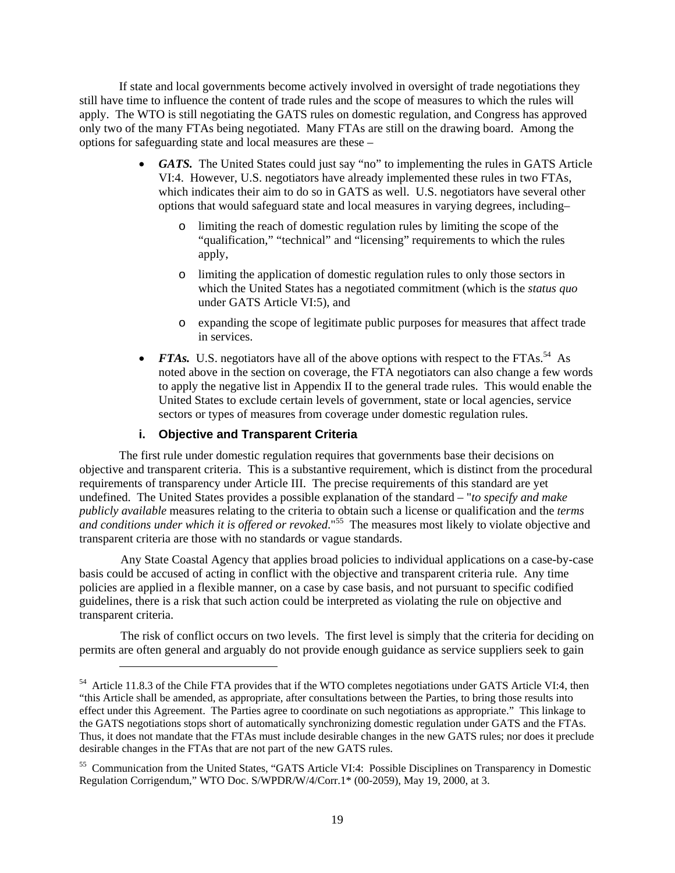<span id="page-20-0"></span>If state and local governments become actively involved in oversight of trade negotiations they still have time to influence the content of trade rules and the scope of measures to which the rules will apply. The WTO is still negotiating the GATS rules on domestic regulation, and Congress has approved only two of the many FTAs being negotiated. Many FTAs are still on the drawing board. Among the options for safeguarding state and local measures are these –

- *GATS.* The United States could just say "no" to implementing the rules in GATS Article VI:4. However, U.S. negotiators have already implemented these rules in two FTAs, which indicates their aim to do so in GATS as well. U.S. negotiators have several other options that would safeguard state and local measures in varying degrees, including–
	- o limiting the reach of domestic regulation rules by limiting the scope of the "qualification," "technical" and "licensing" requirements to which the rules apply,
	- o limiting the application of domestic regulation rules to only those sectors in which the United States has a negotiated commitment (which is the *status quo* under GATS Article VI:5), and
	- o expanding the scope of legitimate public purposes for measures that affect trade in services.
- *FTAs.* U.S. negotiators have all of the above options with respect to the FTAs.<sup>54</sup> As noted above in the section on coverage, the FTA negotiators can also change a few words to apply the negative list in Appendix II to the general trade rules. This would enable the United States to exclude certain levels of government, state or local agencies, service sectors or types of measures from coverage under domestic regulation rules.

# **i. Objective and Transparent Criteria**

l

The first rule under domestic regulation requires that governments base their decisions on objective and transparent criteria. This is a substantive requirement, which is distinct from the procedural requirements of transparency under Article III. The precise requirements of this standard are yet undefined. The United States provides a possible explanation of the standard – "*to specify and make publicly available* measures relating to the criteria to obtain such a license or qualification and the *terms*  and conditions under which it is offered or revoked."<sup>55</sup> The measures most likely to violate objective and  $\alpha$ transparent criteria are those with no standards or vague standards.

Any State Coastal Agency that applies broad policies to individual applications on a case-by-case basis could be accused of acting in conflict with the objective and transparent criteria rule. Any time policies are applied in a flexible manner, on a case by case basis, and not pursuant to specific codified guidelines, there is a risk that such action could be interpreted as violating the rule on objective and transparent criteria.

The risk of conflict occurs on two levels. The first level is simply that the criteria for deciding on permits are often general and arguably do not provide enough guidance as service suppliers seek to gain

<span id="page-20-1"></span><sup>&</sup>lt;sup>54</sup> Article 11.8.3 of the Chile FTA provides that if the WTO completes negotiations under GATS Article VI:4, then "this Article shall be amended, as appropriate, after consultations between the Parties, to bring those results into effect under this Agreement. The Parties agree to coordinate on such negotiations as appropriate." This linkage to the GATS negotiations stops short of automatically synchronizing domestic regulation under GATS and the FTAs. Thus, it does not mandate that the FTAs must include desirable changes in the new GATS rules; nor does it preclude desirable changes in the FTAs that are not part of the new GATS rules.

<span id="page-20-2"></span><sup>55</sup> Communication from the United States, "GATS Article VI:4: Possible Disciplines on Transparency in Domestic Regulation Corrigendum," WTO Doc. S/WPDR/W/4/Corr.1\* (00-2059), May 19, 2000, at 3.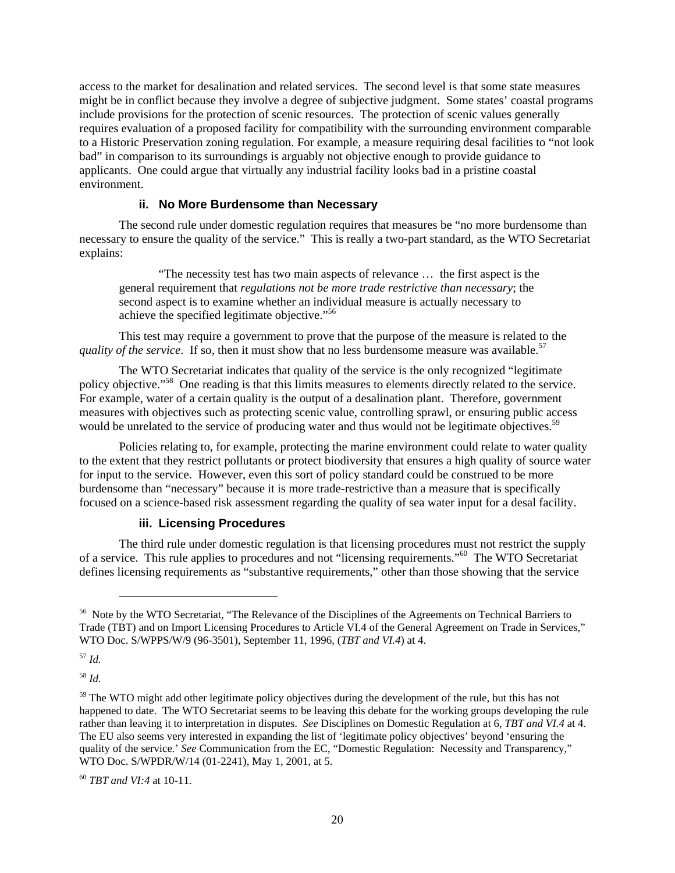<span id="page-21-0"></span>access to the market for desalination and related services. The second level is that some state measures might be in conflict because they involve a degree of subjective judgment. Some states' coastal programs include provisions for the protection of scenic resources. The protection of scenic values generally requires evaluation of a proposed facility for compatibility with the surrounding environment comparable to a Historic Preservation zoning regulation. For example, a measure requiring desal facilities to "not look bad" in comparison to its surroundings is arguably not objective enough to provide guidance to applicants. One could argue that virtually any industrial facility looks bad in a pristine coastal environment.

## **ii. No More Burdensome than Necessary**

The second rule under domestic regulation requires that measures be "no more burdensome than necessary to ensure the quality of the service." This is really a two-part standard, as the WTO Secretariat explains:

"The necessity test has two main aspects of relevance … the first aspect is the general requirement that *regulations not be more trade restrictive than necessary*; the second aspect is to examine whether an individual measure is actually necessary to achieve the specified legitimate objective."[56](#page-21-1) 

This test may require a government to prove that the purpose of the measure is related to the quality of the service. If so, then it must show that no less burdensome measure was available.<sup>57</sup>

The WTO Secretariat indicates that quality of the service is the only recognized "legitimate policy objective.["58](#page-21-3) One reading is that this limits measures to elements directly related to the service. For example, water of a certain quality is the output of a desalination plant. Therefore, government measures with objectives such as protecting scenic value, controlling sprawl, or ensuring public access would be unrelated to the service of producing water and thus would not be legitimate objectives.<sup>[59](#page-21-4)</sup>

Policies relating to, for example, protecting the marine environment could relate to water quality to the extent that they restrict pollutants or protect biodiversity that ensures a high quality of source water for input to the service. However, even this sort of policy standard could be construed to be more burdensome than "necessary" because it is more trade-restrictive than a measure that is specifically focused on a science-based risk assessment regarding the quality of sea water input for a desal facility.

#### **iii. Licensing Procedures**

The third rule under domestic regulation is that licensing procedures must not restrict the supply of a service. This rule applies to procedures and not "licensing requirements.["60](#page-21-5) The WTO Secretariat defines licensing requirements as "substantive requirements," other than those showing that the service

<span id="page-21-2"></span><sup>57</sup> *Id.*

l

<span id="page-21-3"></span><sup>58</sup> *Id.*

<span id="page-21-1"></span><sup>&</sup>lt;sup>56</sup> Note by the WTO Secretariat, "The Relevance of the Disciplines of the Agreements on Technical Barriers to Trade (TBT) and on Import Licensing Procedures to Article VI.4 of the General Agreement on Trade in Services," WTO Doc. S/WPPS/W/9 (96-3501), September 11, 1996, (*TBT and VI.4*) at 4.

<span id="page-21-4"></span><sup>&</sup>lt;sup>59</sup> The WTO might add other legitimate policy objectives during the development of the rule, but this has not happened to date. The WTO Secretariat seems to be leaving this debate for the working groups developing the rule rather than leaving it to interpretation in disputes. *See* Disciplines on Domestic Regulation at 6, *TBT and VI.4* at 4. The EU also seems very interested in expanding the list of 'legitimate policy objectives' beyond 'ensuring the quality of the service.' *See* Communication from the EC, "Domestic Regulation: Necessity and Transparency," WTO Doc. S/WPDR/W/14 (01-2241), May 1, 2001, at 5.

<span id="page-21-5"></span><sup>60</sup> *TBT and VI:4* at 10-11.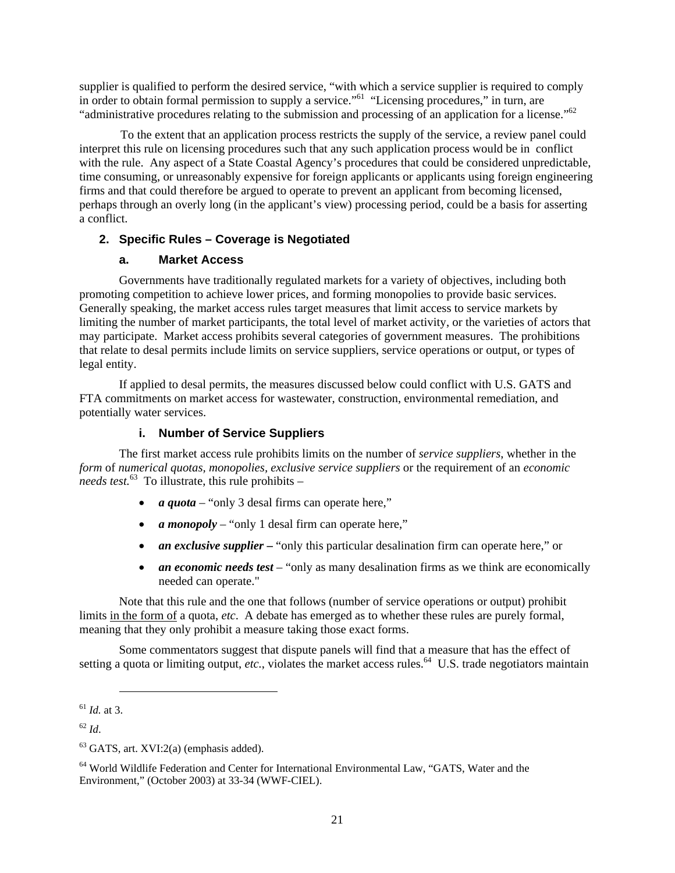<span id="page-22-0"></span>supplier is qualified to perform the desired service, "with which a service supplier is required to comply in order to obtain formal permission to supply a service."<sup>61</sup> "Licensing procedures," in turn, are "administrative procedures relating to the submission and processing of an application for a license.["62](#page-22-2) 

To the extent that an application process restricts the supply of the service, a review panel could interpret this rule on licensing procedures such that any such application process would be in conflict with the rule. Any aspect of a State Coastal Agency's procedures that could be considered unpredictable, time consuming, or unreasonably expensive for foreign applicants or applicants using foreign engineering firms and that could therefore be argued to operate to prevent an applicant from becoming licensed, perhaps through an overly long (in the applicant's view) processing period, could be a basis for asserting a conflict.

# **2. Specific Rules – Coverage is Negotiated**

# **a. Market Access**

Governments have traditionally regulated markets for a variety of objectives, including both promoting competition to achieve lower prices, and forming monopolies to provide basic services. Generally speaking, the market access rules target measures that limit access to service markets by limiting the number of market participants, the total level of market activity, or the varieties of actors that may participate. Market access prohibits several categories of government measures. The prohibitions that relate to desal permits include limits on service suppliers, service operations or output, or types of legal entity.

If applied to desal permits, the measures discussed below could conflict with U.S. GATS and FTA commitments on market access for wastewater, construction, environmental remediation, and potentially water services.

# **i. Number of Service Suppliers**

The first market access rule prohibits limits on the number of *service suppliers*, whether in the *form* of *numerical quotas, monopolies, exclusive service suppliers* or the requirement of an *economic needs test.*<sup>63</sup> To illustrate, this rule prohibits –

- *a quota* "only 3 desal firms can operate here,"
- *a monopoly* "only 1 desal firm can operate here,"
- *an exclusive supplier* "only this particular desalination firm can operate here," or
- *an economic needs test* "only as many desalination firms as we think are economically needed can operate."

Note that this rule and the one that follows (number of service operations or output) prohibit limits in the form of a quota, *etc*. A debate has emerged as to whether these rules are purely formal, meaning that they only prohibit a measure taking those exact forms.

Some commentators suggest that dispute panels will find that a measure that has the effect of setting a quota or limiting output, *etc.*, violates the market access rules.<sup>64</sup> U.S. trade negotiators maintain

<span id="page-22-1"></span><sup>61</sup> *Id.* at 3.

<span id="page-22-2"></span><sup>62</sup> *Id*.

<span id="page-22-3"></span> $63$  GATS, art. XVI:2(a) (emphasis added).

<span id="page-22-4"></span><sup>64</sup> World Wildlife Federation and Center for International Environmental Law, "GATS, Water and the Environment," (October 2003) at 33-34 (WWF-CIEL).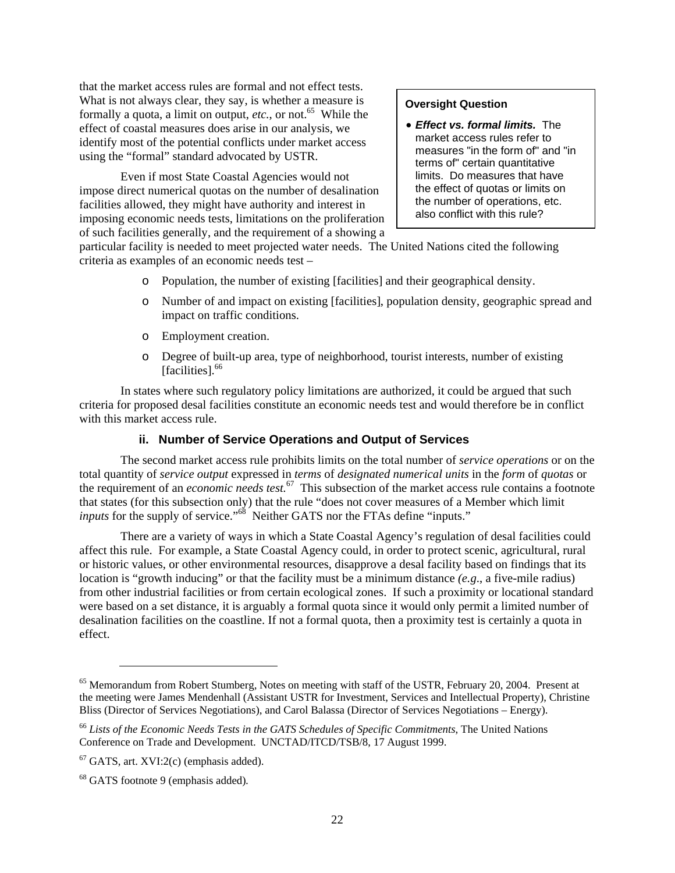<span id="page-23-0"></span>that the market access rules are formal and not effect tests. What is not always clear, they say, is whether a measure is formally a quota, a limit on output,  $etc.,$  or not.<sup>65</sup> While the effect of coastal measures does arise in our analysis, we identify most of the potential conflicts under market access using the "formal" standard advocated by USTR.

Even if most State Coastal Agencies would not impose direct numerical quotas on the number of desalination facilities allowed, they might have authority and interest in imposing economic needs tests, limitations on the proliferation of such facilities generally, and the requirement of a showing a

# **Oversight Question**

• *Effect vs. formal limits.* The market access rules refer to measures "in the form of" and "in terms of" certain quantitative limits. Do measures that have the effect of quotas or limits on the number of operations, etc. also conflict with this rule?

particular facility is needed to meet projected water needs. The United Nations cited the following criteria as examples of an economic needs test –

- o Population, the number of existing [facilities] and their geographical density.
- o Number of and impact on existing [facilities], population density, geographic spread and impact on traffic conditions.
- o Employment creation.
- o Degree of built-up area, type of neighborhood, tourist interests, number of existing [facilities].<sup>[66](#page-23-2)</sup>

In states where such regulatory policy limitations are authorized, it could be argued that such criteria for proposed desal facilities constitute an economic needs test and would therefore be in conflict with this market access rule.

# **ii. Number of Service Operations and Output of Services**

The second market access rule prohibits limits on the total number of *service operations* or on the total quantity of *service output* expressed in *terms* of *designated numerical units* in the *form* of *quotas* or the requirement of an *economic needs test.*[67](#page-23-3) This subsection of the market access rule contains a footnote that states (for this subsection only) that the rule "does not cover measures of a Member which limit *inputs* for the supply of service."<sup>68</sup> Neither GATS nor the FTAs define "inputs."

There are a variety of ways in which a State Coastal Agency's regulation of desal facilities could affect this rule. For example, a State Coastal Agency could, in order to protect scenic, agricultural, rural or historic values, or other environmental resources, disapprove a desal facility based on findings that its location is "growth inducing" or that the facility must be a minimum distance *(e.g*., a five-mile radius) from other industrial facilities or from certain ecological zones. If such a proximity or locational standard were based on a set distance, it is arguably a formal quota since it would only permit a limited number of desalination facilities on the coastline. If not a formal quota, then a proximity test is certainly a quota in effect.

1

<span id="page-23-1"></span><sup>&</sup>lt;sup>65</sup> Memorandum from Robert Stumberg, Notes on meeting with staff of the USTR, February 20, 2004. Present at the meeting were James Mendenhall (Assistant USTR for Investment, Services and Intellectual Property), Christine Bliss (Director of Services Negotiations), and Carol Balassa (Director of Services Negotiations – Energy).

<span id="page-23-2"></span><sup>66</sup> *Lists of the Economic Needs Tests in the GATS Schedules of Specific Commitments*, The United Nations Conference on Trade and Development. UNCTAD/ITCD/TSB/8, 17 August 1999.

<span id="page-23-3"></span> $67$  GATS, art. XVI:2(c) (emphasis added).

<span id="page-23-4"></span><sup>68</sup> GATS footnote 9 (emphasis added)*.*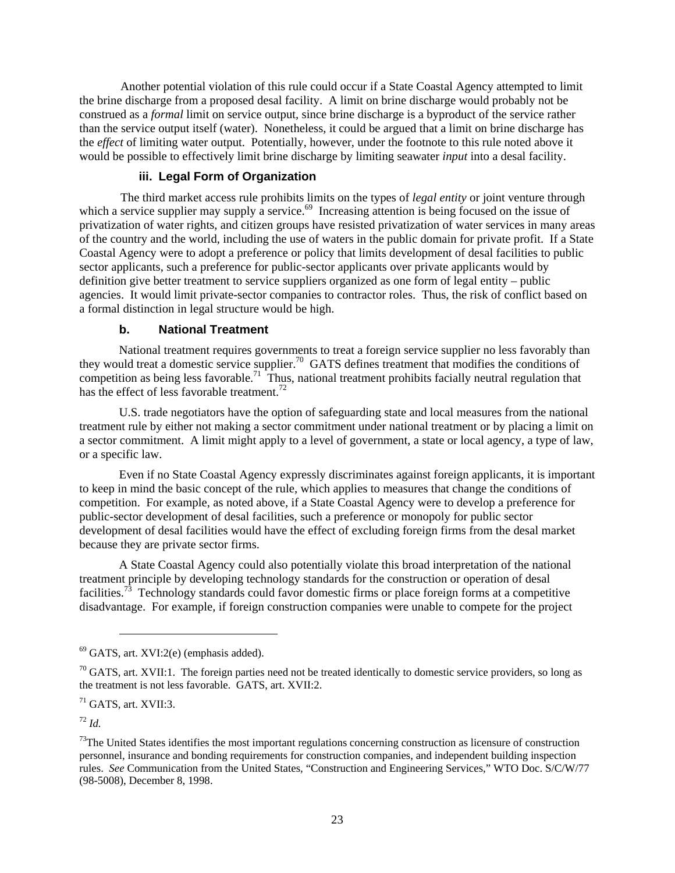<span id="page-24-0"></span>Another potential violation of this rule could occur if a State Coastal Agency attempted to limit the brine discharge from a proposed desal facility. A limit on brine discharge would probably not be construed as a *formal* limit on service output, since brine discharge is a byproduct of the service rather than the service output itself (water). Nonetheless, it could be argued that a limit on brine discharge has the *effect* of limiting water output. Potentially, however, under the footnote to this rule noted above it would be possible to effectively limit brine discharge by limiting seawater *input* into a desal facility.

# **iii. Legal Form of Organization**

The third market access rule prohibits limits on the types of *legal entity* or joint venture through which a service supplier may supply a service.<sup>69</sup> Increasing attention is being focused on the issue of privatization of water rights, and citizen groups have resisted privatization of water services in many areas of the country and the world, including the use of waters in the public domain for private profit. If a State Coastal Agency were to adopt a preference or policy that limits development of desal facilities to public sector applicants, such a preference for public-sector applicants over private applicants would by definition give better treatment to service suppliers organized as one form of legal entity – public agencies. It would limit private-sector companies to contractor roles. Thus, the risk of conflict based on a formal distinction in legal structure would be high.

#### **b. National Treatment**

National treatment requires governments to treat a foreign service supplier no less favorably than they would treat a domestic service supplier.<sup>70</sup> GATS defines treatment that modifies the conditions of competition as being less favorable.<sup>71</sup> Thus, national treatment prohibits facially neutral regulation that has the effect of less favorable treatment.<sup>72</sup>

U.S. trade negotiators have the option of safeguarding state and local measures from the national treatment rule by either not making a sector commitment under national treatment or by placing a limit on a sector commitment. A limit might apply to a level of government, a state or local agency, a type of law, or a specific law.

Even if no State Coastal Agency expressly discriminates against foreign applicants, it is important to keep in mind the basic concept of the rule, which applies to measures that change the conditions of competition. For example, as noted above, if a State Coastal Agency were to develop a preference for public-sector development of desal facilities, such a preference or monopoly for public sector development of desal facilities would have the effect of excluding foreign firms from the desal market because they are private sector firms.

A State Coastal Agency could also potentially violate this broad interpretation of the national treatment principle by developing technology standards for the construction or operation of desal facilities.<sup>73</sup> Technology standards could favor domestic firms or place foreign forms at a competitive disadvantage. For example, if foreign construction companies were unable to compete for the project

<span id="page-24-3"></span> $71$  GATS, art. XVII:3.

1

<span id="page-24-4"></span><sup>72</sup> *Id.*

<span id="page-24-1"></span> $69$  GATS, art. XVI:2(e) (emphasis added).

<span id="page-24-2"></span> $70$  GATS, art. XVII:1. The foreign parties need not be treated identically to domestic service providers, so long as the treatment is not less favorable. GATS, art. XVII:2.

<span id="page-24-5"></span> $73$ The United States identifies the most important regulations concerning construction as licensure of construction personnel, insurance and bonding requirements for construction companies, and independent building inspection rules. *See* Communication from the United States, "Construction and Engineering Services," WTO Doc. S/C/W/77 (98-5008), December 8, 1998.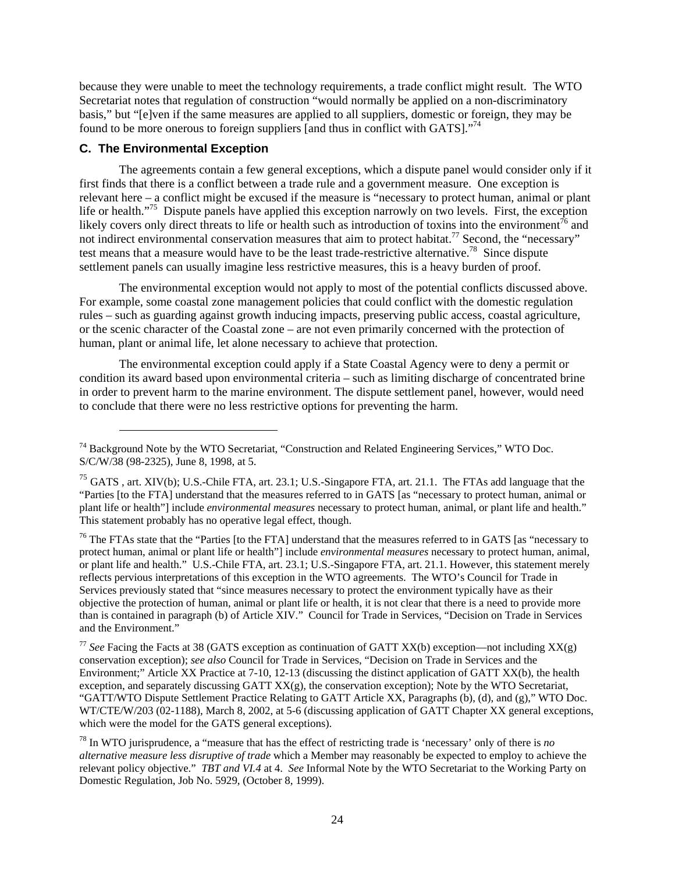<span id="page-25-0"></span>because they were unable to meet the technology requirements, a trade conflict might result. The WTO Secretariat notes that regulation of construction "would normally be applied on a non-discriminatory basis," but "[e]ven if the same measures are applied to all suppliers, domestic or foreign, they may be found to be more onerous to foreign suppliers [and thus in conflict with GATS]."<sup>74</sup>

# **C. The Environmental Exception**

1

The agreements contain a few general exceptions, which a dispute panel would consider only if it first finds that there is a conflict between a trade rule and a government measure. One exception is relevant here – a conflict might be excused if the measure is "necessary to protect human, animal or plant life or health."<sup>75</sup> Dispute panels have applied this exception narrowly on two levels. First, the exception likely covers only direct threats to life or health such as introduction of toxins into the environment<sup>76</sup> and not indirect environmental conservation measures that aim to protect habitat.<sup>77</sup> Second, the "necessary" test means that a measure would have to be the least trade-restrictive alternative.<sup>78</sup> Since dispute settlement panels can usually imagine less restrictive measures, this is a heavy burden of proof.

The environmental exception would not apply to most of the potential conflicts discussed above. For example, some coastal zone management policies that could conflict with the domestic regulation rules – such as guarding against growth inducing impacts, preserving public access, coastal agriculture, or the scenic character of the Coastal zone – are not even primarily concerned with the protection of human, plant or animal life, let alone necessary to achieve that protection.

The environmental exception could apply if a State Coastal Agency were to deny a permit or condition its award based upon environmental criteria – such as limiting discharge of concentrated brine in order to prevent harm to the marine environment. The dispute settlement panel, however, would need to conclude that there were no less restrictive options for preventing the harm.

<span id="page-25-3"></span> $76$  The FTAs state that the "Parties [to the FTA] understand that the measures referred to in GATS [as "necessary to protect human, animal or plant life or health"] include *environmental measures* necessary to protect human, animal, or plant life and health." U.S.-Chile FTA, art. 23.1; U.S.-Singapore FTA, art. 21.1. However, this statement merely reflects pervious interpretations of this exception in the WTO agreements. The WTO's Council for Trade in Services previously stated that "since measures necessary to protect the environment typically have as their objective the protection of human, animal or plant life or health, it is not clear that there is a need to provide more than is contained in paragraph (b) of Article XIV." Council for Trade in Services, "Decision on Trade in Services and the Environment."

<span id="page-25-4"></span><sup>77</sup> See Facing the Facts at 38 (GATS exception as continuation of GATT XX(b) exception—not including XX(g) conservation exception); *see also* Council for Trade in Services, "Decision on Trade in Services and the Environment;" Article XX Practice at 7-10, 12-13 (discussing the distinct application of GATT XX(b), the health exception, and separately discussing GATT XX(g), the conservation exception); Note by the WTO Secretariat, "GATT/WTO Dispute Settlement Practice Relating to GATT Article XX, Paragraphs (b), (d), and (g)," WTO Doc. WT/CTE/W/203 (02-1188), March 8, 2002, at 5-6 (discussing application of GATT Chapter XX general exceptions, which were the model for the GATS general exceptions).

<span id="page-25-1"></span><sup>74</sup> Background Note by the WTO Secretariat, "Construction and Related Engineering Services," WTO Doc. S/C/W/38 (98-2325), June 8, 1998, at 5.

<span id="page-25-2"></span><sup>&</sup>lt;sup>75</sup> GATS, art. XIV(b); U.S.-Chile FTA, art. 23.1; U.S.-Singapore FTA, art. 21.1. The FTAs add language that the "Parties [to the FTA] understand that the measures referred to in GATS [as "necessary to protect human, animal or plant life or health"] include *environmental measures* necessary to protect human, animal, or plant life and health." This statement probably has no operative legal effect, though.

<span id="page-25-5"></span><sup>78</sup> In WTO jurisprudence, a "measure that has the effect of restricting trade is 'necessary' only of there is *no alternative measure less disruptive of trade* which a Member may reasonably be expected to employ to achieve the relevant policy objective." *TBT and VI.4* at 4. *See* Informal Note by the WTO Secretariat to the Working Party on Domestic Regulation, Job No. 5929, (October 8, 1999).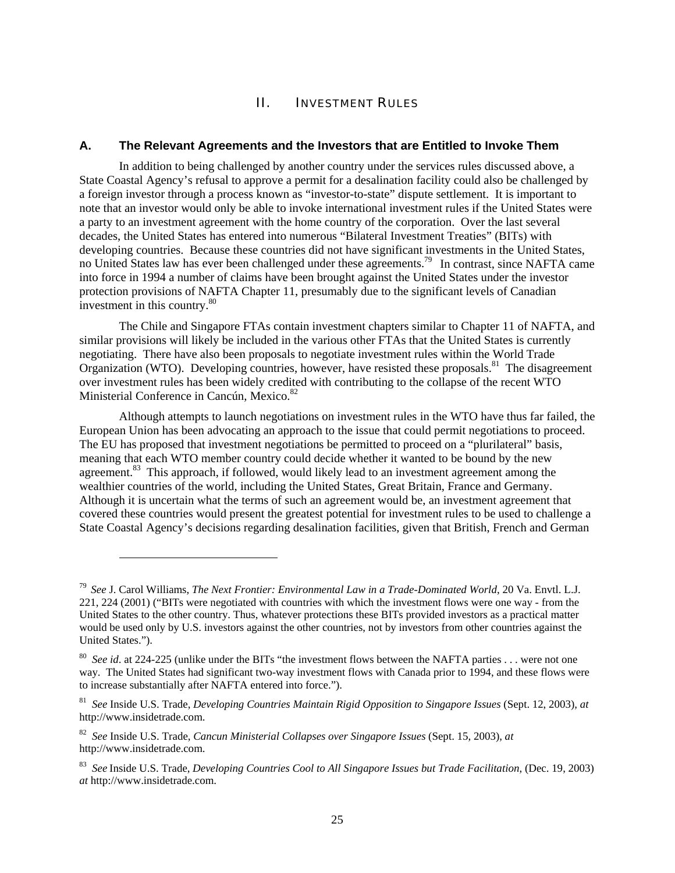# II. INVESTMENT RULES

#### <span id="page-26-0"></span>**A. The Relevant Agreements and the Investors that are Entitled to Invoke Them**

In addition to being challenged by another country under the services rules discussed above, a State Coastal Agency's refusal to approve a permit for a desalination facility could also be challenged by a foreign investor through a process known as "investor-to-state" dispute settlement. It is important to note that an investor would only be able to invoke international investment rules if the United States were a party to an investment agreement with the home country of the corporation. Over the last several decades, the United States has entered into numerous "Bilateral Investment Treaties" (BITs) with developing countries. Because these countries did not have significant investments in the United States, no United States law has ever been challenged under these agreements.<sup>79</sup> In contrast, since NAFTA came into force in 1994 a number of claims have been brought against the United States under the investor protection provisions of NAFTA Chapter 11, presumably due to the significant levels of Canadian investment in this country. [80](#page-26-2)

The Chile and Singapore FTAs contain investment chapters similar to Chapter 11 of NAFTA, and similar provisions will likely be included in the various other FTAs that the United States is currently negotiating. There have also been proposals to negotiate investment rules within the World Trade Organization (WTO). Developing countries, however, have resisted these proposals.<sup>81</sup> The disagreement over investment rules has been widely credited with contributing to the collapse of the recent WTO Ministerial Conference in Cancún, Mexico.<sup>82</sup>

Although attempts to launch negotiations on investment rules in the WTO have thus far failed, the European Union has been advocating an approach to the issue that could permit negotiations to proceed. The EU has proposed that investment negotiations be permitted to proceed on a "plurilateral" basis, meaning that each WTO member country could decide whether it wanted to be bound by the new agreement.<sup>83</sup> This approach, if followed, would likely lead to an investment agreement among the wealthier countries of the world, including the United States, Great Britain, France and Germany. Although it is uncertain what the terms of such an agreement would be, an investment agreement that covered these countries would present the greatest potential for investment rules to be used to challenge a State Coastal Agency's decisions regarding desalination facilities, given that British, French and German

1

<span id="page-26-1"></span><sup>79</sup> *See* J. Carol Williams, *The Next Frontier: Environmental Law in a Trade-Dominated World*, 20 Va. Envtl. L.J. 221, 224 (2001) ("BITs were negotiated with countries with which the investment flows were one way - from the United States to the other country. Thus, whatever protections these BITs provided investors as a practical matter would be used only by U.S. investors against the other countries, not by investors from other countries against the United States.").

<span id="page-26-2"></span><sup>&</sup>lt;sup>80</sup> See id. at 224-225 (unlike under the BITs "the investment flows between the NAFTA parties . . . were not one way. The United States had significant two-way investment flows with Canada prior to 1994, and these flows were to increase substantially after NAFTA entered into force.").

<span id="page-26-3"></span><sup>81</sup> *See* Inside U.S. Trade, *Developing Countries Maintain Rigid Opposition to Singapore Issues* (Sept. 12, 2003), *at* http://www.insidetrade.com.

<span id="page-26-4"></span><sup>82</sup> *See* Inside U.S. Trade, *Cancun Ministerial Collapses over Singapore Issues* (Sept. 15, 2003), *at* http://www.insidetrade.com.

<span id="page-26-5"></span><sup>83</sup> *See* Inside U.S. Trade, *Developing Countries Cool to All Singapore Issues but Trade Facilitation*, (Dec. 19, 2003) *at* http://www.insidetrade.com.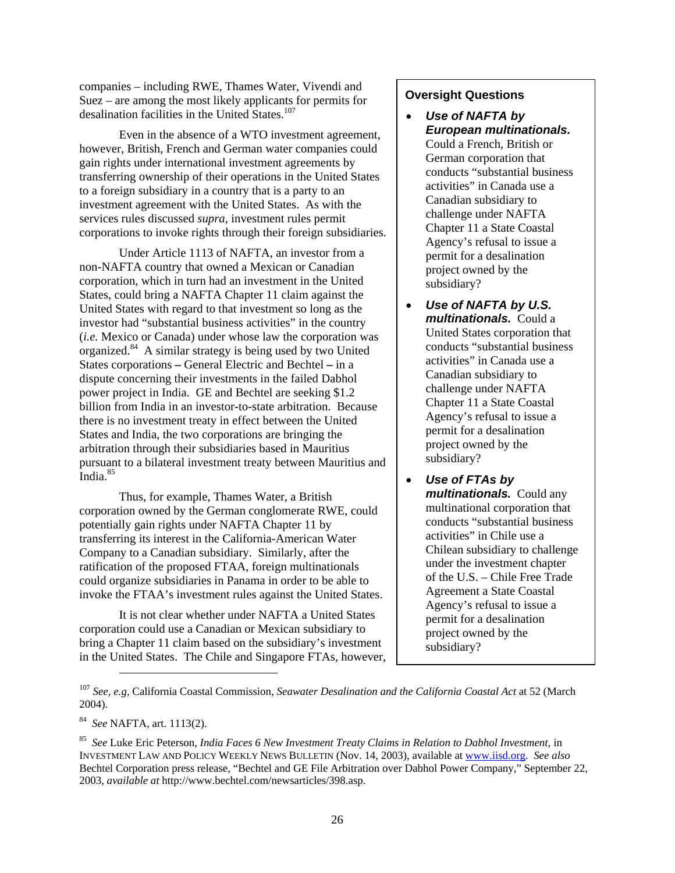companies – including RWE, Thames Water, Vivendi and Suez – are among the most likely applicants for permits for desalination facilities in the United States.<sup>107</sup>

Even in the absence of a WTO investment agreement, however, British, French and German water companies could gain rights under international investment agreements by transferring ownership of their operations in the United States to a foreign subsidiary in a country that is a party to an investment agreement with the United States. As with the services rules discussed *supra*, investment rules permit corporations to invoke rights through their foreign subsidiaries.

Under Article 1113 of NAFTA, an investor from a non-NAFTA country that owned a Mexican or Canadian corporation, which in turn had an investment in the United States, could bring a NAFTA Chapter 11 claim against the United States with regard to that investment so long as the investor had "substantial business activities" in the country (*i.e.* Mexico or Canada) under whose law the corporation was organized.[84](#page-27-1) A similar strategy is being used by two United States corporations **–** General Electric and Bechtel **–** in a dispute concerning their investments in the failed Dabhol power project in India. GE and Bechtel are seeking \$1.2 billion from India in an investor-to-state arbitration. Because there is no investment treaty in effect between the United States and India, the two corporations are bringing the arbitration through their subsidiaries based in Mauritius pursuant to a bilateral investment treaty between Mauritius and India.<sup>85</sup>

Thus, for example, Thames Water, a British corporation owned by the German conglomerate RWE, could potentially gain rights under NAFTA Chapter 11 by transferring its interest in the California-American Water Company to a Canadian subsidiary. Similarly, after the ratification of the proposed FTAA, foreign multinationals could organize subsidiaries in Panama in order to be able to invoke the FTAA's investment rules against the United States.

It is not clear whether under NAFTA a United States corporation could use a Canadian or Mexican subsidiary to bring a Chapter 11 claim based on the subsidiary's investment in the United States. The Chile and Singapore FTAs, however,

# **Oversight Questions**

- *Use of NAFTA by European multinationals.* Could a French, British or German corporation that conducts "substantial business activities" in Canada use a Canadian subsidiary to challenge under NAFTA Chapter 11 a State Coastal Agency's refusal to issue a permit for a desalination project owned by the subsidiary?
- *Use of NAFTA by U.S. multinationals.* Could a United States corporation that conducts "substantial business activities" in Canada use a Canadian subsidiary to challenge under NAFTA Chapter 11 a State Coastal Agency's refusal to issue a permit for a desalination project owned by the subsidiary?
- *Use of FTAs by multinationals.* Could any multinational corporation that conducts "substantial business activities" in Chile use a Chilean subsidiary to challenge under the investment chapter of the U.S. – Chile Free Trade Agreement a State Coastal Agency's refusal to issue a permit for a desalination project owned by the subsidiary?

<span id="page-27-1"></span>84 *See* NAFTA, art. 1113(2).

<span id="page-27-0"></span><sup>107</sup> *See, e.g,* California Coastal Commission, *Seawater Desalination and the California Coastal Act* at 52 (March 2004).

<span id="page-27-2"></span><sup>85</sup> *See* Luke Eric Peterson, *India Faces 6 New Investment Treaty Claims in Relation to Dabhol Investment,* in INVESTMENT LAW AND POLICY WEEKLY NEWS BULLETIN (Nov. 14, 2003), available at [www.iisd.org.](http://www.iisd.org/) *See also* Bechtel Corporation press release, "Bechtel and GE File Arbitration over Dabhol Power Company," September 22, 2003, *available at* http://www.bechtel.com/newsarticles/398.asp.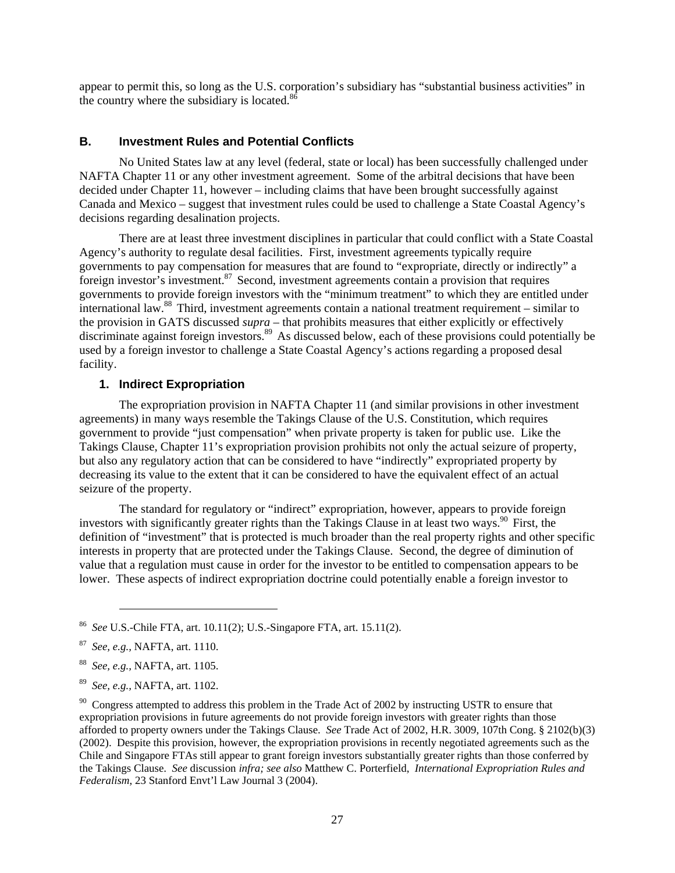<span id="page-28-0"></span>appear to permit this, so long as the U.S. corporation's subsidiary has "substantial business activities" in the country where the subsidiary is located.<sup>[86](#page-28-1)</sup>

#### **B. Investment Rules and Potential Conflicts**

No United States law at any level (federal, state or local) has been successfully challenged under NAFTA Chapter 11 or any other investment agreement. Some of the arbitral decisions that have been decided under Chapter 11, however – including claims that have been brought successfully against Canada and Mexico – suggest that investment rules could be used to challenge a State Coastal Agency's decisions regarding desalination projects.

There are at least three investment disciplines in particular that could conflict with a State Coastal Agency's authority to regulate desal facilities. First, investment agreements typically require governments to pay compensation for measures that are found to "expropriate, directly or indirectly" a foreign investor's investment.<sup>87</sup> Second, investment agreements contain a provision that requires governments to provide foreign investors with the "minimum treatment" to which they are entitled under international law.[88](#page-28-3) Third, investment agreements contain a national treatment requirement – similar to the provision in GATS discussed *supra* – that prohibits measures that either explicitly or effectively discriminate against foreign investors.<sup>89</sup> As discussed below, each of these provisions could potentially be used by a foreign investor to challenge a State Coastal Agency's actions regarding a proposed desal facility.

# **1. Indirect Expropriation**

The expropriation provision in NAFTA Chapter 11 (and similar provisions in other investment agreements) in many ways resemble the Takings Clause of the U.S. Constitution, which requires government to provide "just compensation" when private property is taken for public use. Like the Takings Clause, Chapter 11's expropriation provision prohibits not only the actual seizure of property, but also any regulatory action that can be considered to have "indirectly" expropriated property by decreasing its value to the extent that it can be considered to have the equivalent effect of an actual seizure of the property.

The standard for regulatory or "indirect" expropriation, however, appears to provide foreign investors with significantly greater rights than the Takings Clause in at least two ways. [90](#page-28-5) First, the definition of "investment" that is protected is much broader than the real property rights and other specific interests in property that are protected under the Takings Clause. Second, the degree of diminution of value that a regulation must cause in order for the investor to be entitled to compensation appears to be lower. These aspects of indirect expropriation doctrine could potentially enable a foreign investor to

1

<span id="page-28-1"></span><sup>86</sup> *See* U.S.-Chile FTA, art. 10.11(2); U.S.-Singapore FTA, art. 15.11(2).

<span id="page-28-2"></span><sup>87</sup> *See, e.g.,* NAFTA, art. 1110.

<span id="page-28-3"></span><sup>88</sup> *See, e.g.,* NAFTA, art. 1105.

<span id="page-28-4"></span><sup>89</sup> *See, e.g.,* NAFTA, art. 1102.

<span id="page-28-5"></span><sup>&</sup>lt;sup>90</sup> Congress attempted to address this problem in the Trade Act of 2002 by instructing USTR to ensure that expropriation provisions in future agreements do not provide foreign investors with greater rights than those afforded to property owners under the Takings Clause. *See* Trade Act of 2002, H.R. 3009, 107th Cong. § 2102(b)(3) (2002). Despite this provision, however, the expropriation provisions in recently negotiated agreements such as the Chile and Singapore FTAs still appear to grant foreign investors substantially greater rights than those conferred by the Takings Clause. *See* discussion *infra; see also* Matthew C. Porterfield, *International Expropriation Rules and Federalism*, 23 Stanford Envt'l Law Journal 3 (2004).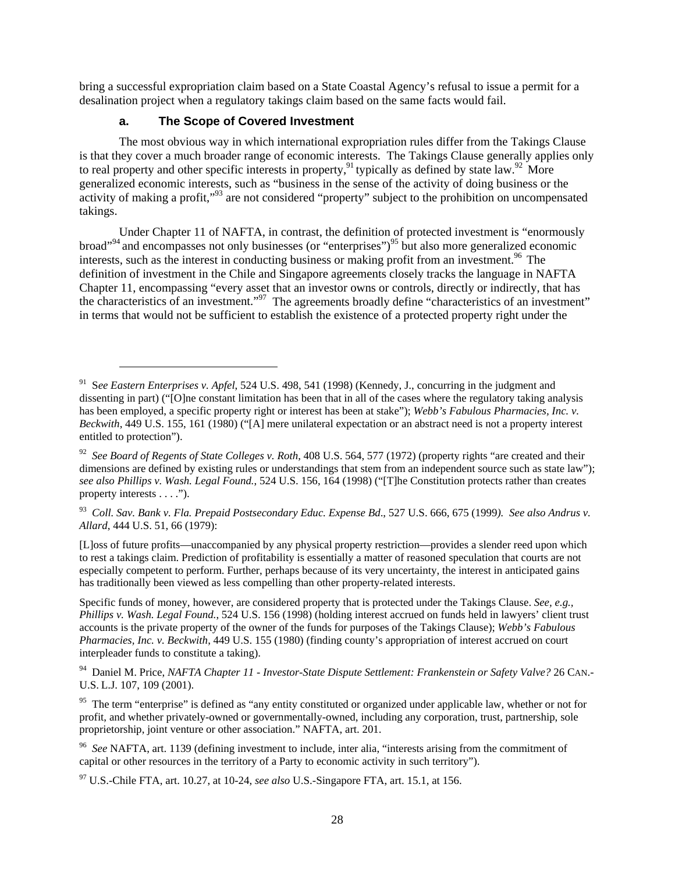<span id="page-29-0"></span>bring a successful expropriation claim based on a State Coastal Agency's refusal to issue a permit for a desalination project when a regulatory takings claim based on the same facts would fail.

# **a. The Scope of Covered Investment**

l

The most obvious way in which international expropriation rules differ from the Takings Clause is that they cover a much broader range of economic interests. The Takings Clause generally applies only to real property and other specific interests in property,<sup>91</sup> typically as defined by state law.<sup>92</sup> More generalized economic interests, such as "business in the sense of the activity of doing business or the activity of making a profit,"<sup>93</sup> are not considered "property" subject to the prohibition on uncompensated takings.

Under Chapter 11 of NAFTA, in contrast, the definition of protected investment is "enormously broad"<sup>94</sup> and encompasses not only businesses (or "enterprises")<sup>95</sup> but also more generalized economic interests, such as the interest in conducting business or making profit from an investment.<sup>96</sup> The definition of investment in the Chile and Singapore agreements closely tracks the language in NAFTA Chapter 11, encompassing "every asset that an investor owns or controls, directly or indirectly, that has the characteristics of an investment."<sup>97</sup> The agreements broadly define "characteristics of an investment" in terms that would not be sufficient to establish the existence of a protected property right under the

[L]oss of future profits—unaccompanied by any physical property restriction—provides a slender reed upon which to rest a takings claim. Prediction of profitability is essentially a matter of reasoned speculation that courts are not especially competent to perform. Further, perhaps because of its very uncertainty, the interest in anticipated gains has traditionally been viewed as less compelling than other property-related interests.

Specific funds of money, however, are considered property that is protected under the Takings Clause. *See, e.g., Phillips v. Wash. Legal Found.*, 524 U.S. 156 (1998) (holding interest accrued on funds held in lawyers' client trust accounts is the private property of the owner of the funds for purposes of the Takings Clause); *Webb's Fabulous Pharmacies, Inc. v. Beckwith*, 449 U.S. 155 (1980) (finding county's appropriation of interest accrued on court interpleader funds to constitute a taking).

<span id="page-29-4"></span>94 Daniel M. Price, *NAFTA Chapter 11 - Investor-State Dispute Settlement: Frankenstein or Safety Valve?* 26 CAN.- U.S. L.J. 107, 109 (2001).

<span id="page-29-5"></span><sup>95</sup> The term "enterprise" is defined as "any entity constituted or organized under applicable law, whether or not for profit, and whether privately-owned or governmentally-owned, including any corporation, trust, partnership, sole proprietorship, joint venture or other association." NAFTA, art. 201.

<span id="page-29-6"></span>96 *See* NAFTA, art. 1139 (defining investment to include, inter alia, "interests arising from the commitment of capital or other resources in the territory of a Party to economic activity in such territory").

<span id="page-29-7"></span>97 U.S.-Chile FTA, art. 10.27, at 10-24, *see also* U.S.-Singapore FTA, art. 15.1, at 156.

<span id="page-29-1"></span><sup>91</sup> S*ee Eastern Enterprises v. Apfel*, 524 U.S. 498, 541 (1998) (Kennedy, J., concurring in the judgment and dissenting in part) ("[O]ne constant limitation has been that in all of the cases where the regulatory taking analysis has been employed, a specific property right or interest has been at stake"); *Webb's Fabulous Pharmacies, Inc. v. Beckwith*, 449 U.S. 155, 161 (1980) ("[A] mere unilateral expectation or an abstract need is not a property interest entitled to protection").

<span id="page-29-2"></span><sup>92</sup> *See Board of Regents of State Colleges v. Roth*, 408 U.S. 564, 577 (1972) (property rights "are created and their dimensions are defined by existing rules or understandings that stem from an independent source such as state law"); *see also Phillips v. Wash. Legal Found.*, 524 U.S. 156, 164 (1998) ("[T]he Constitution protects rather than creates property interests . . . .").

<span id="page-29-3"></span><sup>93</sup> *Coll. Sav. Bank v. Fla. Prepaid Postsecondary Educ. Expense Bd*., 527 U.S. 666, 675 (1999*). See also Andrus v. Allard*, 444 U.S. 51, 66 (1979):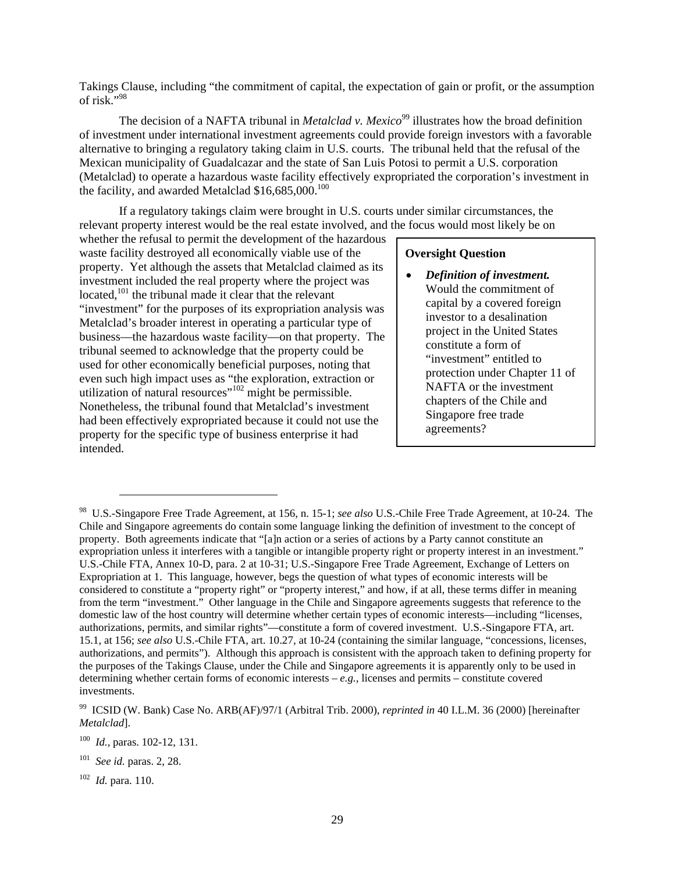Takings Clause, including "the commitment of capital, the expectation of gain or profit, or the assumption of risk $"$ <sup>98</sup>

The decision of a NAFTA tribunal in *Metalclad v. Mexico*<sup>99</sup> illustrates how the broad definition of investment under international investment agreements could provide foreign investors with a favorable alternative to bringing a regulatory taking claim in U.S. courts. The tribunal held that the refusal of the Mexican municipality of Guadalcazar and the state of San Luis Potosi to permit a U.S. corporation (Metalclad) to operate a hazardous waste facility effectively expropriated the corporation's investment in the facility, and awarded Metalclad  $$16,685,000$ .<sup>100</sup>

If a regulatory takings claim were brought in U.S. courts under similar circumstances, the relevant property interest would be the real estate involved, and the focus would most likely be on

whether the refusal to permit the development of the hazardous waste facility destroyed all economically viable use of the property. Yet although the assets that Metalclad claimed as its investment included the real property where the project was located,<sup>101</sup> the tribunal made it clear that the relevant "investment" for the purposes of its expropriation analysis was Metalclad's broader interest in operating a particular type of business—the hazardous waste facility—on that property. The tribunal seemed to acknowledge that the property could be used for other economically beneficial purposes, noting that even such high impact uses as "the exploration, extraction or utilization of natural resources"<sup>[102](#page-30-4)</sup> might be permissible. Nonetheless, the tribunal found that Metalclad's investment had been effectively expropriated because it could not use the property for the specific type of business enterprise it had intended.

## **Oversight Question**

• *Definition of investment.*  Would the commitment of capital by a covered foreign investor to a desalination project in the United States constitute a form of "investment" entitled to protection under Chapter 11 of NAFTA or the investment chapters of the Chile and Singapore free trade agreements?

1

<span id="page-30-0"></span><sup>98</sup> U.S.-Singapore Free Trade Agreement, at 156, n. 15-1; *see also* U.S.-Chile Free Trade Agreement, at 10-24. The Chile and Singapore agreements do contain some language linking the definition of investment to the concept of property. Both agreements indicate that "[a]n action or a series of actions by a Party cannot constitute an expropriation unless it interferes with a tangible or intangible property right or property interest in an investment." U.S.-Chile FTA, Annex 10-D, para. 2 at 10-31; U.S.-Singapore Free Trade Agreement*,* Exchange of Letters on Expropriation at 1. This language, however, begs the question of what types of economic interests will be considered to constitute a "property right" or "property interest," and how, if at all, these terms differ in meaning from the term "investment." Other language in the Chile and Singapore agreements suggests that reference to the domestic law of the host country will determine whether certain types of economic interests—including "licenses, authorizations, permits, and similar rights"—constitute a form of covered investment. U.S.-Singapore FTA, art. 15.1, at 156; *see also* U.S.-Chile FTA, art. 10.27, at 10-24 (containing the similar language, "concessions, licenses, authorizations, and permits"). Although this approach is consistent with the approach taken to defining property for the purposes of the Takings Clause, under the Chile and Singapore agreements it is apparently only to be used in determining whether certain forms of economic interests – *e.g.,* licenses and permits – constitute covered investments.

<span id="page-30-1"></span><sup>99</sup> ICSID (W. Bank) Case No. ARB(AF)/97/1 (Arbitral Trib. 2000), *reprinted in* 40 I.L.M. 36 (2000) [hereinafter *Metalclad*].

<span id="page-30-2"></span><sup>100</sup> *Id.,* paras. 102-12, 131.

<span id="page-30-3"></span><sup>101</sup> *See id.* paras. 2, 28.

<span id="page-30-4"></span><sup>102</sup> *Id.* para. 110.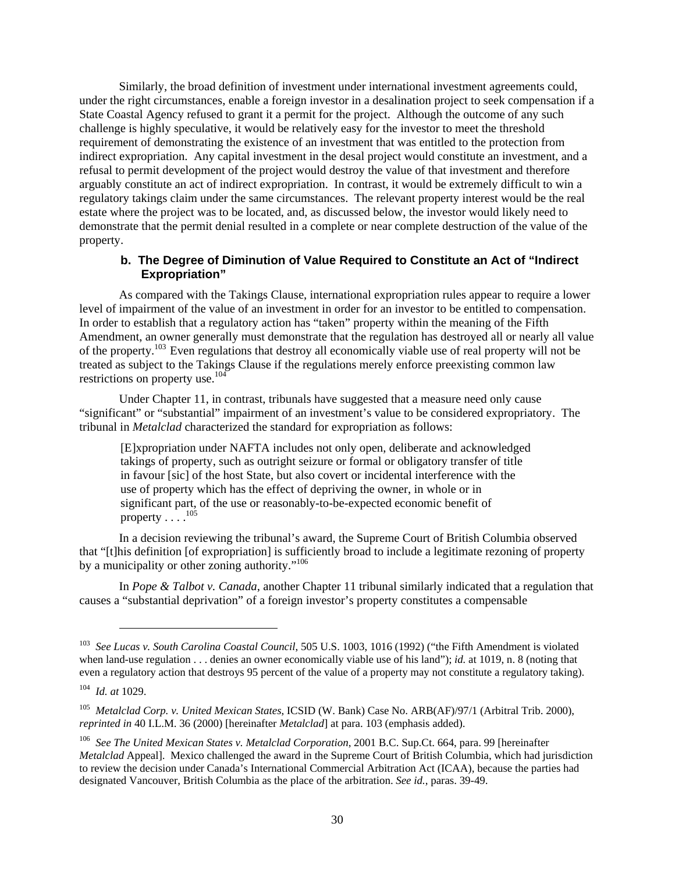<span id="page-31-0"></span>Similarly, the broad definition of investment under international investment agreements could, under the right circumstances, enable a foreign investor in a desalination project to seek compensation if a State Coastal Agency refused to grant it a permit for the project. Although the outcome of any such challenge is highly speculative, it would be relatively easy for the investor to meet the threshold requirement of demonstrating the existence of an investment that was entitled to the protection from indirect expropriation. Any capital investment in the desal project would constitute an investment, and a refusal to permit development of the project would destroy the value of that investment and therefore arguably constitute an act of indirect expropriation. In contrast, it would be extremely difficult to win a regulatory takings claim under the same circumstances. The relevant property interest would be the real estate where the project was to be located, and, as discussed below, the investor would likely need to demonstrate that the permit denial resulted in a complete or near complete destruction of the value of the property.

# **b. The Degree of Diminution of Value Required to Constitute an Act of "Indirect Expropriation"**

As compared with the Takings Clause, international expropriation rules appear to require a lower level of impairment of the value of an investment in order for an investor to be entitled to compensation. In order to establish that a regulatory action has "taken" property within the meaning of the Fifth Amendment, an owner generally must demonstrate that the regulation has destroyed all or nearly all value of the property[.103](#page-31-1) Even regulations that destroy all economically viable use of real property will not be treated as subject to the Takings Clause if the regulations merely enforce preexisting common law restrictions on property use.[104](#page-31-2) 

Under Chapter 11, in contrast, tribunals have suggested that a measure need only cause "significant" or "substantial" impairment of an investment's value to be considered expropriatory. The tribunal in *Metalclad* characterized the standard for expropriation as follows:

[E]xpropriation under NAFTA includes not only open, deliberate and acknowledged takings of property, such as outright seizure or formal or obligatory transfer of title in favour [sic] of the host State, but also covert or incidental interference with the use of property which has the effect of depriving the owner, in whole or in significant part, of the use or reasonably-to-be-expected economic benefit of property  $\ldots$ <sup>105</sup>

In a decision reviewing the tribunal's award, the Supreme Court of British Columbia observed that "[t]his definition [of expropriation] is sufficiently broad to include a legitimate rezoning of property by a municipality or other zoning authority."<sup>[106](#page-31-4)</sup>

In *Pope & Talbot v. Canada*, another Chapter 11 tribunal similarly indicated that a regulation that causes a "substantial deprivation" of a foreign investor's property constitutes a compensable

<span id="page-31-1"></span><sup>103</sup> *See Lucas v. South Carolina Coastal Council*, 505 U.S. 1003, 1016 (1992) ("the Fifth Amendment is violated when land-use regulation . . . denies an owner economically viable use of his land"); *id.* at 1019, n. 8 (noting that even a regulatory action that destroys 95 percent of the value of a property may not constitute a regulatory taking).

<span id="page-31-2"></span><sup>104</sup> *Id. at* 1029.

<span id="page-31-3"></span><sup>105</sup> *Metalclad Corp. v. United Mexican States*, ICSID (W. Bank) Case No. ARB(AF)/97/1 (Arbitral Trib. 2000), *reprinted in* 40 I.L.M. 36 (2000) [hereinafter *Metalclad*] at para. 103 (emphasis added).

<span id="page-31-4"></span><sup>106</sup> *See The United Mexican States v. Metalclad Corporation*, 2001 B.C. Sup.Ct. 664, para. 99 [hereinafter *Metalclad* Appeal].Mexico challenged the award in the Supreme Court of British Columbia, which had jurisdiction to review the decision under Canada's International Commercial Arbitration Act (ICAA), because the parties had designated Vancouver, British Columbia as the place of the arbitration. *See id.*, paras. 39-49.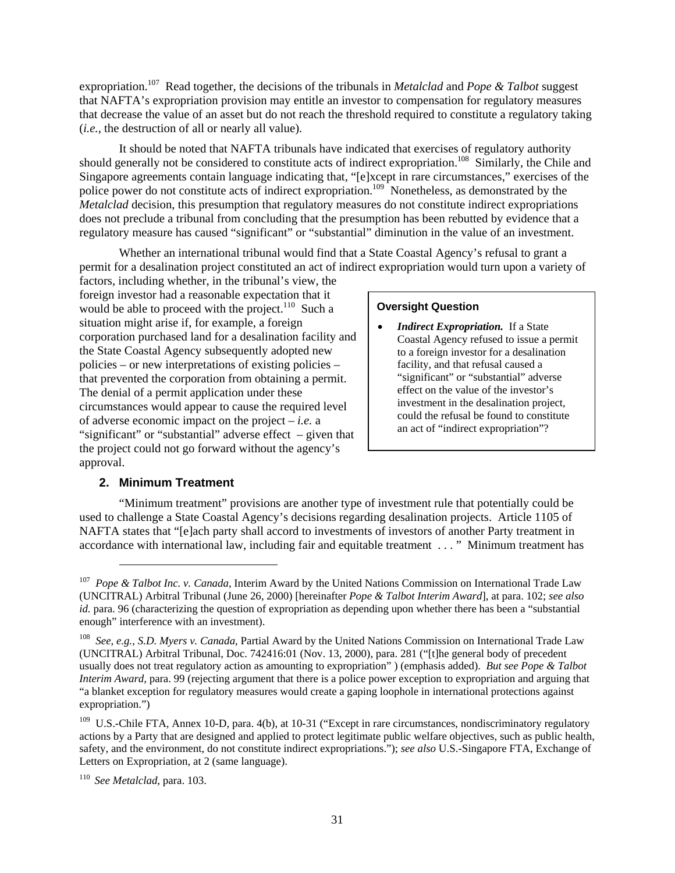<span id="page-32-0"></span>expropriation. [107](#page-32-1) Read together, the decisions of the tribunals in *Metalclad* and *Pope & Talbot* suggest that NAFTA's expropriation provision may entitle an investor to compensation for regulatory measures that decrease the value of an asset but do not reach the threshold required to constitute a regulatory taking (*i.e.*, the destruction of all or nearly all value).

It should be noted that NAFTA tribunals have indicated that exercises of regulatory authority should generally not be considered to constitute acts of indirect expropriation.<sup>108</sup> Similarly, the Chile and Singapore agreements contain language indicating that, "[e]xcept in rare circumstances," exercises of the police power do not constitute acts of indirect expropriation.<sup>109</sup> Nonetheless, as demonstrated by the *Metalclad* decision, this presumption that regulatory measures do not constitute indirect expropriations does not preclude a tribunal from concluding that the presumption has been rebutted by evidence that a regulatory measure has caused "significant" or "substantial" diminution in the value of an investment.

Whether an international tribunal would find that a State Coastal Agency's refusal to grant a permit for a desalination project constituted an act of indirect expropriation would turn upon a variety of

factors, including whether, in the tribunal's view, the foreign investor had a reasonable expectation that it would be able to proceed with the project. $110$  Such a situation might arise if, for example, a foreign corporation purchased land for a desalination facility and the State Coastal Agency subsequently adopted new policies – or new interpretations of existing policies – that prevented the corporation from obtaining a permit. The denial of a permit application under these circumstances would appear to cause the required level of adverse economic impact on the project – *i.e.* a "significant" or "substantial" adverse effect – given that the project could not go forward without the agency's approval.

# **Oversight Question**

• *Indirect Expropriation.* If a State Coastal Agency refused to issue a permit to a foreign investor for a desalination facility, and that refusal caused a "significant" or "substantial" adverse effect on the value of the investor's investment in the desalination project, could the refusal be found to constitute an act of "indirect expropriation"?

# **2. Minimum Treatment**

1

"Minimum treatment" provisions are another type of investment rule that potentially could be used to challenge a State Coastal Agency's decisions regarding desalination projects. Article 1105 of NAFTA states that "[e]ach party shall accord to investments of investors of another Party treatment in accordance with international law, including fair and equitable treatment . . . " Minimum treatment has

<span id="page-32-1"></span><sup>107</sup> *Pope & Talbot Inc. v. Canada*, Interim Award by the United Nations Commission on International Trade Law (UNCITRAL) Arbitral Tribunal (June 26, 2000) [hereinafter *Pope & Talbot Interim Award*], at para. 102; *see also id.* para. 96 (characterizing the question of expropriation as depending upon whether there has been a "substantial enough" interference with an investment).

<span id="page-32-2"></span><sup>108</sup> *See, e.g., S.D. Myers v. Canada*, Partial Award by the United Nations Commission on International Trade Law (UNCITRAL) Arbitral Tribunal, Doc. 742416:01 (Nov. 13, 2000), para. 281 ("[t]he general body of precedent usually does not treat regulatory action as amounting to expropriation" ) (emphasis added). *But see Pope & Talbot Interim Award,* para. 99 (rejecting argument that there is a police power exception to expropriation and arguing that "a blanket exception for regulatory measures would create a gaping loophole in international protections against expropriation.")

<span id="page-32-3"></span><sup>&</sup>lt;sup>109</sup> U.S.-Chile FTA, Annex 10-D, para. 4(b), at 10-31 ("Except in rare circumstances, nondiscriminatory regulatory actions by a Party that are designed and applied to protect legitimate public welfare objectives, such as public health, safety, and the environment, do not constitute indirect expropriations."); *see also* U.S.-Singapore FTA, Exchange of Letters on Expropriation, at 2 (same language).

<span id="page-32-4"></span><sup>110</sup> *See Metalclad,* para. 103.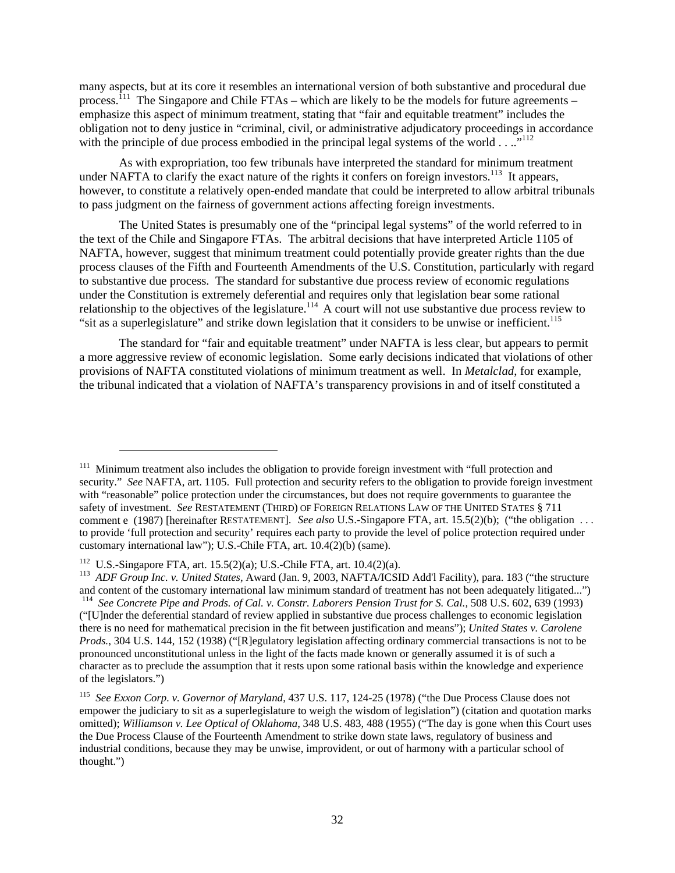many aspects, but at its core it resembles an international version of both substantive and procedural due process.<sup>111</sup> The Singapore and Chile FTAs – which are likely to be the models for future agreements – emphasize this aspect of minimum treatment, stating that "fair and equitable treatment" includes the obligation not to deny justice in "criminal, civil, or administrative adjudicatory proceedings in accordance with the principle of due process embodied in the principal legal systems of the world  $\dots$ ..."<sup>112</sup>

As with expropriation, too few tribunals have interpreted the standard for minimum treatment under NAFTA to clarify the exact nature of the rights it confers on foreign investors.<sup>113</sup> It appears, however, to constitute a relatively open-ended mandate that could be interpreted to allow arbitral tribunals to pass judgment on the fairness of government actions affecting foreign investments.

The United States is presumably one of the "principal legal systems" of the world referred to in the text of the Chile and Singapore FTAs. The arbitral decisions that have interpreted Article 1105 of NAFTA, however, suggest that minimum treatment could potentially provide greater rights than the due process clauses of the Fifth and Fourteenth Amendments of the U.S. Constitution, particularly with regard to substantive due process. The standard for substantive due process review of economic regulations under the Constitution is extremely deferential and requires only that legislation bear some rational relationship to the objectives of the legislature.<sup>114</sup> A court will not use substantive due process review to "sit as a superlegislature" and strike down legislation that it considers to be unwise or inefficient.<sup>115</sup>

The standard for "fair and equitable treatment" under NAFTA is less clear, but appears to permit a more aggressive review of economic legislation. Some early decisions indicated that violations of other provisions of NAFTA constituted violations of minimum treatment as well. In *Metalclad*, for example, the tribunal indicated that a violation of NAFTA's transparency provisions in and of itself constituted a

-

<span id="page-33-0"></span><sup>&</sup>lt;sup>111</sup> Minimum treatment also includes the obligation to provide foreign investment with "full protection and security." *See* NAFTA, art. 1105. Full protection and security refers to the obligation to provide foreign investment with "reasonable" police protection under the circumstances, but does not require governments to guarantee the safety of investment. *See* RESTATEMENT (THIRD) OF FOREIGN RELATIONS LAW OF THE UNITED STATES § 711 comment e (1987) [hereinafter RESTATEMENT]. *See also* U.S.-Singapore FTA, art. 15.5(2)(b); ("the obligation . . . to provide 'full protection and security' requires each party to provide the level of police protection required under customary international law"); U.S.-Chile FTA, art. 10.4(2)(b) (same).

<span id="page-33-3"></span><span id="page-33-2"></span><span id="page-33-1"></span>

<sup>&</sup>lt;sup>112</sup> U.S.-Singapore FTA, art. 15.5(2)(a); U.S.-Chile FTA, art. 10.4(2)(a).<br><sup>113</sup> *ADF Group Inc. v. United States*, Award (Jan. 9, 2003, NAFTA/ICSID Add'l Facility), para. 183 ("the structure and content of the customary <sup>114</sup> See Concrete Pipe and Prods. of Cal. v. Constr. Laborers Pension Trust for S. Cal., 508 U.S. 602, 639 (1993) ("[U]nder the deferential standard of review applied in substantive due process challenges to economic legislation there is no need for mathematical precision in the fit between justification and means"); *United States v. Carolene Prods.*, 304 U.S. 144, 152 (1938) ("[R]egulatory legislation affecting ordinary commercial transactions is not to be pronounced unconstitutional unless in the light of the facts made known or generally assumed it is of such a character as to preclude the assumption that it rests upon some rational basis within the knowledge and experience of the legislators.")

<span id="page-33-4"></span><sup>115</sup> *See Exxon Corp. v. Governor of Maryland*, 437 U.S. 117, 124-25 (1978) ("the Due Process Clause does not empower the judiciary to sit as a superlegislature to weigh the wisdom of legislation") (citation and quotation marks omitted); *Williamson v. Lee Optical of Oklahoma*, 348 U.S. 483, 488 (1955) ("The day is gone when this Court uses the Due Process Clause of the Fourteenth Amendment to strike down state laws, regulatory of business and industrial conditions, because they may be unwise, improvident, or out of harmony with a particular school of thought.")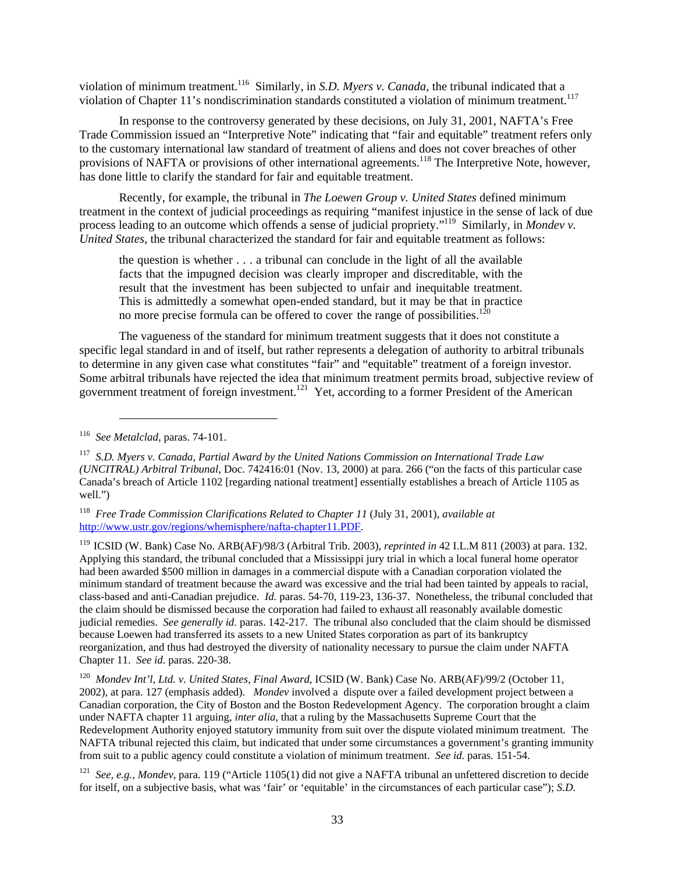violation of minimum treatment.[116](#page-34-0) Similarly, in *S.D. Myers v. Canada*, the tribunal indicated that a violation of Chapter 11's nondiscrimination standards constituted a violation of minimum treatment.<sup>117</sup>

In response to the controversy generated by these decisions, on July 31, 2001, NAFTA's Free Trade Commission issued an "Interpretive Note" indicating that "fair and equitable" treatment refers only to the customary international law standard of treatment of aliens and does not cover breaches of other provisions of NAFTA or provisions of other international agreements.<sup>118</sup> The Interpretive Note, however, has done little to clarify the standard for fair and equitable treatment.

Recently, for example, the tribunal in *The Loewen Group v. United States* defined minimum treatment in the context of judicial proceedings as requiring "manifest injustice in the sense of lack of due process leading to an outcome which offends a sense of judicial propriety."<sup>119</sup> Similarly, in *Mondev v. United States*, the tribunal characterized the standard for fair and equitable treatment as follows:

the question is whether . . . a tribunal can conclude in the light of all the available facts that the impugned decision was clearly improper and discreditable, with the result that the investment has been subjected to unfair and inequitable treatment. This is admittedly a somewhat open-ended standard, but it may be that in practice no more precise formula can be offered to cover the range of possibilities.<sup>12</sup>

The vagueness of the standard for minimum treatment suggests that it does not constitute a specific legal standard in and of itself, but rather represents a delegation of authority to arbitral tribunals to determine in any given case what constitutes "fair" and "equitable" treatment of a foreign investor. Some arbitral tribunals have rejected the idea that minimum treatment permits broad, subjective review of government treatment of foreign investment.<sup>121</sup> Yet, according to a former President of the American

l

<span id="page-34-2"></span>118 *Free Trade Commission Clarifications Related to Chapter 11* (July 31, 2001), *available at* <http://www.ustr.gov/regions/whemisphere/nafta-chapter11.PDF>.

<span id="page-34-3"></span>119 ICSID (W. Bank) Case No. ARB(AF)/98/3 (Arbitral Trib. 2003), *reprinted in* 42 I.L.M 811 (2003) at para. 132. Applying this standard, the tribunal concluded that a Mississippi jury trial in which a local funeral home operator had been awarded \$500 million in damages in a commercial dispute with a Canadian corporation violated the minimum standard of treatment because the award was excessive and the trial had been tainted by appeals to racial, class-based and anti-Canadian prejudice. *Id.* paras. 54-70, 119-23, 136-37. Nonetheless, the tribunal concluded that the claim should be dismissed because the corporation had failed to exhaust all reasonably available domestic judicial remedies. *See generally id.* paras. 142-217. The tribunal also concluded that the claim should be dismissed because Loewen had transferred its assets to a new United States corporation as part of its bankruptcy reorganization, and thus had destroyed the diversity of nationality necessary to pursue the claim under NAFTA Chapter 11. *See id.* paras. 220-38.

<span id="page-34-4"></span><sup>120</sup> Mondev Int'l, Ltd. v. United States, Final Award, ICSID (W. Bank) Case No. ARB(AF)/99/2 (October 11, 2002), at para. 127 (emphasis added). *Mondev* involved a dispute over a failed development project between a Canadian corporation, the City of Boston and the Boston Redevelopment Agency. The corporation brought a claim under NAFTA chapter 11 arguing, *inter alia*, that a ruling by the Massachusetts Supreme Court that the Redevelopment Authority enjoyed statutory immunity from suit over the dispute violated minimum treatment. The NAFTA tribunal rejected this claim, but indicated that under some circumstances a government's granting immunity from suit to a public agency could constitute a violation of minimum treatment. *See id.* paras. 151-54.

<span id="page-34-5"></span><sup>121</sup> *See, e.g., Mondev*, para. 119 ("Article 1105(1) did not give a NAFTA tribunal an unfettered discretion to decide for itself, on a subjective basis, what was 'fair' or 'equitable' in the circumstances of each particular case"); *S.D.* 

<span id="page-34-0"></span><sup>116</sup> *See Metalclad*, paras. 74-101.

<span id="page-34-1"></span><sup>117</sup> *S.D. Myers v. Canada*, *Partial Award by the United Nations Commission on International Trade Law (UNCITRAL) Arbitral Tribunal*, Doc. 742416:01 (Nov. 13, 2000) at para. 266 ("on the facts of this particular case Canada's breach of Article 1102 [regarding national treatment] essentially establishes a breach of Article 1105 as well.")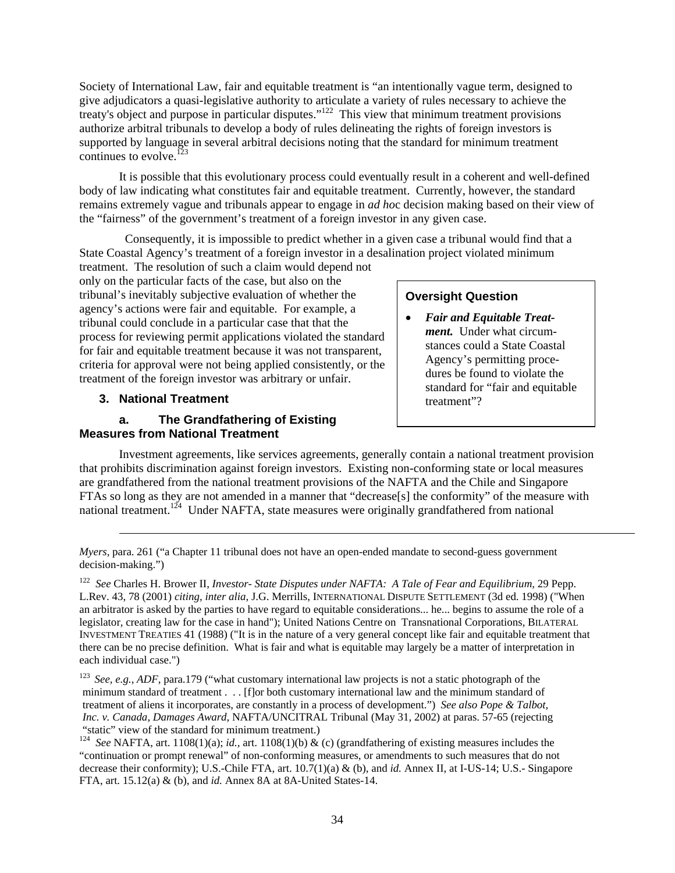<span id="page-35-0"></span>Society of International Law, fair and equitable treatment is "an intentionally vague term, designed to give adjudicators a quasi-legislative authority to articulate a variety of rules necessary to achieve the treaty's object and purpose in particular disputes."<sup>122</sup> This view that minimum treatment provisions authorize arbitral tribunals to develop a body of rules delineating the rights of foreign investors is supported by language in several arbitral decisions noting that the standard for minimum treatment continues to evolve.<sup>123</sup>

It is possible that this evolutionary process could eventually result in a coherent and well-defined body of law indicating what constitutes fair and equitable treatment. Currently, however, the standard remains extremely vague and tribunals appear to engage in *ad ho*c decision making based on their view of the "fairness" of the government's treatment of a foreign investor in any given case.

 Consequently, it is impossible to predict whether in a given case a tribunal would find that a State Coastal Agency's treatment of a foreign investor in a desalination project violated minimum

treatment. The resolution of such a claim would depend not only on the particular facts of the case, but also on the tribunal's inevitably subjective evaluation of whether the agency's actions were fair and equitable. For example, a tribunal could conclude in a particular case that that the process for reviewing permit applications violated the standard for fair and equitable treatment because it was not transparent, criteria for approval were not being applied consistently, or the treatment of the foreign investor was arbitrary or unfair.

# **3. National Treatment the accord of the set of the set of the set of the set of the set of the set of the set of the set of the set of the set of the set of the set of the set of the set of the set of the set of the set**

l

## **a. The Grandfathering of Existing Measures from National Treatment**

# **Oversight Question**

• *Fair and Equitable Treatment.* Under what circumstances could a State Coastal Agency's permitting procedures be found to violate the standard for "fair and equitable

Investment agreements, like services agreements, generally contain a national treatment provision that prohibits discrimination against foreign investors. Existing non-conforming state or local measures are grandfathered from the national treatment provisions of the NAFTA and the Chile and Singapore FTAs so long as they are not amended in a manner that "decrease[s] the conformity" of the measure with national treatment.<sup>124</sup> Under NAFTA, state measures were originally grandfathered from national

*Myers, para.* 261 ("a Chapter 11 tribunal does not have an open-ended mandate to second-guess government decision-making.")

<span id="page-35-1"></span><sup>122</sup> *See* Charles H. Brower II, *Investor- State Disputes under NAFTA: A Tale of Fear and Equilibrium,* 29 Pepp. L.Rev. 43, 78 (2001) *citing, inter alia*, J.G. Merrills, INTERNATIONAL DISPUTE SETTLEMENT (3d ed. 1998) ("When an arbitrator is asked by the parties to have regard to equitable considerations... he... begins to assume the role of a legislator, creating law for the case in hand"); United Nations Centre on Transnational Corporations, BILATERAL INVESTMENT TREATIES 41 (1988) ("It is in the nature of a very general concept like fair and equitable treatment that there can be no precise definition. What is fair and what is equitable may largely be a matter of interpretation in each individual case.")

<span id="page-35-2"></span><sup>&</sup>lt;sup>123</sup> See, e.g., *ADF*, para.179 ("what customary international law projects is not a static photograph of the minimum standard of treatment . . . [f]or both customary international law and the minimum standard of treatment of aliens it incorporates, are constantly in a process of development.") *See also Pope & Talbot, Inc. v. Canada, Damages Award*, NAFTA/UNCITRAL Tribunal (May 31, 2002) at paras. 57-65 (rejecting

<span id="page-35-3"></span><sup>&</sup>quot;static" view of the standard for minimum treatment.) 124 *See* NAFTA, art. 1108(1)(a); *id.,* art. 1108(1)(b) & (c) (grandfathering of existing measures includes the "continuation or prompt renewal" of non-conforming measures, or amendments to such measures that do not decrease their conformity); U.S.-Chile FTA, art. 10.7(1)(a) & (b), and *id.* Annex II, at I-US-14; U.S.- Singapore FTA, art. 15.12(a) & (b), and *id.* Annex 8A at 8A-United States-14.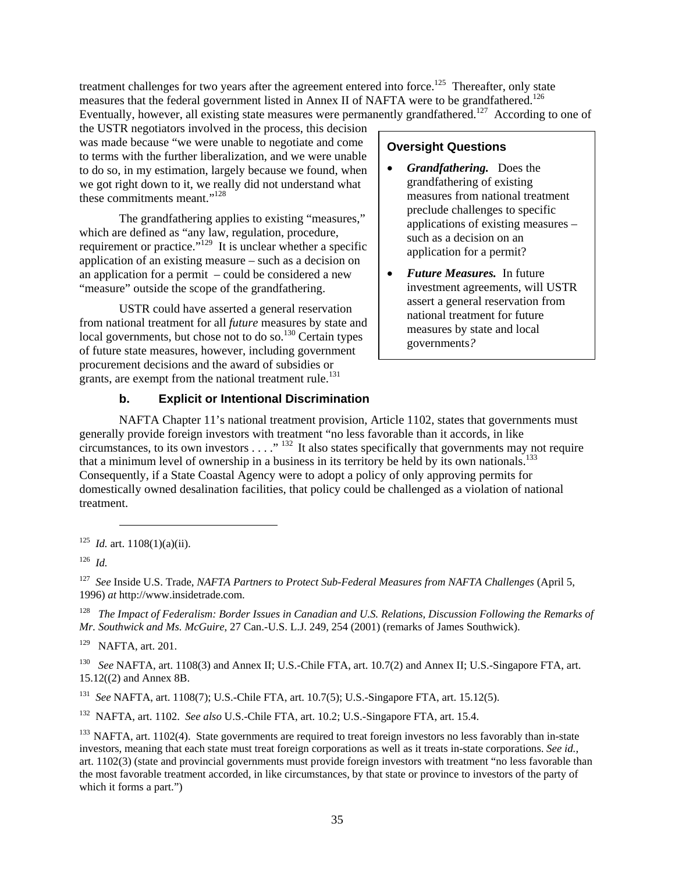<span id="page-36-0"></span>treatment challenges for two years after the agreement entered into force.<sup>125</sup> Thereafter, only state measures that the federal government listed in Annex II of NAFTA were to be grandfathered.<sup>126</sup> Eventually, however, all existing state measures were permanently grandfathered.<sup>127</sup> According to one of

the USTR negotiators involved in the process, this decision was made because "we were unable to negotiate and come to terms with the further liberalization, and we were unable to do so, in my estimation, largely because we found, when we got right down to it, we really did not understand what these commitments meant." [128](#page-36-4) 

The grandfathering applies to existing "measures," which are defined as "any law, regulation, procedure, requirement or practice."<sup>129</sup> It is unclear whether a specific application of an existing measure – such as a decision on an application for a permit – could be considered a new "measure" outside the scope of the grandfathering.

USTR could have asserted a general reservation from national treatment for all *future* measures by state and local governments, but chose not to do so. $130$  Certain types of future state measures, however, including government procurement decisions and the award of subsidies or grants, are exempt from the national treatment rule.<sup>[131](#page-36-7)</sup>

# **b. Explicit or Intentional Discrimination**

# **Oversight Questions**

- *Grandfathering.* Does the grandfathering of existing measures from national treatment preclude challenges to specific applications of existing measures – such as a decision on an application for a permit?
- *Future Measures.* In future investment agreements, will USTR assert a general reservation from national treatment for future measures by state and local governments*?*

NAFTA Chapter 11's national treatment provision, Article 1102, states that governments must generally provide foreign investors with treatment "no less favorable than it accords, in like circumstances, to its own investors  $\dots$ ."<sup>132</sup> It also states specifically that governments may not require that a minimum level of ownership in a business in its territory be held by its own nationals.<sup>133</sup> Consequently, if a State Coastal Agency were to adopt a policy of only approving permits for domestically owned desalination facilities, that policy could be challenged as a violation of national treatment.

l

<span id="page-36-3"></span><sup>127</sup> *See* Inside U.S. Trade, *NAFTA Partners to Protect Sub-Federal Measures from NAFTA Challenges* (April 5, 1996) *at* http://www.insidetrade.com.

<span id="page-36-4"></span>128 *The Impact of Federalism: Border Issues in Canadian and U.S. Relations, Discussion Following the Remarks of Mr. Southwick and Ms. McGuire*, 27 Can.-U.S. L.J. 249, 254 (2001) (remarks of James Southwick).

<span id="page-36-5"></span>129 NAFTA, art. 201.

<span id="page-36-6"></span>130 *See* NAFTA, art. 1108(3) and Annex II; U.S.-Chile FTA, art. 10.7(2) and Annex II; U.S.-Singapore FTA, art. 15.12((2) and Annex 8B.

<span id="page-36-7"></span><sup>131</sup> *See* NAFTA, art. 1108(7); U.S.-Chile FTA, art. 10.7(5); U.S.-Singapore FTA, art. 15.12(5).

<span id="page-36-8"></span>132 NAFTA, art. 1102. *See also* U.S.-Chile FTA, art. 10.2; U.S.-Singapore FTA, art. 15.4.

<span id="page-36-9"></span> $133$  NAFTA, art. 1102(4). State governments are required to treat foreign investors no less favorably than in-state investors, meaning that each state must treat foreign corporations as well as it treats in-state corporations. *See id.*, art. 1102(3) (state and provincial governments must provide foreign investors with treatment "no less favorable than the most favorable treatment accorded, in like circumstances, by that state or province to investors of the party of which it forms a part.")

<span id="page-36-1"></span><sup>&</sup>lt;sup>125</sup> *Id.* art. 1108(1)(a)(ii).

<span id="page-36-2"></span><sup>126</sup> *Id.*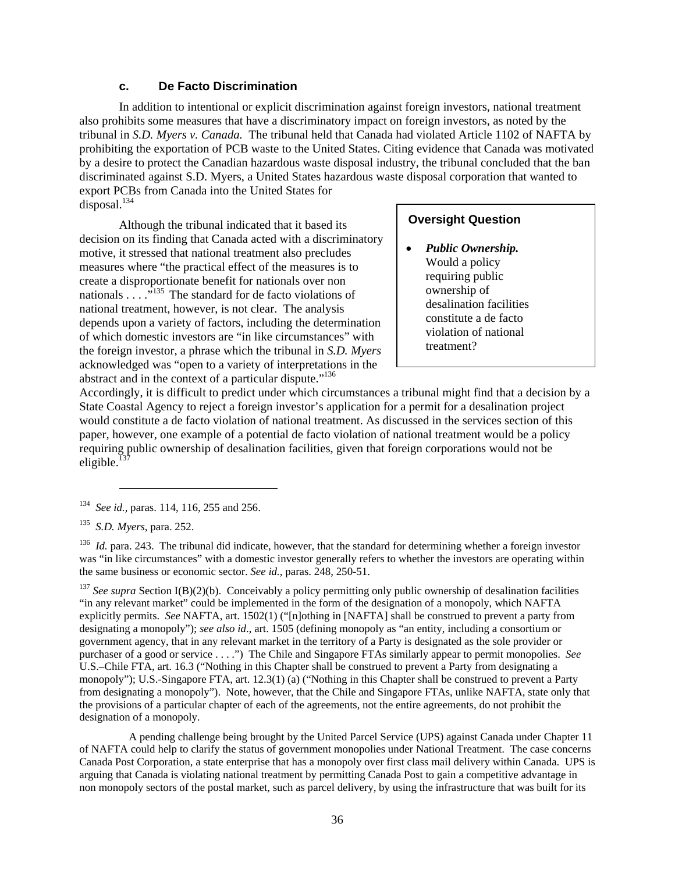# **c. De Facto Discrimination**

<span id="page-37-0"></span>In addition to intentional or explicit discrimination against foreign investors, national treatment also prohibits some measures that have a discriminatory impact on foreign investors, as noted by the tribunal in *S.D. Myers v. Canada.* The tribunal held that Canada had violated Article 1102 of NAFTA by prohibiting the exportation of PCB waste to the United States. Citing evidence that Canada was motivated by a desire to protect the Canadian hazardous waste disposal industry, the tribunal concluded that the ban discriminated against S.D. Myers, a United States hazardous waste disposal corporation that wanted to export PCBs from Canada into the United States for  $\frac{134}{9}$ 

Although the tribunal indicated that it based its decision on its finding that Canada acted with a discriminatory motive, it stressed that national treatment also precludes measures where "the practical effect of the measures is to create a disproportionate benefit for nationals over non nationals  $\ldots$ <sup>135</sup>. The standard for de facto violations of national treatment, however, is not clear. The analysis depends upon a variety of factors, including the determination of which domestic investors are "in like circumstances" with the foreign investor, a phrase which the tribunal in *S.D. Myers* acknowledged was "open to a variety of interpretations in the abstract and in the context of a particular dispute."<sup>136</sup>

# **Oversight Question**

• *Public Ownership.* Would a policy requiring public ownership of desalination facilities constitute a de facto violation of national treatment?

Accordingly, it is difficult to predict under which circumstances a tribunal might find that a decision by a State Coastal Agency to reject a foreign investor's application for a permit for a desalination project would constitute a de facto violation of national treatment. As discussed in the services section of this paper, however, one example of a potential de facto violation of national treatment would be a policy requiring public ownership of desalination facilities, given that foreign corporations would not be eligible. $\frac{1}{3}$ 

-

<span id="page-37-3"></span><sup>136</sup> *Id.* para. 243. The tribunal did indicate, however, that the standard for determining whether a foreign investor was "in like circumstances" with a domestic investor generally refers to whether the investors are operating within the same business or economic sector. *See id.*, paras. 248, 250-51.

<span id="page-37-4"></span><sup>137</sup> See supra Section I(B)(2)(b). Conceivably a policy permitting only public ownership of desalination facilities "in any relevant market" could be implemented in the form of the designation of a monopoly, which NAFTA explicitly permits. *See* NAFTA, art. 1502(1) ("[n]othing in [NAFTA] shall be construed to prevent a party from designating a monopoly"); *see also id*., art. 1505 (defining monopoly as "an entity, including a consortium or government agency, that in any relevant market in the territory of a Party is designated as the sole provider or purchaser of a good or service . . . .") The Chile and Singapore FTAs similarly appear to permit monopolies. *See* U.S.–Chile FTA, art. 16.3 ("Nothing in this Chapter shall be construed to prevent a Party from designating a monopoly"); U.S.-Singapore FTA, art. 12.3(1) (a) ("Nothing in this Chapter shall be construed to prevent a Party from designating a monopoly"). Note, however, that the Chile and Singapore FTAs, unlike NAFTA, state only that the provisions of a particular chapter of each of the agreements, not the entire agreements, do not prohibit the designation of a monopoly.

A pending challenge being brought by the United Parcel Service (UPS) against Canada under Chapter 11 of NAFTA could help to clarify the status of government monopolies under National Treatment. The case concerns Canada Post Corporation, a state enterprise that has a monopoly over first class mail delivery within Canada. UPS is arguing that Canada is violating national treatment by permitting Canada Post to gain a competitive advantage in non monopoly sectors of the postal market, such as parcel delivery, by using the infrastructure that was built for its

<span id="page-37-1"></span><sup>134</sup> *See id.,* paras. 114, 116, 255 and 256.

<span id="page-37-2"></span><sup>135</sup> *S.D. Myers*, para. 252.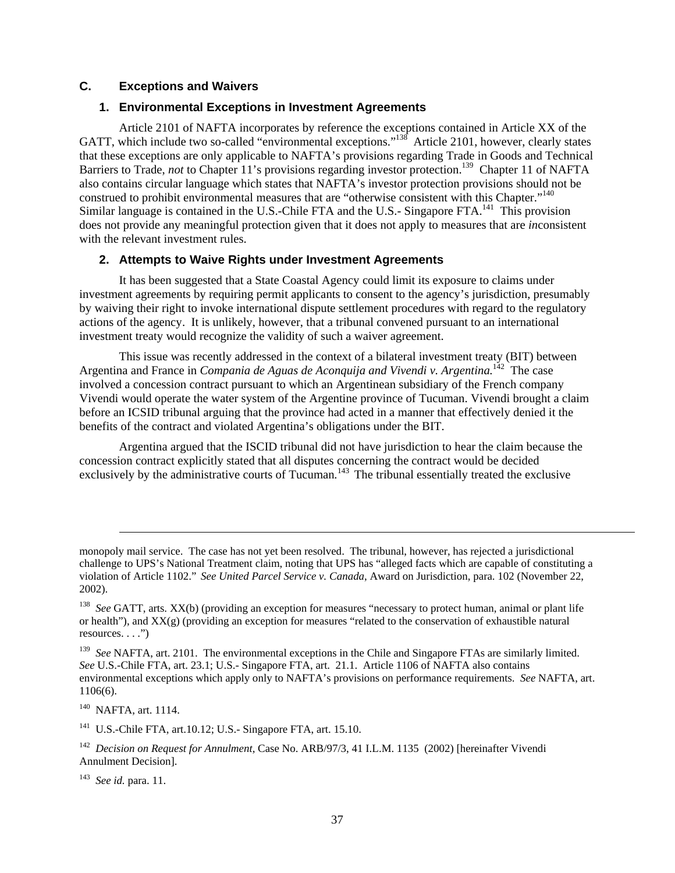# <span id="page-38-0"></span>**C. Exceptions and Waivers**

# **1. Environmental Exceptions in Investment Agreements**

Article 2101 of NAFTA incorporates by reference the exceptions contained in Article XX of the GATT, which include two so-called "environmental exceptions.["138](#page-38-1) Article 2101, however, clearly states that these exceptions are only applicable to NAFTA's provisions regarding Trade in Goods and Technical Barriers to Trade, *not* to Chapter 11's provisions regarding investor protection.<sup>139</sup> Chapter 11 of NAFTA also contains circular language which states that NAFTA's investor protection provisions should not be construed to prohibit environmental measures that are "otherwise consistent with this Chapter.["140](#page-38-3)  Similar language is contained in the U.S.-Chile FTA and the U.S.-Singapore FTA.<sup>141</sup> This provision does not provide any meaningful protection given that it does not apply to measures that are *in*consistent with the relevant investment rules.

# **2. Attempts to Waive Rights under Investment Agreements**

It has been suggested that a State Coastal Agency could limit its exposure to claims under investment agreements by requiring permit applicants to consent to the agency's jurisdiction, presumably by waiving their right to invoke international dispute settlement procedures with regard to the regulatory actions of the agency. It is unlikely, however, that a tribunal convened pursuant to an international investment treaty would recognize the validity of such a waiver agreement.

This issue was recently addressed in the context of a bilateral investment treaty (BIT) between Argentina and France in *Compania de Aguas de Aconquija and Vivendi v. Argentina.*[142](#page-38-5)The case involved a concession contract pursuant to which an Argentinean subsidiary of the French company Vivendi would operate the water system of the Argentine province of Tucuman. Vivendi brought a claim before an ICSID tribunal arguing that the province had acted in a manner that effectively denied it the benefits of the contract and violated Argentina's obligations under the BIT.

Argentina argued that the ISCID tribunal did not have jurisdiction to hear the claim because the concession contract explicitly stated that all disputes concerning the contract would be decided exclusively by the administrative courts of Tucuman.<sup>[143](#page-38-6)</sup> The tribunal essentially treated the exclusive

<span id="page-38-2"></span><sup>139</sup> See NAFTA, art. 2101. The environmental exceptions in the Chile and Singapore FTAs are similarly limited. *See* U.S.-Chile FTA, art. 23.1; U.S.- Singapore FTA, art. 21.1. Article 1106 of NAFTA also contains environmental exceptions which apply only to NAFTA's provisions on performance requirements. *See* NAFTA, art. 1106(6).

<span id="page-38-3"></span>140 NAFTA, art. 1114.

l

<span id="page-38-4"></span>141 U.S.-Chile FTA, art.10.12; U.S.- Singapore FTA, art. 15.10.

<span id="page-38-6"></span><sup>143</sup> *See id.* para. 11.

monopoly mail service. The case has not yet been resolved. The tribunal, however, has rejected a jurisdictional challenge to UPS's National Treatment claim, noting that UPS has "alleged facts which are capable of constituting a violation of Article 1102." *See United Parcel Service v. Canada*, Award on Jurisdiction, para. 102 (November 22, 2002).

<span id="page-38-1"></span><sup>138</sup> *See* GATT, arts. XX(b) (providing an exception for measures "necessary to protect human, animal or plant life or health"), and XX(g) (providing an exception for measures "related to the conservation of exhaustible natural  $resources. \ldots$ ")

<span id="page-38-5"></span><sup>142</sup> *Decision on Request for Annulment*, Case No. ARB/97/3, 41 I.L.M. 1135 (2002) [hereinafter Vivendi Annulment Decision].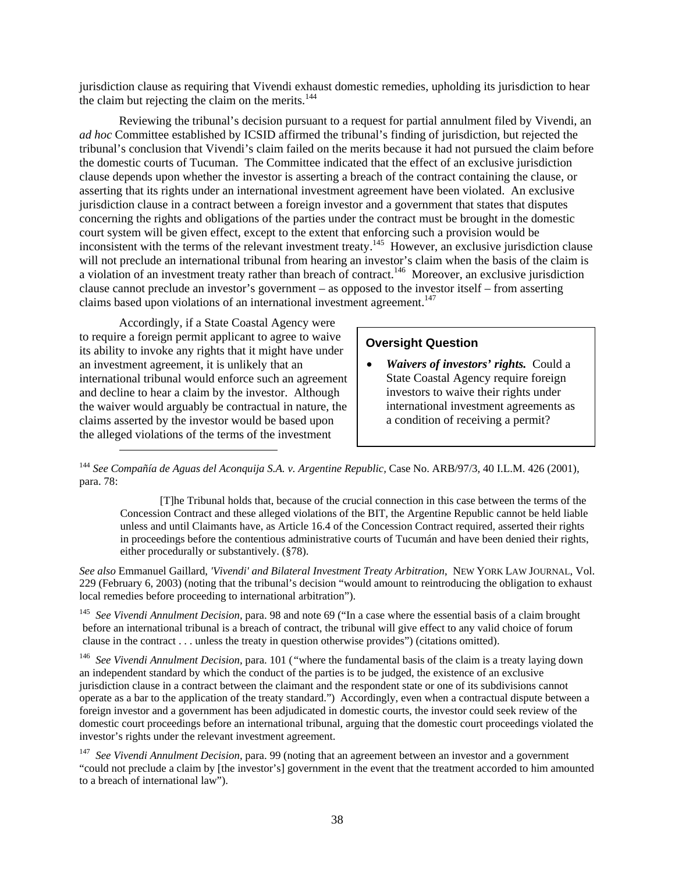jurisdiction clause as requiring that Vivendi exhaust domestic remedies, upholding its jurisdiction to hear the claim but rejecting the claim on the merits. $144$ 

Reviewing the tribunal's decision pursuant to a request for partial annulment filed by Vivendi, an *ad hoc* Committee established by ICSID affirmed the tribunal's finding of jurisdiction, but rejected the tribunal's conclusion that Vivendi's claim failed on the merits because it had not pursued the claim before the domestic courts of Tucuman. The Committee indicated that the effect of an exclusive jurisdiction clause depends upon whether the investor is asserting a breach of the contract containing the clause, or asserting that its rights under an international investment agreement have been violated. An exclusive jurisdiction clause in a contract between a foreign investor and a government that states that disputes concerning the rights and obligations of the parties under the contract must be brought in the domestic court system will be given effect, except to the extent that enforcing such a provision would be inconsistent with the terms of the relevant investment treaty.<sup>145</sup> However, an exclusive jurisdiction clause will not preclude an international tribunal from hearing an investor's claim when the basis of the claim is a violation of an investment treaty rather than breach of contract.<sup>146</sup> Moreover, an exclusive jurisdiction clause cannot preclude an investor's government – as opposed to the investor itself – from asserting claims based upon violations of an international investment agreement.<sup>147</sup>

Accordingly, if a State Coastal Agency were to require a foreign permit applicant to agree to waive its ability to invoke any rights that it might have under an investment agreement, it is unlikely that an international tribunal would enforce such an agreement and decline to hear a claim by the investor. Although the waiver would arguably be contractual in nature, the claims asserted by the investor would be based upon the alleged violations of the terms of the investment

l

#### **Oversight Question**

• *Waivers of investors' rights.* Could a State Coastal Agency require foreign investors to waive their rights under international investment agreements as a condition of receiving a permit?

<span id="page-39-0"></span><sup>144</sup> *See Compañía de Aguas del Aconquija S.A. v. Argentine Republic,* Case No. ARB/97/3*,* 40 I.L.M. 426 (2001)*,* para. 78:

[T]he Tribunal holds that, because of the crucial connection in this case between the terms of the Concession Contract and these alleged violations of the BIT, the Argentine Republic cannot be held liable unless and until Claimants have, as Article 16.4 of the Concession Contract required, asserted their rights in proceedings before the contentious administrative courts of Tucumán and have been denied their rights, either procedurally or substantively. (§78).

*See also* Emmanuel Gaillard, *'Vivendi' and Bilateral Investment Treaty Arbitration*, NEW YORK LAW JOURNAL, Vol. 229 (February 6, 2003) (noting that the tribunal's decision "would amount to reintroducing the obligation to exhaust local remedies before proceeding to international arbitration").

<span id="page-39-1"></span><sup>145</sup> *See Vivendi Annulment Decision,* para. 98 and note 69 ("In a case where the essential basis of a claim brought before an international tribunal is a breach of contract, the tribunal will give effect to any valid choice of forum clause in the contract . . . unless the treaty in question otherwise provides") (citations omitted).

<span id="page-39-2"></span><sup>146</sup> *See Vivendi Annulment Decision,* para. 101 (*"*where the fundamental basis of the claim is a treaty laying down an independent standard by which the conduct of the parties is to be judged, the existence of an exclusive jurisdiction clause in a contract between the claimant and the respondent state or one of its subdivisions cannot operate as a bar to the application of the treaty standard.") Accordingly, even when a contractual dispute between a foreign investor and a government has been adjudicated in domestic courts, the investor could seek review of the domestic court proceedings before an international tribunal, arguing that the domestic court proceedings violated the investor's rights under the relevant investment agreement.

<span id="page-39-3"></span>147 *See Vivendi Annulment Decision,* para. 99 (noting that an agreement between an investor and a government "could not preclude a claim by [the investor's] government in the event that the treatment accorded to him amounted to a breach of international law").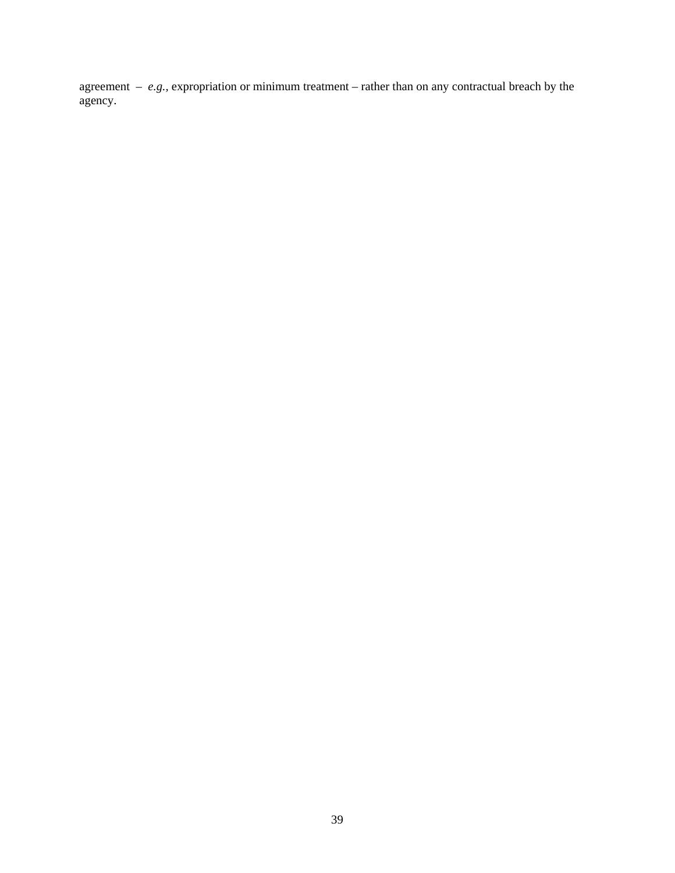agreement – *e.g.,* expropriation or minimum treatment – rather than on any contractual breach by the agency.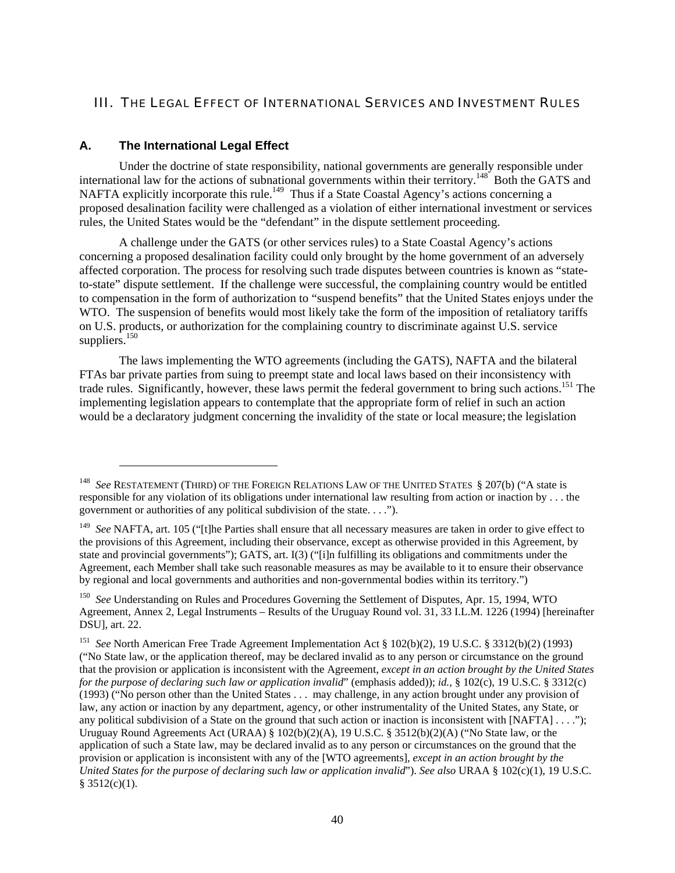# <span id="page-41-0"></span>III. THE LEGAL EFFECT OF INTERNATIONAL SERVICES AND INVESTMENT RULES

## **A. The International Legal Effect**

l

Under the doctrine of state responsibility, national governments are generally responsible under international law for the actions of subnational governments within their territory.<sup>148</sup> Both the GATS and NAFTA explicitly incorporate this rule.<sup>149</sup> Thus if a State Coastal Agency's actions concerning a proposed desalination facility were challenged as a violation of either international investment or services rules, the United States would be the "defendant" in the dispute settlement proceeding.

A challenge under the GATS (or other services rules) to a State Coastal Agency's actions concerning a proposed desalination facility could only brought by the home government of an adversely affected corporation. The process for resolving such trade disputes between countries is known as "stateto-state" dispute settlement. If the challenge were successful, the complaining country would be entitled to compensation in the form of authorization to "suspend benefits" that the United States enjoys under the WTO. The suspension of benefits would most likely take the form of the imposition of retaliatory tariffs on U.S. products, or authorization for the complaining country to discriminate against U.S. service suppliers.<sup>150</sup>

The laws implementing the WTO agreements (including the GATS), NAFTA and the bilateral FTAs bar private parties from suing to preempt state and local laws based on their inconsistency with trade rules. Significantly, however, these laws permit the federal government to bring such actions.<sup>151</sup> The implementing legislation appears to contemplate that the appropriate form of relief in such an action would be a declaratory judgment concerning the invalidity of the state or local measure; the legislation

<span id="page-41-1"></span><sup>148</sup> *See* RESTATEMENT (THIRD) OF THE FOREIGN RELATIONS LAW OF THE UNITED STATES § 207(b) ("A state is responsible for any violation of its obligations under international law resulting from action or inaction by . . . the government or authorities of any political subdivision of the state. . . .").

<span id="page-41-2"></span><sup>&</sup>lt;sup>149</sup> See NAFTA, art. 105 ("[t]he Parties shall ensure that all necessary measures are taken in order to give effect to the provisions of this Agreement, including their observance, except as otherwise provided in this Agreement, by state and provincial governments"); GATS, art. I(3) ("[i]n fulfilling its obligations and commitments under the Agreement, each Member shall take such reasonable measures as may be available to it to ensure their observance by regional and local governments and authorities and non-governmental bodies within its territory.")

<span id="page-41-3"></span><sup>150</sup> *See* Understanding on Rules and Procedures Governing the Settlement of Disputes, Apr. 15, 1994, WTO Agreement, Annex 2, Legal Instruments – Results of the Uruguay Round vol. 31, 33 I.L.M. 1226 (1994) [hereinafter DSU], art. 22.

<span id="page-41-4"></span><sup>151</sup> *See* North American Free Trade Agreement Implementation Act § 102(b)(2), 19 U.S.C. § 3312(b)(2) (1993) ("No State law, or the application thereof, may be declared invalid as to any person or circumstance on the ground that the provision or application is inconsistent with the Agreement, *except in an action brought by the United States for the purpose of declaring such law or application invalid*" (emphasis added)); *id.,* § 102(c), 19 U.S.C. § 3312(c) (1993) ("No person other than the United States . . . may challenge, in any action brought under any provision of law, any action or inaction by any department, agency, or other instrumentality of the United States, any State, or any political subdivision of a State on the ground that such action or inaction is inconsistent with [NAFTA] . . . ."); Uruguay Round Agreements Act (URAA) § 102(b)(2)(A), 19 U.S.C. § 3512(b)(2)(A) ("No State law, or the application of such a State law, may be declared invalid as to any person or circumstances on the ground that the provision or application is inconsistent with any of the [WTO agreements]*, except in an action brought by the United States for the purpose of declaring such law or application invalid*"). *See also* URAA § 102(c)(1), 19 U.S.C.  $§ 3512(c)(1).$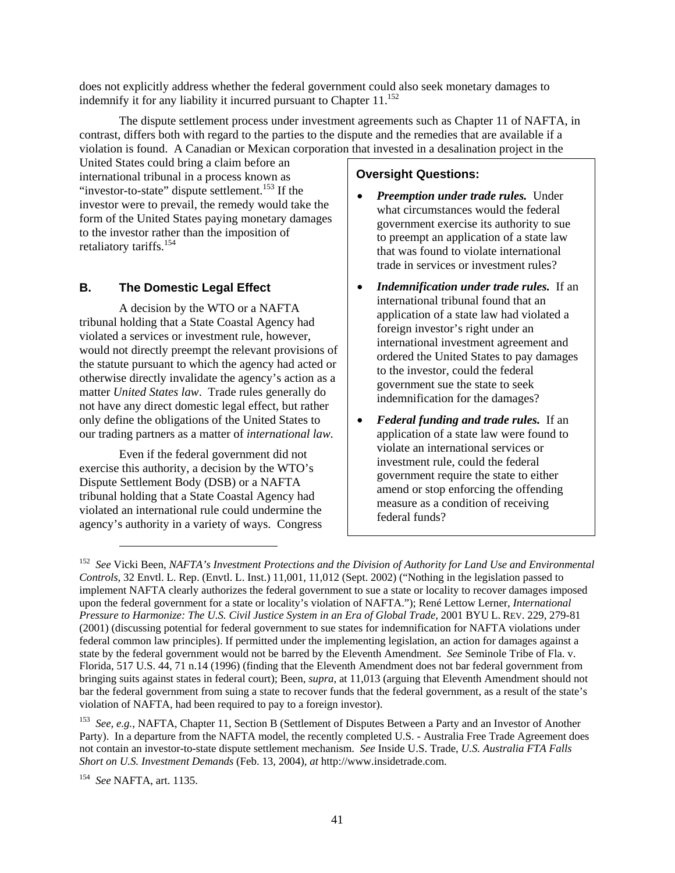<span id="page-42-0"></span>does not explicitly address whether the federal government could also seek monetary damages to indemnify it for any liability it incurred pursuant to Chapter  $11^{152}$ 

The dispute settlement process under investment agreements such as Chapter 11 of NAFTA, in contrast, differs both with regard to the parties to the dispute and the remedies that are available if a violation is found. A Canadian or Mexican corporation that invested in a desalination project in the

United States could bring a claim before an international tribunal in a process known as "investor-to-state" dispute settlement.<sup>153</sup> If the investor were to prevail, the remedy would take the form of the United States paying monetary damages to the investor rather than the imposition of retaliatory tariffs.<sup>154</sup>

# **B. The Domestic Legal Effect**

A decision by the WTO or a NAFTA tribunal holding that a State Coastal Agency had violated a services or investment rule, however, would not directly preempt the relevant provisions of the statute pursuant to which the agency had acted or otherwise directly invalidate the agency's action as a matter *United States law*. Trade rules generally do not have any direct domestic legal effect, but rather only define the obligations of the United States to our trading partners as a matter of *international law.*

Even if the federal government did not exercise this authority, a decision by the WTO's Dispute Settlement Body (DSB) or a NAFTA tribunal holding that a State Coastal Agency had violated an international rule could undermine the agency's authority in a variety of ways. Congress

# **Oversight Questions:**

- *Preemption under trade rules.* Under what circumstances would the federal government exercise its authority to sue to preempt an application of a state law that was found to violate international trade in services or investment rules?
- *Indemnification under trade rules.* If an international tribunal found that an application of a state law had violated a foreign investor's right under an international investment agreement and ordered the United States to pay damages to the investor, could the federal government sue the state to seek indemnification for the damages?
- *Federal funding and trade rules.* If an application of a state law were found to violate an international services or investment rule, could the federal government require the state to either amend or stop enforcing the offending measure as a condition of receiving federal funds?

<span id="page-42-1"></span><sup>152</sup> *See* Vicki Been, *NAFTA's Investment Protections and the Division of Authority for Land Use and Environmental Controls,* 32 Envtl. L. Rep. (Envtl. L. Inst.) 11,001, 11,012 (Sept. 2002) ("Nothing in the legislation passed to implement NAFTA clearly authorizes the federal government to sue a state or locality to recover damages imposed upon the federal government for a state or locality's violation of NAFTA."); René Lettow Lerner, *International Pressure to Harmonize: The U.S. Civil Justice System in an Era of Global Trade,* 2001 BYU L. REV. 229, 279-81 (2001) (discussing potential for federal government to sue states for indemnification for NAFTA violations under federal common law principles). If permitted under the implementing legislation, an action for damages against a state by the federal government would not be barred by the Eleventh Amendment. *See* Seminole Tribe of Fla. v. Florida, 517 U.S. 44, 71 n.14 (1996) (finding that the Eleventh Amendment does not bar federal government from bringing suits against states in federal court); Been, *supra*, at 11,013 (arguing that Eleventh Amendment should not bar the federal government from suing a state to recover funds that the federal government, as a result of the state's violation of NAFTA, had been required to pay to a foreign investor).

<span id="page-42-2"></span><sup>153</sup> *See, e.g.,* NAFTA, Chapter 11, Section B (Settlement of Disputes Between a Party and an Investor of Another Party). In a departure from the NAFTA model, the recently completed U.S. - Australia Free Trade Agreement does not contain an investor-to-state dispute settlement mechanism. *See* Inside U.S. Trade, *U.S. Australia FTA Falls Short on U.S. Investment Demands* (Feb. 13, 2004), *at* http://www.insidetrade.com.

<span id="page-42-3"></span><sup>154</sup> *See* NAFTA, art. 1135.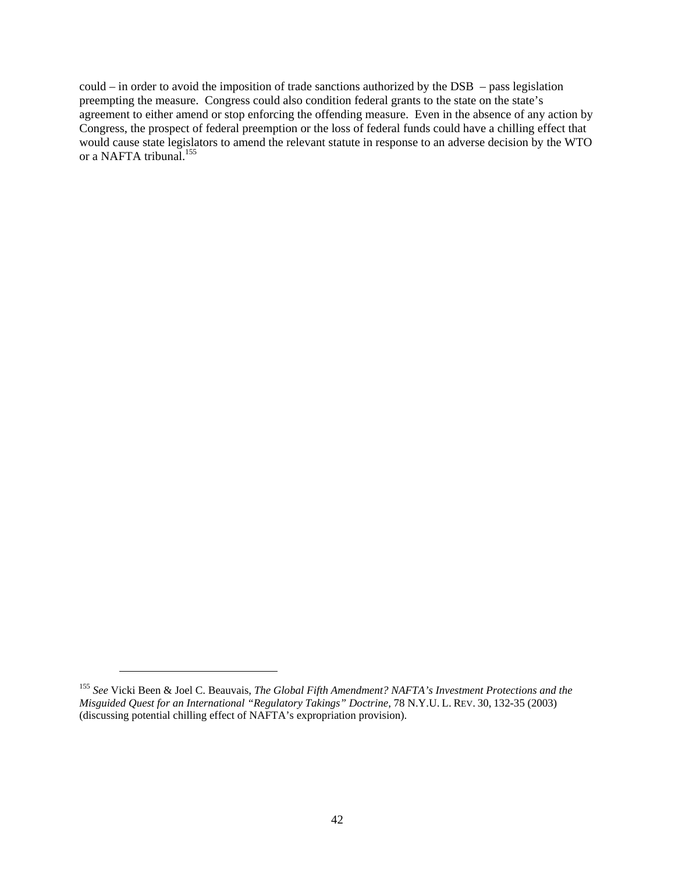could – in order to avoid the imposition of trade sanctions authorized by the DSB – pass legislation preempting the measure. Congress could also condition federal grants to the state on the state's agreement to either amend or stop enforcing the offending measure. Even in the absence of any action by Congress, the prospect of federal preemption or the loss of federal funds could have a chilling effect that would cause state legislators to amend the relevant statute in response to an adverse decision by the WTO or a NAFTA tribunal.<sup>155</sup>

<span id="page-43-0"></span><sup>155</sup> *See* Vicki Been & Joel C. Beauvais, *The Global Fifth Amendment? NAFTA's Investment Protections and the Misguided Quest for an International "Regulatory Takings" Doctrine*, 78 N.Y.U. L. REV. 30, 132-35 (2003) (discussing potential chilling effect of NAFTA's expropriation provision).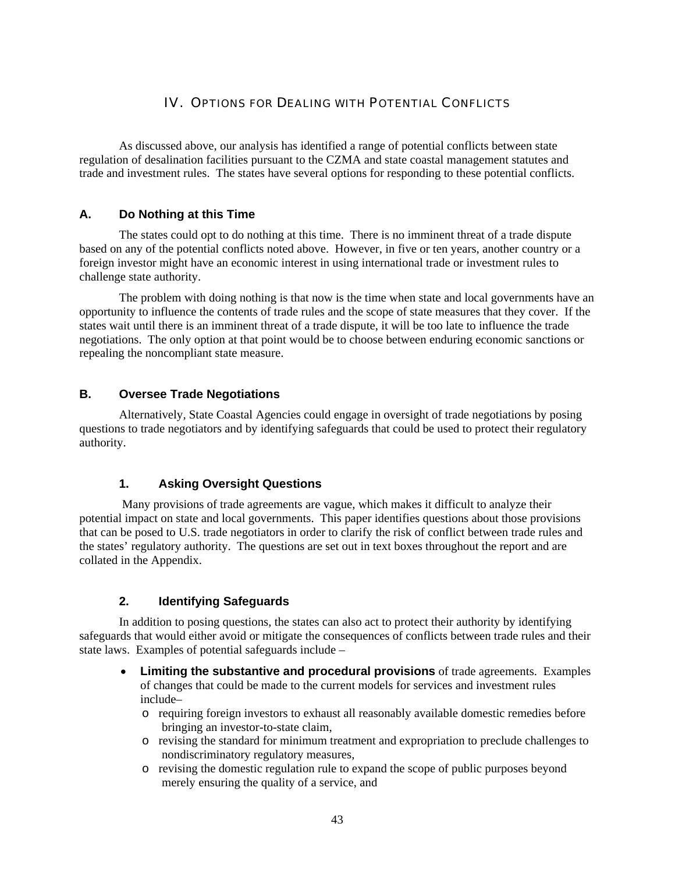# IV. OPTIONS FOR DEALING WITH POTENTIAL CONFLICTS

<span id="page-44-0"></span>As discussed above, our analysis has identified a range of potential conflicts between state regulation of desalination facilities pursuant to the CZMA and state coastal management statutes and trade and investment rules. The states have several options for responding to these potential conflicts.

# **A. Do Nothing at this Time**

The states could opt to do nothing at this time. There is no imminent threat of a trade dispute based on any of the potential conflicts noted above. However, in five or ten years, another country or a foreign investor might have an economic interest in using international trade or investment rules to challenge state authority.

The problem with doing nothing is that now is the time when state and local governments have an opportunity to influence the contents of trade rules and the scope of state measures that they cover. If the states wait until there is an imminent threat of a trade dispute, it will be too late to influence the trade negotiations. The only option at that point would be to choose between enduring economic sanctions or repealing the noncompliant state measure.

# **B. Oversee Trade Negotiations**

Alternatively, State Coastal Agencies could engage in oversight of trade negotiations by posing questions to trade negotiators and by identifying safeguards that could be used to protect their regulatory authority.

# **1. Asking Oversight Questions**

Many provisions of trade agreements are vague, which makes it difficult to analyze their potential impact on state and local governments. This paper identifies questions about those provisions that can be posed to U.S. trade negotiators in order to clarify the risk of conflict between trade rules and the states' regulatory authority. The questions are set out in text boxes throughout the report and are collated in the Appendix.

# **2. Identifying Safeguards**

In addition to posing questions, the states can also act to protect their authority by identifying safeguards that would either avoid or mitigate the consequences of conflicts between trade rules and their state laws. Examples of potential safeguards include –

- **Limiting the substantive and procedural provisions** of trade agreements. Examples of changes that could be made to the current models for services and investment rules include–
	- o requiring foreign investors to exhaust all reasonably available domestic remedies before bringing an investor-to-state claim,
	- o revising the standard for minimum treatment and expropriation to preclude challenges to nondiscriminatory regulatory measures,
	- o revising the domestic regulation rule to expand the scope of public purposes beyond merely ensuring the quality of a service, and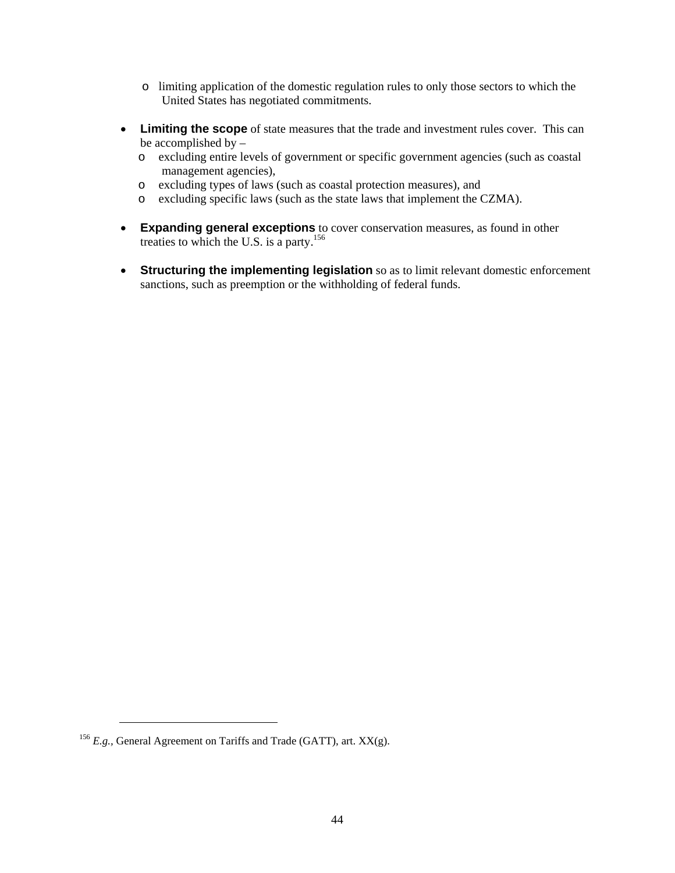- o limiting application of the domestic regulation rules to only those sectors to which the United States has negotiated commitments.
- **Limiting the scope** of state measures that the trade and investment rules cover. This can be accomplished by –
	- o excluding entire levels of government or specific government agencies (such as coastal management agencies),
	- o excluding types of laws (such as coastal protection measures), and
	- o excluding specific laws (such as the state laws that implement the CZMA).
- **Expanding general exceptions** to cover conservation measures, as found in other treaties to which the U.S. is a party. [156](#page-45-0)
- **Structuring the implementing legislation** so as to limit relevant domestic enforcement sanctions, such as preemption or the withholding of federal funds.

1

<span id="page-45-0"></span><sup>&</sup>lt;sup>156</sup> *E.g.*, General Agreement on Tariffs and Trade (GATT), art. XX(g).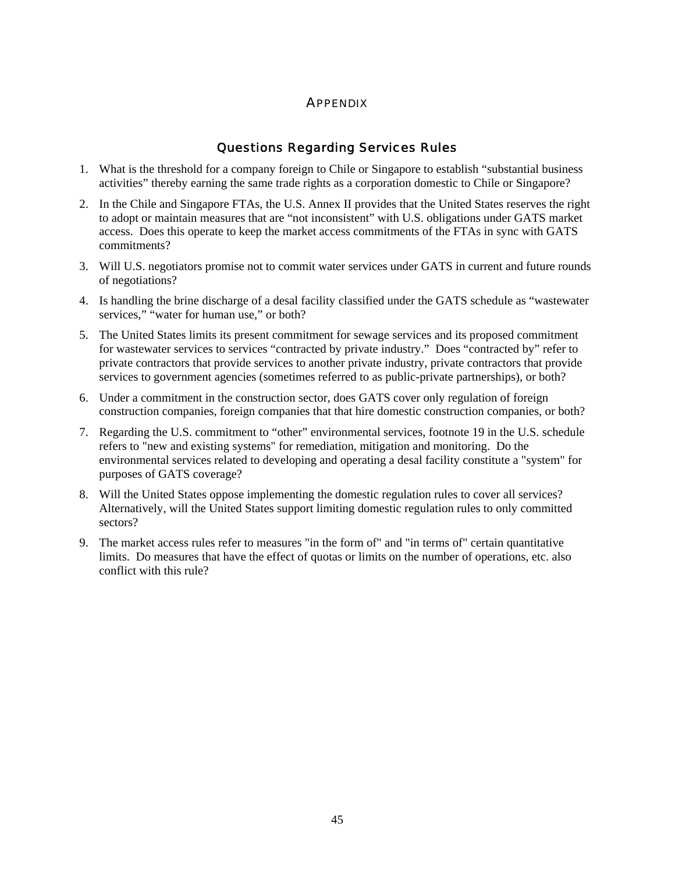# **APPFNDIX**

# Questions Regarding Services Rules

- <span id="page-46-0"></span>1. What is the threshold for a company foreign to Chile or Singapore to establish "substantial business activities" thereby earning the same trade rights as a corporation domestic to Chile or Singapore?
- 2. In the Chile and Singapore FTAs, the U.S. Annex II provides that the United States reserves the right to adopt or maintain measures that are "not inconsistent" with U.S. obligations under GATS market access. Does this operate to keep the market access commitments of the FTAs in sync with GATS commitments?
- 3. Will U.S. negotiators promise not to commit water services under GATS in current and future rounds of negotiations?
- 4. Is handling the brine discharge of a desal facility classified under the GATS schedule as "wastewater services," "water for human use," or both?
- 5. The United States limits its present commitment for sewage services and its proposed commitment for wastewater services to services "contracted by private industry." Does "contracted by" refer to private contractors that provide services to another private industry, private contractors that provide services to government agencies (sometimes referred to as public-private partnerships), or both?
- 6. Under a commitment in the construction sector, does GATS cover only regulation of foreign construction companies, foreign companies that that hire domestic construction companies, or both?
- 7. Regarding the U.S. commitment to "other" environmental services, footnote 19 in the U.S. schedule refers to "new and existing systems" for remediation, mitigation and monitoring. Do the environmental services related to developing and operating a desal facility constitute a "system" for purposes of GATS coverage?
- 8. Will the United States oppose implementing the domestic regulation rules to cover all services? Alternatively, will the United States support limiting domestic regulation rules to only committed sectors?
- 9. The market access rules refer to measures "in the form of" and "in terms of" certain quantitative limits. Do measures that have the effect of quotas or limits on the number of operations, etc. also conflict with this rule?